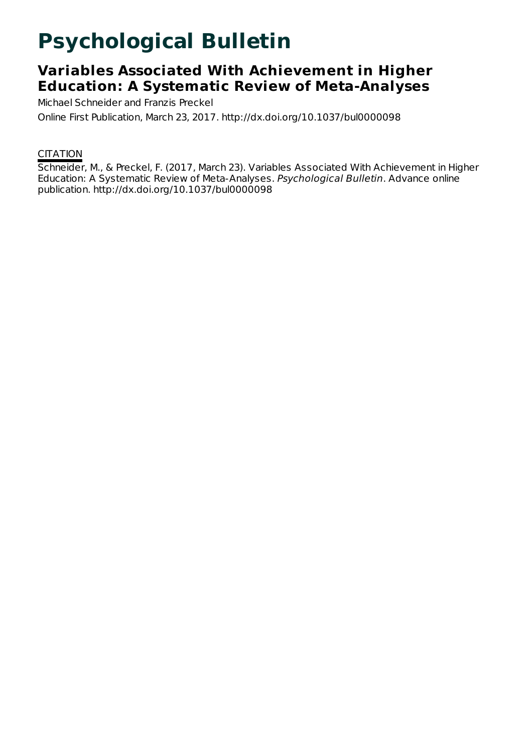# **Psychological Bulletin**

# **Variables Associated With Achievement in Higher Education: A Systematic Review of Meta-Analyses**

Michael Schneider and Franzis Preckel Online First Publication, March 23, 2017. http://dx.doi.org/10.1037/bul0000098

## **CITATION**

Schneider, M., & Preckel, F. (2017, March 23). Variables Associated With Achievement in Higher Education: A Systematic Review of Meta-Analyses. Psychological Bulletin. Advance online publication. http://dx.doi.org/10.1037/bul0000098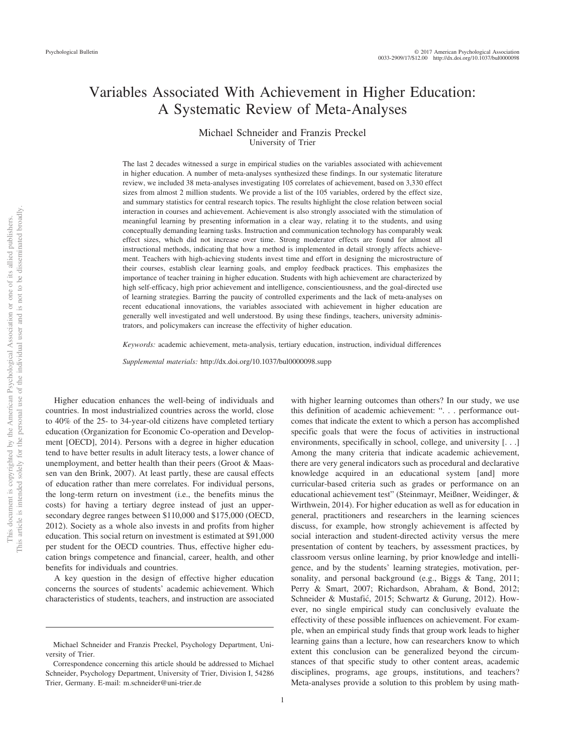## Variables Associated With Achievement in Higher Education: A Systematic Review of Meta-Analyses

#### Michael Schneider and Franzis Preckel University of Trier

The last 2 decades witnessed a surge in empirical studies on the variables associated with achievement in higher education. A number of meta-analyses synthesized these findings. In our systematic literature review, we included 38 meta-analyses investigating 105 correlates of achievement, based on 3,330 effect sizes from almost 2 million students. We provide a list of the 105 variables, ordered by the effect size, and summary statistics for central research topics. The results highlight the close relation between social interaction in courses and achievement. Achievement is also strongly associated with the stimulation of meaningful learning by presenting information in a clear way, relating it to the students, and using conceptually demanding learning tasks. Instruction and communication technology has comparably weak effect sizes, which did not increase over time. Strong moderator effects are found for almost all instructional methods, indicating that how a method is implemented in detail strongly affects achievement. Teachers with high-achieving students invest time and effort in designing the microstructure of their courses, establish clear learning goals, and employ feedback practices. This emphasizes the importance of teacher training in higher education. Students with high achievement are characterized by high self-efficacy, high prior achievement and intelligence, conscientiousness, and the goal-directed use of learning strategies. Barring the paucity of controlled experiments and the lack of meta-analyses on recent educational innovations, the variables associated with achievement in higher education are generally well investigated and well understood. By using these findings, teachers, university administrators, and policymakers can increase the effectivity of higher education.

*Keywords:* academic achievement, meta-analysis, tertiary education, instruction, individual differences

*Supplemental materials:* http://dx.doi.org/10.1037/bul0000098.supp

Higher education enhances the well-being of individuals and countries. In most industrialized countries across the world, close to 40% of the 25- to 34-year-old citizens have completed tertiary education (Organization for Economic Co-operation and Development [OECD], 2014). Persons with a degree in higher education tend to have better results in adult literacy tests, a lower chance of unemployment, and better health than their peers [\(Groot & Maas](#page-33-0)[sen van den Brink, 2007\)](#page-33-0). At least partly, these are causal effects of education rather than mere correlates. For individual persons, the long-term return on investment (i.e., the benefits minus the costs) for having a tertiary degree instead of just an uppersecondary degree ranges between \$110,000 and \$175,000 (OECD, 2012). Society as a whole also invests in and profits from higher education. This social return on investment is estimated at \$91,000 per student for the OECD countries. Thus, effective higher education brings competence and financial, career, health, and other benefits for individuals and countries.

A key question in the design of effective higher education concerns the sources of students' academic achievement. Which characteristics of students, teachers, and instruction are associated

this definition of academic achievement: ". . . performance outcomes that indicate the extent to which a person has accomplished specific goals that were the focus of activities in instructional environments, specifically in school, college, and university [. . .] Among the many criteria that indicate academic achievement, there are very general indicators such as procedural and declarative knowledge acquired in an educational system [and] more curricular-based criteria such as grades or performance on an educational achievement test" (Steinmayr, Meißner, Weidinger, & Wirthwein, 2014). For higher education as well as for education in general, practitioners and researchers in the learning sciences discuss, for example, how strongly achievement is affected by social interaction and student-directed activity versus the mere presentation of content by teachers, by assessment practices, by classroom versus online learning, by prior knowledge and intelligence, and by the students' learning strategies, motivation, personality, and personal background (e.g., Biggs & Tang, 2011; Perry & Smart, 2007; Richardson, Abraham, & Bond, 2012; Schneider & Mustafić, 2015; Schwartz & Gurung, 2012). However, no single empirical study can conclusively evaluate the effectivity of these possible influences on achievement. For example, when an empirical study finds that group work leads to higher learning gains than a lecture, how can researchers know to which extent this conclusion can be generalized beyond the circumstances of that specific study to other content areas, academic disciplines, programs, age groups, institutions, and teachers? Meta-analyses provide a solution to this problem by using math-

with higher learning outcomes than others? In our study, we use

Michael Schneider and Franzis Preckel, Psychology Department, University of Trier.

Correspondence concerning this article should be addressed to Michael Schneider, Psychology Department, University of Trier, Division I, 54286 Trier, Germany. E-mail: [m.schneider@uni-trier.de](mailto:m.schneider@uni-trier.de)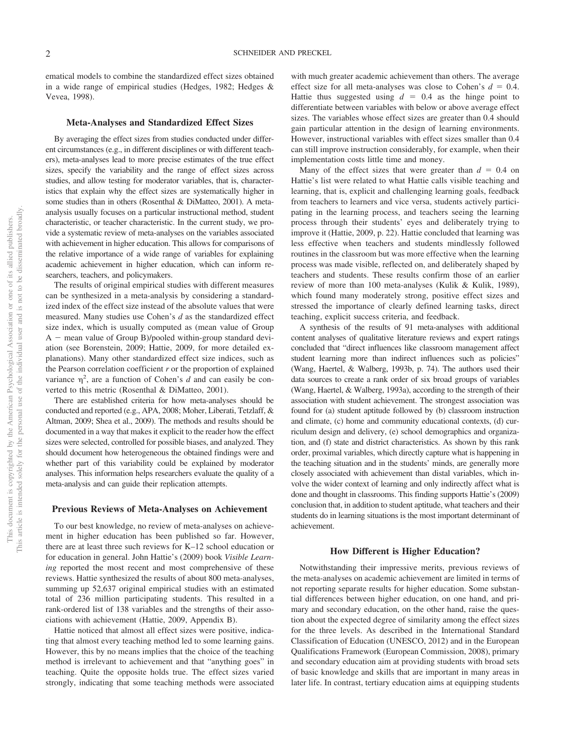ematical models to combine the standardized effect sizes obtained in a wide range of empirical studies (Hedges, 1982; Hedges & Vevea, 1998).

#### **Meta-Analyses and Standardized Effect Sizes**

By averaging the effect sizes from studies conducted under different circumstances (e.g., in different disciplines or with different teachers), meta-analyses lead to more precise estimates of the true effect sizes, specify the variability and the range of effect sizes across studies, and allow testing for moderator variables, that is, characteristics that explain why the effect sizes are systematically higher in some studies than in others (Rosenthal & DiMatteo, 2001). A metaanalysis usually focuses on a particular instructional method, student characteristic, or teacher characteristic. In the current study, we provide a systematic review of meta-analyses on the variables associated with achievement in higher education. This allows for comparisons of the relative importance of a wide range of variables for explaining academic achievement in higher education, which can inform researchers, teachers, and policymakers.

The results of original empirical studies with different measures can be synthesized in a meta-analysis by considering a standardized index of the effect size instead of the absolute values that were measured. Many studies use Cohen's *d* as the standardized effect size index, which is usually computed as (mean value of Group A - mean value of Group B)/pooled within-group standard deviation (see Borenstein, 2009; Hattie, 2009, for more detailed explanations). Many other standardized effect size indices, such as the Pearson correlation coefficient *r* or the proportion of explained variance  $\eta^2$ , are a function of Cohen's *d* and can easily be converted to this metric (Rosenthal & DiMatteo, 2001).

There are established criteria for how meta-analyses should be conducted and reported (e.g., APA, 2008; Moher, Liberati, Tetzlaff, & Altman, 2009; Shea et al., 2009). The methods and results should be documented in a way that makes it explicit to the reader how the effect sizes were selected, controlled for possible biases, and analyzed. They should document how heterogeneous the obtained findings were and whether part of this variability could be explained by moderator analyses. This information helps researchers evaluate the quality of a meta-analysis and can guide their replication attempts.

#### **Previous Reviews of Meta-Analyses on Achievement**

To our best knowledge, no review of meta-analyses on achievement in higher education has been published so far. However, there are at least three such reviews for K–12 school education or for education in general. John Hattie's (2009) book *Visible Learning* reported the most recent and most comprehensive of these reviews. Hattie synthesized the results of about 800 meta-analyses, summing up 52,637 original empirical studies with an estimated total of 236 million participating students. This resulted in a rank-ordered list of 138 variables and the strengths of their associations with achievement (Hattie, 2009, Appendix B).

Hattie noticed that almost all effect sizes were positive, indicating that almost every teaching method led to some learning gains. However, this by no means implies that the choice of the teaching method is irrelevant to achievement and that "anything goes" in teaching. Quite the opposite holds true. The effect sizes varied strongly, indicating that some teaching methods were associated

with much greater academic achievement than others. The average effect size for all meta-analyses was close to Cohen's  $d = 0.4$ . Hattie thus suggested using  $d = 0.4$  as the hinge point to differentiate between variables with below or above average effect sizes. The variables whose effect sizes are greater than 0.4 should gain particular attention in the design of learning environments. However, instructional variables with effect sizes smaller than 0.4 can still improve instruction considerably, for example, when their implementation costs little time and money.

Many of the effect sizes that were greater than  $d = 0.4$  on Hattie's list were related to what Hattie calls visible teaching and learning, that is, explicit and challenging learning goals, feedback from teachers to learners and vice versa, students actively participating in the learning process, and teachers seeing the learning process through their students' eyes and deliberately trying to improve it (Hattie, 2009, p. 22). Hattie concluded that learning was less effective when teachers and students mindlessly followed routines in the classroom but was more effective when the learning process was made visible, reflected on, and deliberately shaped by teachers and students. These results confirm those of an earlier review of more than 100 meta-analyses (Kulik & Kulik, 1989), which found many moderately strong, positive effect sizes and stressed the importance of clearly defined learning tasks, direct teaching, explicit success criteria, and feedback.

A synthesis of the results of 91 meta-analyses with additional content analyses of qualitative literature reviews and expert ratings concluded that "direct influences like classroom management affect student learning more than indirect influences such as policies" (Wang, Haertel, & Walberg, 1993b, p. 74). The authors used their data sources to create a rank order of six broad groups of variables (Wang, Haertel, & Walberg, 1993a), according to the strength of their association with student achievement. The strongest association was found for (a) student aptitude followed by (b) classroom instruction and climate, (c) home and community educational contexts, (d) curriculum design and delivery, (e) school demographics and organization, and (f) state and district characteristics. As shown by this rank order, proximal variables, which directly capture what is happening in the teaching situation and in the students' minds, are generally more closely associated with achievement than distal variables, which involve the wider context of learning and only indirectly affect what is done and thought in classrooms. This finding supports Hattie's (2009) conclusion that, in addition to student aptitude, what teachers and their students do in learning situations is the most important determinant of achievement.

## **How Different is Higher Education?**

Notwithstanding their impressive merits, previous reviews of the meta-analyses on academic achievement are limited in terms of not reporting separate results for higher education. Some substantial differences between higher education, on one hand, and primary and secondary education, on the other hand, raise the question about the expected degree of similarity among the effect sizes for the three levels. As described in the International Standard Classification of Education (UNESCO, 2012) and in the European Qualifications Framework (European Commission, 2008), primary and secondary education aim at providing students with broad sets of basic knowledge and skills that are important in many areas in later life. In contrast, tertiary education aims at equipping students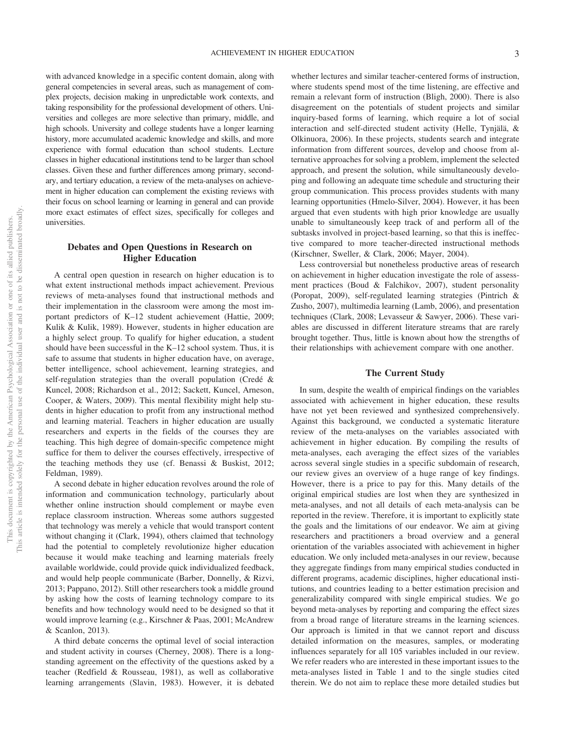with advanced knowledge in a specific content domain, along with general competencies in several areas, such as management of complex projects, decision making in unpredictable work contexts, and taking responsibility for the professional development of others. Universities and colleges are more selective than primary, middle, and high schools. University and college students have a longer learning history, more accumulated academic knowledge and skills, and more experience with formal education than school students. Lecture classes in higher educational institutions tend to be larger than school classes. Given these and further differences among primary, secondary, and tertiary education, a review of the meta-analyses on achievement in higher education can complement the existing reviews with their focus on school learning or learning in general and can provide more exact estimates of effect sizes, specifically for colleges and universities.

## **Debates and Open Questions in Research on Higher Education**

A central open question in research on higher education is to what extent instructional methods impact achievement. Previous reviews of meta-analyses found that instructional methods and their implementation in the classroom were among the most important predictors of K–12 student achievement (Hattie, 2009; Kulik & Kulik, 1989). However, students in higher education are a highly select group. To qualify for higher education, a student should have been successful in the K–12 school system. Thus, it is safe to assume that students in higher education have, on average, better intelligence, school achievement, learning strategies, and self-regulation strategies than the overall population (Credé & Kuncel, 2008; Richardson et al., 2012; Sackett, Kuncel, Arneson, Cooper, & Waters, 2009). This mental flexibility might help students in higher education to profit from any instructional method and learning material. Teachers in higher education are usually researchers and experts in the fields of the courses they are teaching. This high degree of domain-specific competence might suffice for them to deliver the courses effectively, irrespective of the teaching methods they use (cf. Benassi & Buskist, 2012; Feldman, 1989).

A second debate in higher education revolves around the role of information and communication technology, particularly about whether online instruction should complement or maybe even replace classroom instruction. Whereas some authors suggested that technology was merely a vehicle that would transport content without changing it (Clark, 1994), others claimed that technology had the potential to completely revolutionize higher education because it would make teaching and learning materials freely available worldwide, could provide quick individualized feedback, and would help people communicate (Barber, Donnelly, & Rizvi, 2013; Pappano, 2012). Still other researchers took a middle ground by asking how the costs of learning technology compare to its benefits and how technology would need to be designed so that it would improve learning (e.g., Kirschner & Paas, 2001; McAndrew & Scanlon, 2013).

A third debate concerns the optimal level of social interaction and student activity in courses (Cherney, 2008). There is a longstanding agreement on the effectivity of the questions asked by a teacher (Redfield & Rousseau, 1981), as well as collaborative learning arrangements (Slavin, 1983). However, it is debated

whether lectures and similar teacher-centered forms of instruction, where students spend most of the time listening, are effective and remain a relevant form of instruction (Bligh, 2000). There is also disagreement on the potentials of student projects and similar inquiry-based forms of learning, which require a lot of social interaction and self-directed student activity (Helle, Tynjälä, & Olkinuora, 2006). In these projects, students search and integrate information from different sources, develop and choose from alternative approaches for solving a problem, implement the selected approach, and present the solution, while simultaneously developing and following an adequate time schedule and structuring their group communication. This process provides students with many learning opportunities (Hmelo-Silver, 2004). However, it has been argued that even students with high prior knowledge are usually unable to simultaneously keep track of and perform all of the subtasks involved in project-based learning, so that this is ineffective compared to more teacher-directed instructional methods (Kirschner, Sweller, & Clark, 2006; Mayer, 2004).

Less controversial but nonetheless productive areas of research on achievement in higher education investigate the role of assessment practices (Boud & Falchikov, 2007), student personality (Poropat, 2009), self-regulated learning strategies (Pintrich & Zusho, 2007), multimedia learning (Lamb, 2006), and presentation techniques (Clark, 2008; Levasseur & Sawyer, 2006). These variables are discussed in different literature streams that are rarely brought together. Thus, little is known about how the strengths of their relationships with achievement compare with one another.

## **The Current Study**

In sum, despite the wealth of empirical findings on the variables associated with achievement in higher education, these results have not yet been reviewed and synthesized comprehensively. Against this background, we conducted a systematic literature review of the meta-analyses on the variables associated with achievement in higher education. By compiling the results of meta-analyses, each averaging the effect sizes of the variables across several single studies in a specific subdomain of research, our review gives an overview of a huge range of key findings. However, there is a price to pay for this. Many details of the original empirical studies are lost when they are synthesized in meta-analyses, and not all details of each meta-analysis can be reported in the review. Therefore, it is important to explicitly state the goals and the limitations of our endeavor. We aim at giving researchers and practitioners a broad overview and a general orientation of the variables associated with achievement in higher education. We only included meta-analyses in our review, because they aggregate findings from many empirical studies conducted in different programs, academic disciplines, higher educational institutions, and countries leading to a better estimation precision and generalizability compared with single empirical studies. We go beyond meta-analyses by reporting and comparing the effect sizes from a broad range of literature streams in the learning sciences. Our approach is limited in that we cannot report and discuss detailed information on the measures, samples, or moderating influences separately for all 105 variables included in our review. We refer readers who are interested in these important issues to the meta-analyses listed in Table 1 and to the single studies cited therein. We do not aim to replace these more detailed studies but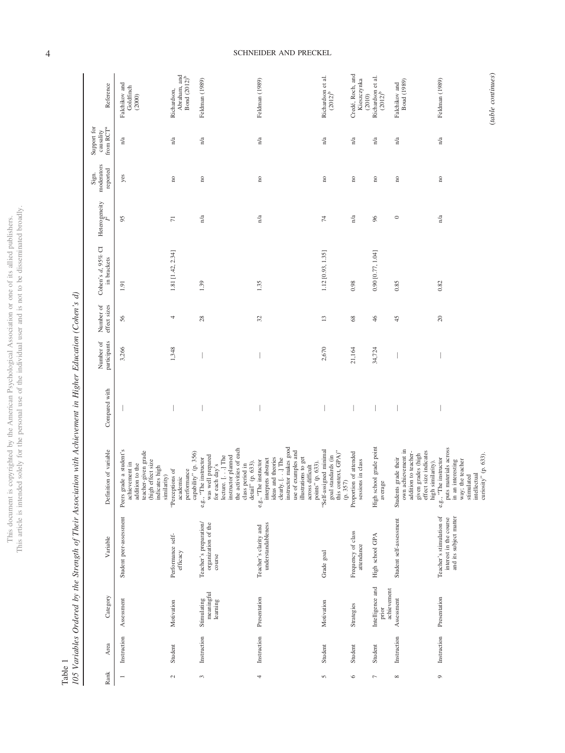| Ś                | C<br>C                   |
|------------------|--------------------------|
| į<br>é<br>ä<br>j |                          |
| ť                |                          |
| Ŝ                |                          |
| ī                |                          |
|                  | ļ                        |
|                  | j                        |
| ì                |                          |
|                  |                          |
|                  |                          |
| )<br>ì           | i                        |
|                  |                          |
|                  |                          |
|                  | į                        |
|                  |                          |
| į                |                          |
| í                | $\overline{\phantom{a}}$ |
|                  |                          |
|                  |                          |
|                  |                          |
|                  |                          |
|                  |                          |
|                  |                          |
|                  |                          |
|                  |                          |
|                  |                          |
|                  |                          |
|                  |                          |
|                  |                          |
|                  | user                     |
|                  |                          |
|                  |                          |
|                  |                          |
|                  | ï                        |
|                  |                          |
| ī                | ı                        |
|                  |                          |
| Ĵ                |                          |
|                  |                          |
|                  | į                        |
|                  |                          |
|                  |                          |
|                  |                          |
|                  |                          |
|                  |                          |
| ľ.               |                          |
|                  | <b>NSC</b>               |
| CON              |                          |
|                  |                          |
|                  |                          |
| š<br>i<br>i      | ¢                        |
|                  | ś                        |
|                  |                          |
|                  |                          |
|                  |                          |
| È<br>j           |                          |
|                  |                          |
|                  |                          |
|                  | 3                        |
|                  |                          |
|                  | j                        |
| ï<br>j           | ì                        |
|                  |                          |
| ł<br>J<br>I      |                          |
|                  | J                        |
| i                | Ę                        |
|                  |                          |
| ì<br>í<br>J      |                          |
|                  |                          |
|                  | ١                        |
|                  |                          |
|                  |                          |
| j                |                          |
|                  |                          |
|                  |                          |
|                  |                          |
| Contractor Co.   |                          |
|                  |                          |
|                  | j<br>į                   |
|                  |                          |
| his              | ì                        |
|                  | i                        |
| í                |                          |
|                  | his                      |
|                  |                          |
|                  | ĺ<br>j                   |
|                  |                          |

Table 1<br>105 Variables Ordered by the Strength of Their Association with Achievement in Higher Education (Cohen's d) 105 Variables Ordered by the Strength of Their Association with Achievement in Higher Education (Cohen's d)

| Reference                                                   | Falchikov and<br>Goldfinch<br>(2000)                                                                                                         | Abraham, and<br>Bond $(2012)^b$<br>Richardson,                     | Feldman (1989)                                                                                                                                                                     | Feldman (1989)                                                                                                                                                                                                | Richardson et al.<br>$(2012)^{b}$                                                         | Credé, Roch, and<br>Kieszczynka<br>(2010)   | Richardson et al.<br>$(2012)^{b}$        | Boud (1989)<br>Falchikov and                                                                                                           | Feldman (1989)                                                                                                                                                | (table continues) |
|-------------------------------------------------------------|----------------------------------------------------------------------------------------------------------------------------------------------|--------------------------------------------------------------------|------------------------------------------------------------------------------------------------------------------------------------------------------------------------------------|---------------------------------------------------------------------------------------------------------------------------------------------------------------------------------------------------------------|-------------------------------------------------------------------------------------------|---------------------------------------------|------------------------------------------|----------------------------------------------------------------------------------------------------------------------------------------|---------------------------------------------------------------------------------------------------------------------------------------------------------------|-------------------|
| Support for<br>causality<br>from $\mathbb{R} C\mathbb{T}^a$ | n/a                                                                                                                                          | n/a                                                                | n/a                                                                                                                                                                                | n/a                                                                                                                                                                                                           | n/a                                                                                       | n/a                                         | n/a                                      | n/a                                                                                                                                    | n/a                                                                                                                                                           |                   |
| moderators<br>reported<br>Sign.                             | yes                                                                                                                                          | œ                                                                  | $\mathbf{r}$                                                                                                                                                                       | <b>CO</b>                                                                                                                                                                                                     | $\overline{a}$                                                                            | œ                                           | œ                                        | œ                                                                                                                                      | $\mathbf{r}$                                                                                                                                                  |                   |
| Heterogeneity                                               | 95                                                                                                                                           | $\overline{7}$                                                     | n/a                                                                                                                                                                                | n/a                                                                                                                                                                                                           | 74                                                                                        | n/a                                         | $96$                                     | $\circ$                                                                                                                                | n/a                                                                                                                                                           |                   |
| Cohen's d, 95% CI<br>in brackets                            | 1.91                                                                                                                                         | 1.81 [1.42, 2.34]                                                  | 1.39                                                                                                                                                                               | 1.35                                                                                                                                                                                                          | 1.12 [0.93, 1.35]                                                                         | 0.98                                        | $0.90$ [ $0.77$ , $1.04$ ]               | 0.85                                                                                                                                   | 0.82                                                                                                                                                          |                   |
| Number of<br>effect sizes                                   | 56                                                                                                                                           | 4                                                                  | $28$                                                                                                                                                                               | 32                                                                                                                                                                                                            | 13                                                                                        | 68                                          | 46                                       | 45                                                                                                                                     | $\Omega$                                                                                                                                                      |                   |
| participants<br>Number of                                   | 3,266                                                                                                                                        | 1,348                                                              |                                                                                                                                                                                    |                                                                                                                                                                                                               | 2,670                                                                                     | 21,164                                      | 34,724                                   |                                                                                                                                        |                                                                                                                                                               |                   |
| Compared with                                               |                                                                                                                                              |                                                                    |                                                                                                                                                                                    |                                                                                                                                                                                                               |                                                                                           |                                             |                                          |                                                                                                                                        |                                                                                                                                                               |                   |
| Definition of variable                                      | grade a student's<br>teacher-given grade<br>(high effect size<br>indicates high<br>achievement in<br>addition to the<br>similarity)<br>Peers | performance<br>capability" (p. 356)<br>"Perceptions of<br>academic | for each day's<br>lecture. $[.\,.\,.\,]$ The<br>instructor planned<br>the activities of each<br>class period in<br>datall" (p. 633).<br>e.g., "The instructor<br>was well prepared | clearly $[L \cdot]$ The<br>instructor makes good<br>use of examples and<br>illustrations to get<br>across difficult<br>across difficult<br>e.g., "The instructor<br>interprets abstract<br>ideas and theories | "Self-assigned minimal<br>goal standards (in<br>this context, $\text{GPA}$ )"<br>(p. 357) | Proportion of attended<br>sessions in class | school grade point<br>average<br>High    | own achievement in<br>addition to teacher-<br>given grades (high<br>effect size indicates<br>high similarity).<br>Students grade their | puts materials across<br>in an interesting<br>way; the teacher<br>stimulated<br>intellectual<br>intellectual<br>curiosity" (p. 633).<br>e.g., "The instructor |                   |
| Variable                                                    | Student peer-assessment                                                                                                                      | Performance self-<br>efficacy                                      | Teacher's preparation/<br>organization of the<br>course                                                                                                                            | understandableness<br>Teacher's clarity and                                                                                                                                                                   | Grade goal                                                                                | Frequency of class<br>attendance            | High school GPA                          | Student self-assessment                                                                                                                | and its subject matter<br>Teacher's stimulation of<br>interest in the course                                                                                  |                   |
| Category                                                    | Assessment                                                                                                                                   | Motivation                                                         | meaningful<br>Stimulating<br>learning                                                                                                                                              | Presentation                                                                                                                                                                                                  | Motivation                                                                                | Strategies                                  | Intelligence and<br>achievement<br>prior | Assessment                                                                                                                             | Presentation                                                                                                                                                  |                   |
| Area                                                        | Instruction                                                                                                                                  | Student                                                            | Instruction                                                                                                                                                                        | Instruction                                                                                                                                                                                                   | Student                                                                                   | Student                                     | Student                                  | Instruction                                                                                                                            | Instruction                                                                                                                                                   |                   |
| Rank                                                        |                                                                                                                                              | $\sim$                                                             | $\epsilon$                                                                                                                                                                         | 4                                                                                                                                                                                                             | 5                                                                                         | $\circ$                                     | $\overline{ }$                           | ${}^{\circ}$                                                                                                                           | $\circ$                                                                                                                                                       |                   |

## 4 SCHNEIDER AND PRECKEL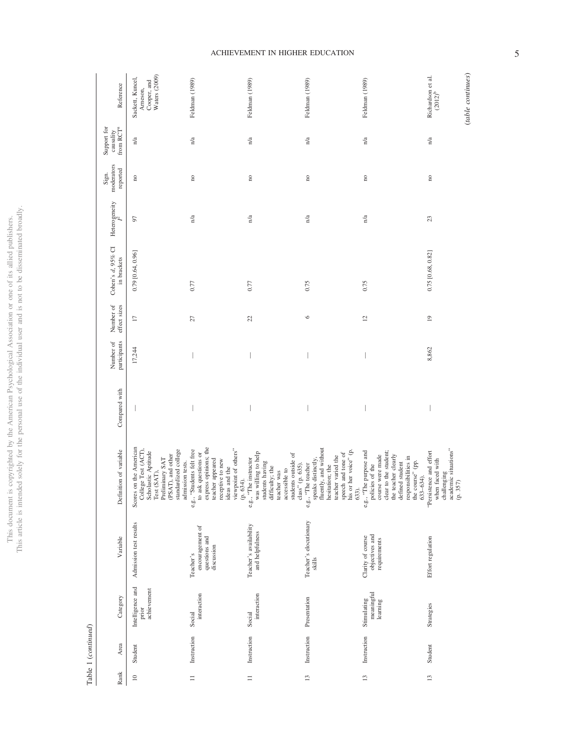This document is copyrighted by the American Psychological Association or one of its allied publishers.<br>This article is intended solely for the personal use of the individual user and is not to be disseminated broadly. This article is intended solely for the personal use of the individual user and is not to be disseminated broadly. This document is copyrighted by the American Psychological Association or one of its allied publishers.

> Table 1 (continued) Table 1 (*continued*)

| Reference                                         | Waters (2009)<br>Sackett, Kuncel,<br>Cooper, and<br>Ameson,                                                                                                             | Feldman (1989)                                                                                                                                                            | Feldman (1989)                                                                                                                                                                    | Feldman (1989)                                                                                                                                                     | Feldman (1989)                                                                                                                                                                                | Richardson et al.<br>$(2012)^{b}$                                                 |
|---------------------------------------------------|-------------------------------------------------------------------------------------------------------------------------------------------------------------------------|---------------------------------------------------------------------------------------------------------------------------------------------------------------------------|-----------------------------------------------------------------------------------------------------------------------------------------------------------------------------------|--------------------------------------------------------------------------------------------------------------------------------------------------------------------|-----------------------------------------------------------------------------------------------------------------------------------------------------------------------------------------------|-----------------------------------------------------------------------------------|
| from RCT <sup>a</sup><br>Support for<br>causality | n/a                                                                                                                                                                     | n/a                                                                                                                                                                       | n/a                                                                                                                                                                               | n/a                                                                                                                                                                | n/a                                                                                                                                                                                           | n/a                                                                               |
| moderators<br>reported<br>Sign.                   | $\overline{\phantom{0}}$                                                                                                                                                | $\overline{10}$                                                                                                                                                           | $\overline{10}$                                                                                                                                                                   | $\overline{\phantom{a}}$                                                                                                                                           | $\overline{\phantom{0}}$                                                                                                                                                                      | $\overline{\phantom{0}}$                                                          |
| Heterogeneity                                     | 57                                                                                                                                                                      | n/a                                                                                                                                                                       | n/a                                                                                                                                                                               | n/a                                                                                                                                                                | n/a                                                                                                                                                                                           | 23                                                                                |
| Cohen's d, 95% CI<br>in brackets                  | $0.79$ [0.64, 0.96]                                                                                                                                                     | 0.77                                                                                                                                                                      | 0.77                                                                                                                                                                              | 0.75                                                                                                                                                               | 0.75                                                                                                                                                                                          | $0.75$ [0.68, 0.82]                                                               |
| Number of<br>effect sizes                         | $\overline{17}$                                                                                                                                                         | 27                                                                                                                                                                        | 22                                                                                                                                                                                | $\circ$                                                                                                                                                            | $\overline{c}$                                                                                                                                                                                | $\overline{19}$                                                                   |
| Number of<br>participants                         | 17,244                                                                                                                                                                  |                                                                                                                                                                           |                                                                                                                                                                                   |                                                                                                                                                                    |                                                                                                                                                                                               | 8,862                                                                             |
| Compared with                                     |                                                                                                                                                                         |                                                                                                                                                                           |                                                                                                                                                                                   |                                                                                                                                                                    |                                                                                                                                                                                               |                                                                                   |
| Definition of variable                            | Scores on the American<br>standardized college<br>College Test (ACT),<br>Scholastic Aptitude<br>(PSAT), and other<br>Preliminary SAT<br>admission tests.<br>lest (SAT), | express opinions; the<br>"Students felt free<br>viewpoint of others"<br>to ask questions or<br>teacher appeared<br>receptive to new<br>deas and the<br>(p. 634).<br>e.g., | was willing to help<br>students outside of<br>$\mathbf{e}.\mathbf{g}$ , "The instructor<br>students having<br>class" (p. 635).<br>difficulty; the<br>accessible to<br>teacher was | fluently, and without<br>his or her voice" (p.<br>speech and tone of<br>teacher varied the<br>speaks distinctly,<br>e.g., "The teacher<br>hesitation; the<br>633). | e.g., "The purpose and<br>clear to the student;<br>course were made<br>the teacher clearly<br>responsibilities in<br>the course" (pp.<br>defined student<br>policies of the<br>$633 - 634$ ). | academic situations"<br>"Persistence and effort<br>when faced with<br>challenging |
| Variable                                          | Admission test results                                                                                                                                                  | encouragement of<br>questions and<br>discussion<br>Teacher's                                                                                                              | Teacher's availability<br>and helpfulness                                                                                                                                         | Teacher's elocutionary<br>skills                                                                                                                                   | objectives and<br>Clarity of course<br>requirements                                                                                                                                           | Effort regulation                                                                 |
| Category                                          | Intelligence and<br>achievement<br>prior                                                                                                                                | interaction<br>Social                                                                                                                                                     | interaction<br>Social                                                                                                                                                             | Presentation                                                                                                                                                       | meaningful<br>Stimulating<br>learning                                                                                                                                                         | Strategies                                                                        |
| Area                                              | Student                                                                                                                                                                 | Instruction                                                                                                                                                               | Instruction                                                                                                                                                                       | Instruction                                                                                                                                                        | Instruction                                                                                                                                                                                   | Student                                                                           |
| Rank                                              | $\overline{10}$                                                                                                                                                         | $\equiv$                                                                                                                                                                  | $\equiv$                                                                                                                                                                          | 13                                                                                                                                                                 | 13                                                                                                                                                                                            | 13                                                                                |

## ACHIEVEMENT IN HIGHER EDUCATION

5

(*table continues*)

(table continues)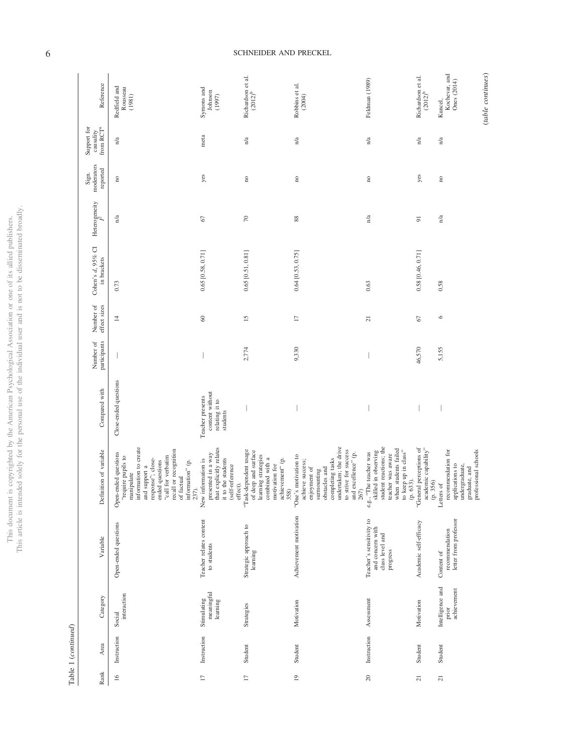This document is copyrighted by the American Psychological Association or one of its allied publishers.<br>This article is intended solely for the personal use of the individual user and is not to be disseminated broadly. This article is intended solely for the personal use of the individual user and is not to be disseminated broadly. This document is copyrighted by the American Psychological Association or one of its allied publishers.

> Table 1 (continued) Table 1 (*continued*)

| Reference                                         | Redfield and<br>Rousseau<br>(1981)                                                                                                                                                                                                        | Symons and<br>Johnson<br>(1997)                                                                                          | Richardson et al.<br>$(2012)^{b}$                                                                                                       | Robbins et al.<br>(2004)                                                                                                                                                                         | Feldman (1989)                                                                                                                                                | Richardson et al.<br>$(2012)^b$                             | (table continues)<br>Kochevar, and<br>Ones (2014)<br>Kuncel,                                                   |
|---------------------------------------------------|-------------------------------------------------------------------------------------------------------------------------------------------------------------------------------------------------------------------------------------------|--------------------------------------------------------------------------------------------------------------------------|-----------------------------------------------------------------------------------------------------------------------------------------|--------------------------------------------------------------------------------------------------------------------------------------------------------------------------------------------------|---------------------------------------------------------------------------------------------------------------------------------------------------------------|-------------------------------------------------------------|----------------------------------------------------------------------------------------------------------------|
| from RCT <sup>a</sup><br>Support for<br>causality | n/a                                                                                                                                                                                                                                       | meta                                                                                                                     | n/a                                                                                                                                     | n/a                                                                                                                                                                                              | n/a                                                                                                                                                           | n/a                                                         | n/a                                                                                                            |
| moderators<br>reported<br>Sign.                   | <b>CO</b>                                                                                                                                                                                                                                 | yes                                                                                                                      | $\mathsf{a}$                                                                                                                            | $\mathsf{R}$                                                                                                                                                                                     | $\overline{a}$                                                                                                                                                | yes                                                         | $\overline{\phantom{a}}$                                                                                       |
| Heterogeneity                                     | n/a                                                                                                                                                                                                                                       | $\mathcal{L}$                                                                                                            | $\approx$                                                                                                                               | 88                                                                                                                                                                                               | n/a                                                                                                                                                           | $\overline{5}$                                              | n/a                                                                                                            |
| Cohen's d, 95% CI<br>in brackets                  | 0.73                                                                                                                                                                                                                                      | $0.65$ [0.58, 0.71]                                                                                                      | $0.65$ [0.51, 0.81]                                                                                                                     | $0.64$ [0.53, 0.75]                                                                                                                                                                              | 0.63                                                                                                                                                          | 0.58 [0.46, 0.71]                                           | 0.58                                                                                                           |
| Number of<br>effect sizes                         | $\overline{1}$                                                                                                                                                                                                                            | $60\,$                                                                                                                   | 15                                                                                                                                      | $\overline{17}$                                                                                                                                                                                  | $\overline{c}$                                                                                                                                                | 67                                                          | $\circ$                                                                                                        |
| participants<br>Number of                         |                                                                                                                                                                                                                                           |                                                                                                                          | 2,774                                                                                                                                   | 9,330                                                                                                                                                                                            |                                                                                                                                                               | 46,570                                                      | 5,155                                                                                                          |
| Compared with                                     | Close-ended questions                                                                                                                                                                                                                     | content without<br>Teacher presents<br>relating it to<br>students                                                        |                                                                                                                                         |                                                                                                                                                                                                  |                                                                                                                                                               |                                                             |                                                                                                                |
| Definition of variable                            | information to create<br>recall or recognition<br>Open-ended questions<br>"require pupils to<br>and support a<br>response"; close-<br>ended questions<br>"call for verbatim<br>% of factual<br>information" (p.<br>$237$ ).<br>manipulate | that explicitly relates<br>presented in a way<br>it to the students<br>New information is<br>(self-reference<br>effect). | "Task-dependent usage<br>of deep and surface<br>learning strategies<br>combined with a<br>motivation for<br>achievement<br>" (p. $358)$ | undertaken; the drive<br>to strive for success<br>and excellence" (p.<br>$267$ )<br>"One's motivation to<br>obstacles and<br>completing tasks<br>achieve success;<br>enjoyment of<br>surmounting | student reactions; the<br>when students failed<br>to keep up in class"<br>skilled in observing<br>e.g., "The teacher was<br>teacher was aware<br>$(p. 633)$ . | "General perceptions of<br>academic capability"<br>(p. 356) | graduate, and<br>professional schools<br>recommendation for<br>undergraduate,<br>applications to<br>Letters of |
| Variable                                          | Open-ended questions                                                                                                                                                                                                                      | Teacher relates content<br>to students                                                                                   | Strategic approach to<br>learning                                                                                                       | Achievement motivation                                                                                                                                                                           | Teacher's sensitivity to<br>and concern with<br>class level and<br>progress                                                                                   | Academic self-efficacy                                      | letter from professor<br>recommendation<br>Content of                                                          |
| Category                                          | interaction<br>Social                                                                                                                                                                                                                     | meaningful<br>Stimulating<br>learning                                                                                    | Strategies                                                                                                                              | Motivation                                                                                                                                                                                       | Assessment                                                                                                                                                    | Motivation                                                  | Intelligence and<br>achievement<br>prior                                                                       |
| Area                                              | Instruction                                                                                                                                                                                                                               | Instruction                                                                                                              | Student                                                                                                                                 | Student                                                                                                                                                                                          | Instruction                                                                                                                                                   | Student                                                     | Student                                                                                                        |
| Rank                                              | 16                                                                                                                                                                                                                                        | $\overline{17}$                                                                                                          | $\overline{17}$                                                                                                                         | $\overline{19}$                                                                                                                                                                                  | $20\,$                                                                                                                                                        | $\overline{c}$                                              | $\overline{21}$                                                                                                |

## 6 SCHNEIDER AND PRECKEL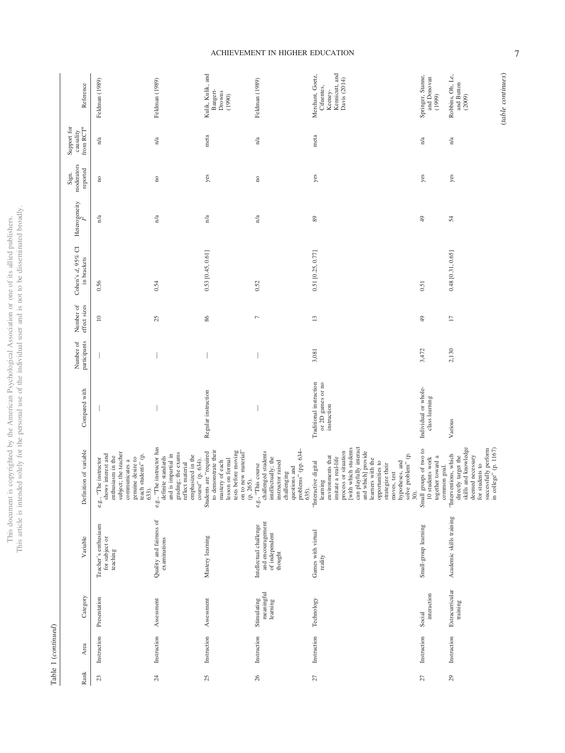| ١             | j<br>i                   |
|---------------|--------------------------|
| ł<br>j        |                          |
|               |                          |
| $\frac{4}{3}$ |                          |
|               |                          |
|               |                          |
|               |                          |
|               |                          |
|               |                          |
| j             |                          |
|               |                          |
|               |                          |
|               |                          |
|               |                          |
|               |                          |
|               |                          |
|               |                          |
|               |                          |
|               |                          |
|               |                          |
|               |                          |
|               |                          |
|               |                          |
|               |                          |
|               |                          |
|               |                          |
|               |                          |
|               | i<br>$\overline{a}$<br>i |
|               |                          |
|               |                          |
|               |                          |
|               |                          |
|               |                          |
| ĭ             |                          |
|               |                          |
| J             |                          |
|               |                          |
|               |                          |
|               |                          |
|               |                          |
|               |                          |
| l             |                          |
|               |                          |
|               |                          |
| j             |                          |
| ì             |                          |
| ł             |                          |
|               |                          |
|               |                          |
|               | $\sim$                   |
|               |                          |
| ś             |                          |
|               |                          |
|               |                          |
|               |                          |
|               |                          |
|               |                          |
|               | J                        |
| j             | ì                        |
|               |                          |
| I<br>j        |                          |
| í             |                          |
|               |                          |
| ï             |                          |
| j             |                          |
|               |                          |
|               |                          |
|               |                          |
| I             |                          |
|               |                          |
|               |                          |
|               |                          |
|               |                          |
|               |                          |
|               |                          |
|               |                          |
| Ş             |                          |
|               |                          |
| í             |                          |
|               | Ē<br>j<br>ì              |

Table 1 (continued) Table 1 (*continued*)

| Reference                                                      | Feldman (1989)                                                                                                                                                        | Feldman (1989)                                                                                                                                             | Kulik, Kulik, and<br>Bangert-<br>Drowns<br>(1990)                                                                                                   | Feldman (1989)                                                                                                                                        | Kennicutt, and<br>Davis (2014)<br>Merchant, Goetz,<br>Cifuentes,<br>Keeney-                                                                                                                                                                                                                            | Springer, Stanne,<br>and Donovan<br>(1999)                                      | Robbins, Oh, Le,<br>and Button<br>(2009)                                                                                                                     | (table continues) |
|----------------------------------------------------------------|-----------------------------------------------------------------------------------------------------------------------------------------------------------------------|------------------------------------------------------------------------------------------------------------------------------------------------------------|-----------------------------------------------------------------------------------------------------------------------------------------------------|-------------------------------------------------------------------------------------------------------------------------------------------------------|--------------------------------------------------------------------------------------------------------------------------------------------------------------------------------------------------------------------------------------------------------------------------------------------------------|---------------------------------------------------------------------------------|--------------------------------------------------------------------------------------------------------------------------------------------------------------|-------------------|
| Support for<br>causality from $\mathbb{R} \mathbb{C} \Gamma^a$ | n/a                                                                                                                                                                   | n/a                                                                                                                                                        | meta                                                                                                                                                | n/a                                                                                                                                                   | meta                                                                                                                                                                                                                                                                                                   | n/a                                                                             | n/a                                                                                                                                                          |                   |
| moderators<br>reported<br>Sign.                                | g                                                                                                                                                                     | $\overline{a}$                                                                                                                                             | yes                                                                                                                                                 | $\mathbf{e}$                                                                                                                                          | yes                                                                                                                                                                                                                                                                                                    | yes                                                                             | yes                                                                                                                                                          |                   |
| Heterogeneity                                                  | n/a                                                                                                                                                                   | n/a                                                                                                                                                        | n/a                                                                                                                                                 | n/a                                                                                                                                                   | $\,89$                                                                                                                                                                                                                                                                                                 | $\frac{1}{2}$                                                                   | 54                                                                                                                                                           |                   |
| Cohen's d, 95% CI<br>in brackets                               | 0.56                                                                                                                                                                  | 0.54                                                                                                                                                       | $0.53$ [0.45, 0.61]                                                                                                                                 | 0.52                                                                                                                                                  | $0.51$ [0.25, 0.77]                                                                                                                                                                                                                                                                                    | 0.51                                                                            | $0.48$ [0.31, 0.65]                                                                                                                                          |                   |
| Number of<br>effect sizes                                      | $\overline{10}$                                                                                                                                                       | 25                                                                                                                                                         | 86                                                                                                                                                  | $\overline{ }$                                                                                                                                        | 13                                                                                                                                                                                                                                                                                                     | $^{49}$                                                                         | $\overline{17}$                                                                                                                                              |                   |
| Number of<br>participants                                      |                                                                                                                                                                       |                                                                                                                                                            |                                                                                                                                                     |                                                                                                                                                       | 3,081                                                                                                                                                                                                                                                                                                  | 3,472                                                                           | 2,130                                                                                                                                                        |                   |
| Compared with                                                  |                                                                                                                                                                       |                                                                                                                                                            | Regular instruction                                                                                                                                 |                                                                                                                                                       | Traditional instruction<br>or 2D games or no<br>instruction                                                                                                                                                                                                                                            | Individual or whole-<br>class learning                                          | Various                                                                                                                                                      |                   |
| Definition of variable                                         | subject; the teacher<br>communicates a<br>shows interest and<br>genuine desire to<br>teach students" (p.<br>$633$ ).<br>enthusiasm in the<br>"The instructor<br>e.g., | e.g., "The instructor has<br>definite standards<br>and is impartial in<br>grading; the exams<br>reflect material<br>emphasized in the<br>course" (p. 634). | to demonstrate their<br>Students are "required<br>lesson on formal<br>tests before moving<br>on to new material"<br>mastery of each<br>$(p. 265)$ . | challenged students<br>intellectually; the<br>instructor raised<br>challenging<br>questions and<br>problems" (pp. 634–<br>635).<br>e.g., "This course | environments that<br>initiate a real-life<br>lyotes or situations<br>[with with] interact<br>can playfully interact<br>and which] provide<br>planers with the<br>stategize their<br>strategize their<br>moves, test<br>moves, test<br>hypotheses, and<br>hypothese<br>"Interactive digital<br>learning | Small groups of two to<br>together toward a<br>10 students work<br>common goal. | skills and knowledge<br>for students to<br>successfully perform<br>in college" (p. 1167)<br>"Interventions, which<br>directly target the<br>deemed necessary |                   |
| Variable                                                       | Teacher's enthusiasm<br>for subject or<br>teaching                                                                                                                    | Quality and fairness of<br>examinations                                                                                                                    | Mastery learning                                                                                                                                    | and encouragement<br>Intellectual challenge<br>of independent<br>thought                                                                              | Games with virtual<br>reality                                                                                                                                                                                                                                                                          | Small-group learning                                                            | Academic skills training                                                                                                                                     |                   |
| Category                                                       | Presentation                                                                                                                                                          | Assessment                                                                                                                                                 | Assessment                                                                                                                                          | meaningful<br>Stimulating<br>learning                                                                                                                 |                                                                                                                                                                                                                                                                                                        | interaction<br>Social                                                           | Extracurricular<br>training                                                                                                                                  |                   |
| Area                                                           | Instruction                                                                                                                                                           | Instruction                                                                                                                                                | Instruction                                                                                                                                         | Instruction                                                                                                                                           | Instruction Technology                                                                                                                                                                                                                                                                                 | Instruction                                                                     | Instruction                                                                                                                                                  |                   |
| Rank                                                           | 23                                                                                                                                                                    | 24                                                                                                                                                         | 25                                                                                                                                                  | 26                                                                                                                                                    | 27                                                                                                                                                                                                                                                                                                     | 27                                                                              | $^{29}$                                                                                                                                                      |                   |

ACHIEVEMENT IN HIGHER EDUCATION

7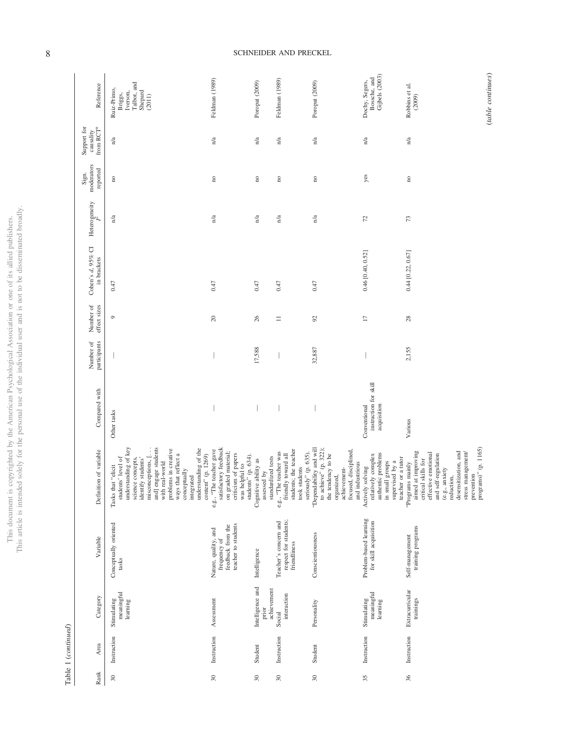Table 1 (continued)

Table 1 (*continued*)

| Reference                                         | Talbot, and<br>Ruiz-Primo,<br>Shepard<br>Iverson,<br>Briggs,<br>(2011)                                                                                                                                                                                                                                 | Feldman (1989)                                                                                                                          | Poropat (2009)                                            | Feldman (1989)                                                                                                          | Poropat (2009)                                                                                                                                   | Gijbels (2003)<br>Bossche, and<br>Dochy, Segers,                                                                        | Robbins et al.<br>(2009)                                                                                                                                                                                                          |
|---------------------------------------------------|--------------------------------------------------------------------------------------------------------------------------------------------------------------------------------------------------------------------------------------------------------------------------------------------------------|-----------------------------------------------------------------------------------------------------------------------------------------|-----------------------------------------------------------|-------------------------------------------------------------------------------------------------------------------------|--------------------------------------------------------------------------------------------------------------------------------------------------|-------------------------------------------------------------------------------------------------------------------------|-----------------------------------------------------------------------------------------------------------------------------------------------------------------------------------------------------------------------------------|
| Support for<br>from RCT <sup>a</sup><br>causality | n/a                                                                                                                                                                                                                                                                                                    | n/a                                                                                                                                     | n/a                                                       | n/a                                                                                                                     | n/a                                                                                                                                              | n/a                                                                                                                     | n/a                                                                                                                                                                                                                               |
| moderators<br>reported<br>Sign.                   | g                                                                                                                                                                                                                                                                                                      | $\mathbf{r}$                                                                                                                            | $\mathbf{e}$                                              | $\mathbf{e}$                                                                                                            | $\mathsf{R}$                                                                                                                                     | yes                                                                                                                     | $\mathbf{e}$                                                                                                                                                                                                                      |
| Heterogeneity                                     | n/a                                                                                                                                                                                                                                                                                                    | n/a                                                                                                                                     | n/a                                                       | n/a                                                                                                                     | n/a                                                                                                                                              | 52                                                                                                                      | $73\,$                                                                                                                                                                                                                            |
| Cohen's d, 95% CI<br>in brackets                  | 0.47                                                                                                                                                                                                                                                                                                   | 0.47                                                                                                                                    | 0.47                                                      | 0.47                                                                                                                    | 0.47                                                                                                                                             | 0.46 [0.40, 0.52]                                                                                                       | $0.44$ [0.22, 0.67]                                                                                                                                                                                                               |
| Number of<br>effect sizes                         | $\circ$                                                                                                                                                                                                                                                                                                | 20                                                                                                                                      | 26                                                        | $\equiv$                                                                                                                | 92                                                                                                                                               | $\Box$                                                                                                                  | $28$                                                                                                                                                                                                                              |
| participants<br>Number of                         |                                                                                                                                                                                                                                                                                                        |                                                                                                                                         | 17,588                                                    |                                                                                                                         | 32,887                                                                                                                                           |                                                                                                                         | 2,155                                                                                                                                                                                                                             |
| Compared with                                     | Other tasks                                                                                                                                                                                                                                                                                            |                                                                                                                                         |                                                           |                                                                                                                         |                                                                                                                                                  | instruction for skill<br>acquisition<br>Conventional                                                                    | Various                                                                                                                                                                                                                           |
| Definition of variable                            | and] engage students<br>understanding of key<br>problems in creative<br>understanding of the<br>misconceptions, [<br>ways that reflect a<br>content" (p. 1269)<br>students' level of<br>science concepts,<br>identify students'<br>with real-world<br>Tasks that "elicit<br>conceptually<br>integrated | satisfactory feedback<br>e.g., 'The teacher gave<br>on graded material;<br>criticism of papers<br>students" (p. 634).<br>was helpful to | standardized tests<br>Cognitive ability as<br>assessed by | students; the teacher<br>$\mathrm{e.g.},$ 'The teacher was friendly toward all<br>seriously" (p. 635).<br>took students | to achieve" (p. 322);<br>"Dependability and will<br>focused, disciplined,<br>the tendency to be<br>and industrious<br>achievement-<br>organized, | authentic problems<br>relatively complex<br>cacher or a tutor<br>supervised by a<br>in small groups<br>Actively solving | programs)" $(p. 1165)$<br>aimed at improving<br>desensitization, and<br>stress management/<br>effective emotional<br>and self-regulation<br>critical skills for<br>"Programs mainly<br>(e.g., anxiety<br>prevention<br>reduction, |
| Variable                                          | Conceptually oriented<br>tasks                                                                                                                                                                                                                                                                         | teacher to students<br>feedback from the<br>Nature, quality, and<br>frequency of                                                        | Intelligence                                              | respect for students;<br>Teacher's concern and<br>friendliness                                                          | Conscientiousness                                                                                                                                | Problem-based learning<br>for skill acquisition                                                                         | training programs<br>Self-management                                                                                                                                                                                              |
| Category                                          | Stimulating<br>meaningful<br>learning                                                                                                                                                                                                                                                                  | Assessment                                                                                                                              | Intelligence and<br>achievement<br>prior                  | interaction<br>Social                                                                                                   | Personality                                                                                                                                      | meaningful<br>Stimulating<br>learning                                                                                   | Extracurricular<br>trainings                                                                                                                                                                                                      |
| Area                                              | Instruction                                                                                                                                                                                                                                                                                            | Instruction                                                                                                                             | Student                                                   | Instruction                                                                                                             | Student                                                                                                                                          | Instruction                                                                                                             | Instruction                                                                                                                                                                                                                       |
| Rank                                              | $30\,$                                                                                                                                                                                                                                                                                                 | $30\,$                                                                                                                                  | $30\,$                                                    | $30\,$                                                                                                                  | 30                                                                                                                                               | 35                                                                                                                      | 36                                                                                                                                                                                                                                |

(*table continues*)

 $\qquad \qquad (table~continues)$ 

8 SCHNEIDER AND PRECKEL

This document is copyrighted by the American Psychological Association or one of its allied publishers.<br>This article is intended solely for the personal use of the individual user and is not to be disseminated broadly. This article is intended solely for the personal use of the individual user and is not to be disseminated broadly. This document is copyrighted by the American Psychological Association or one of its allied publishers.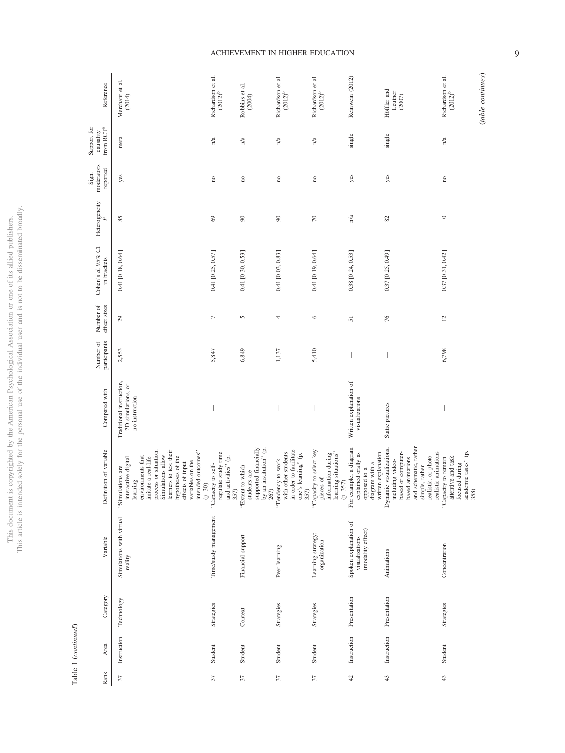This document is copyrighted by the American Psychological Association or one of its allied publishers.<br>This article is intended solely for the personal use of the individual user and is not to be disseminated broadly. This article is intended solely for the personal use of the individual user and is not to be disseminated broadly. This document is copyrighted by the American Psychological Association or one of its allied publishers.

> ${\bf Table \ 1 \ (continued)}$ Table 1 (*continued*)

| Reference                                         | Merchant et al.<br>(2014)                                                                                                                                                                                                                                             | Richardson et al.<br>$(2012)^{b}$                                        | Robbins et al.<br>(2004)                                                                       | Richardson et al.<br>$(2012)^{b}$                                                                    | Richardson et al.<br>$(2012)^{b}$                                                              | Reinwein (2012)                                                                                        | Höffler and<br>Leutner<br>(2007)                                                                                                                                                 | Richardson et al.<br>$(2012)^b$                                                            |
|---------------------------------------------------|-----------------------------------------------------------------------------------------------------------------------------------------------------------------------------------------------------------------------------------------------------------------------|--------------------------------------------------------------------------|------------------------------------------------------------------------------------------------|------------------------------------------------------------------------------------------------------|------------------------------------------------------------------------------------------------|--------------------------------------------------------------------------------------------------------|----------------------------------------------------------------------------------------------------------------------------------------------------------------------------------|--------------------------------------------------------------------------------------------|
| Support for<br>from RCT <sup>a</sup><br>causality | meta                                                                                                                                                                                                                                                                  | n/a                                                                      | n/a                                                                                            | n/a                                                                                                  | n/a                                                                                            | single                                                                                                 | single                                                                                                                                                                           | n/a                                                                                        |
| moderators<br>reported<br>Sign.                   | yes                                                                                                                                                                                                                                                                   | Ω                                                                        | <b>DU</b>                                                                                      | $\overline{a}$                                                                                       | <b>DU</b>                                                                                      | yes                                                                                                    | yes                                                                                                                                                                              | Ω                                                                                          |
| Heterogeneity                                     | 85                                                                                                                                                                                                                                                                    | $\circ$                                                                  | $\otimes$                                                                                      | $\otimes$                                                                                            | $\approx$                                                                                      | n/a                                                                                                    | $82\,$                                                                                                                                                                           | $\circ$                                                                                    |
| Cohen's d, 95% CI<br>in brackets                  | $0.41$ [0.18, 0.64]                                                                                                                                                                                                                                                   | $0.41$ [0.25, 0.57]                                                      | 0.41 [0.30, 0.53]                                                                              | $0.41$ [0.03, 0.83]                                                                                  | $0.41$ [0.19, 0.64]                                                                            | 0.38 [0.24, 0.53]                                                                                      | 0.37 [0.25, 0.49]                                                                                                                                                                | $0.37$ [0.31, 0.42]                                                                        |
| Number of<br>effect sizes                         | 29                                                                                                                                                                                                                                                                    | $\overline{ }$                                                           | 5                                                                                              | 4                                                                                                    | $\circ$                                                                                        | 51                                                                                                     | 76                                                                                                                                                                               | $\overline{c}$                                                                             |
| participants<br>Number of                         | 2,553                                                                                                                                                                                                                                                                 | 5,847                                                                    | 6,849                                                                                          | 1,137                                                                                                | 5,410                                                                                          |                                                                                                        |                                                                                                                                                                                  | 6,798                                                                                      |
| Compared with                                     | Traditional instruction,<br>2D simulations, or<br>no instruction                                                                                                                                                                                                      |                                                                          |                                                                                                |                                                                                                      |                                                                                                | Written explanation of<br>visualizations                                                               | Static pictures                                                                                                                                                                  |                                                                                            |
| Definition of variable                            | learners to test their<br>process or situation.<br>ntended outcomes"<br>Simulations allow<br>environments that<br>hypotheses of the<br>imitate a real-life<br>interactive digital<br>variables on the<br>effects of input<br>"Simulations are<br>learning<br>(p. 30). | regulate study time<br>and activities" (p.<br>"Capacity to self-<br>357) | supported financially<br>by an institution" (p.<br>$267$ )<br>"Extent to which<br>students are | in order to facilitate<br>one's learning" (p.<br>$357$ )<br>with other students<br>"Tendency to work | "Capacity to select key<br>pieces of<br>information during<br>learning situations"<br>(p. 357) | For example, a diagram<br>written explanation<br>explained orally as<br>diagram with a<br>opposed to a | and schematic, rather<br>simple, rather<br>Dynamic visualizations,<br>including video-<br>based or computer-<br>realistic animations<br>realistic, or photo-<br>based animations | academic tasks" (p.<br>attentive and task<br>"Capacity to remain<br>focused during<br>358) |
| Variable                                          | Simulations with virtual<br>reality                                                                                                                                                                                                                                   | Time/study management                                                    | Financial support                                                                              | Peer learning                                                                                        | Learning strategy:<br>organization                                                             | Spoken explanation of<br>(modality effect)<br>visualizations                                           | Animations                                                                                                                                                                       | Concentration                                                                              |
| Category                                          | Technology                                                                                                                                                                                                                                                            | Strategies                                                               | Context                                                                                        | Strategies                                                                                           | Strategies                                                                                     | Presentation                                                                                           | Presentation                                                                                                                                                                     | Strategies                                                                                 |
| Area                                              | Instruction                                                                                                                                                                                                                                                           | Student                                                                  | Student                                                                                        | Student                                                                                              | Student                                                                                        | Instruction                                                                                            | Instruction                                                                                                                                                                      | Student                                                                                    |
| Rank                                              | $57\,$                                                                                                                                                                                                                                                                | 57                                                                       | 37                                                                                             | 37                                                                                                   | 37                                                                                             | 42                                                                                                     | 43                                                                                                                                                                               | 43                                                                                         |

## ACHIEVEMENT IN HIGHER EDUCATION

9

(*table continues*)

(table continues)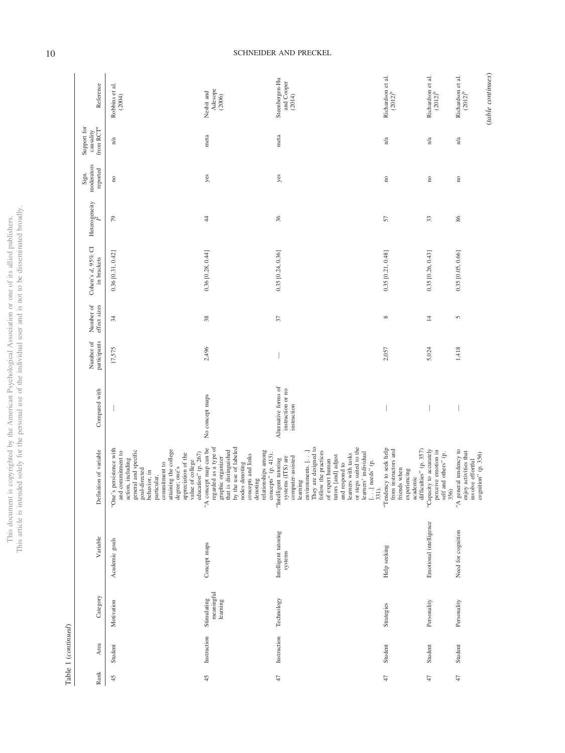|              | ¢              |
|--------------|----------------|
| í            |                |
| ś            |                |
| ţ            |                |
| į            |                |
|              |                |
|              |                |
|              |                |
|              |                |
|              |                |
| í            | i              |
|              |                |
|              | ţ              |
| i            |                |
|              |                |
|              |                |
|              |                |
|              | ì              |
|              | j              |
| È            |                |
|              |                |
|              |                |
|              |                |
|              |                |
|              |                |
|              |                |
|              | i<br>j         |
|              |                |
|              |                |
|              |                |
|              |                |
| C<br>C       |                |
| j            |                |
| J.<br>J      |                |
| í            |                |
|              |                |
|              |                |
|              |                |
|              |                |
| l            | $\overline{a}$ |
|              |                |
|              |                |
| į            |                |
| é            |                |
|              |                |
|              |                |
|              |                |
|              |                |
| $\ln e$ /    |                |
|              |                |
|              |                |
|              | ĕ              |
|              |                |
|              | J              |
| j            |                |
| ₹<br>j<br>j  |                |
|              | ï              |
| 1999.12<br>ï |                |
| ì            |                |
|              |                |
|              |                |
|              |                |
|              | I              |
|              |                |
| ļ            |                |
|              |                |
|              |                |
|              |                |
|              |                |
| in o         |                |
| Ë            |                |
| i            | i              |
| ł            | e stu          |
|              | ⋍              |
|              | Ĭ<br>۰         |

 $\overrightarrow{a}$ 

Table 1 (continued) Table 1 (*continued*)

| Reference                                                   | Robbins et al.<br>(2004)                                                                                                                                                                                                                                               | Adesope<br>Nesbit and<br>(2006)                                                                                                                                                                                         | Steenbergen-Hu<br>and Cooper<br>(2014)                                                                                                                                                                                                                                                                                           | Richardson et al.<br>$(2012)^b$                                                                                      | Richardson et al.<br>$(2012)^{b}$                                              | (table continues)<br>Richardson et al.<br>$(2012)^b$                                           |  |
|-------------------------------------------------------------|------------------------------------------------------------------------------------------------------------------------------------------------------------------------------------------------------------------------------------------------------------------------|-------------------------------------------------------------------------------------------------------------------------------------------------------------------------------------------------------------------------|----------------------------------------------------------------------------------------------------------------------------------------------------------------------------------------------------------------------------------------------------------------------------------------------------------------------------------|----------------------------------------------------------------------------------------------------------------------|--------------------------------------------------------------------------------|------------------------------------------------------------------------------------------------|--|
| causality<br>from $\mathbb{R} C\mathbb{T}^a$<br>Support for | n/a                                                                                                                                                                                                                                                                    | meta                                                                                                                                                                                                                    | meta                                                                                                                                                                                                                                                                                                                             | n/a                                                                                                                  | $\mathbf{n}/\mathbf{a}$                                                        | n/a                                                                                            |  |
| moderators<br>reported<br>Sign.                             | Ω                                                                                                                                                                                                                                                                      | yes                                                                                                                                                                                                                     | yes                                                                                                                                                                                                                                                                                                                              | <b>DU</b>                                                                                                            | $\mathsf{S}$                                                                   | $\overline{a}$                                                                                 |  |
| Heterogeneity                                               | 79                                                                                                                                                                                                                                                                     | $\ddot{a}$                                                                                                                                                                                                              | 36                                                                                                                                                                                                                                                                                                                               | 57                                                                                                                   | 33                                                                             | 86                                                                                             |  |
| Cohen's d, 95% CI<br>in brackets                            | $0.36$ [0.31, 0.42]                                                                                                                                                                                                                                                    | $0.36$ [0.28, 0.44]                                                                                                                                                                                                     | 0.35 [0.24, 0.36]                                                                                                                                                                                                                                                                                                                | $0.35$ [0.21, 0.48]                                                                                                  | 0.35 [0.26, 0.43]                                                              | $0.35$ [0.05, 0.66]                                                                            |  |
| Number of<br>effect sizes                                   | 34                                                                                                                                                                                                                                                                     | $38\,$                                                                                                                                                                                                                  | $37\,$                                                                                                                                                                                                                                                                                                                           | ${}^{\infty}$                                                                                                        | $\overline{1}$                                                                 | 5                                                                                              |  |
| participants<br>Number of                                   | 17,575                                                                                                                                                                                                                                                                 | 2,496                                                                                                                                                                                                                   |                                                                                                                                                                                                                                                                                                                                  | 2,057                                                                                                                | 5,024                                                                          | 1,418                                                                                          |  |
| Compared with                                               |                                                                                                                                                                                                                                                                        | No concept maps                                                                                                                                                                                                         | Alternative forms of<br>instruction or no<br>instruction                                                                                                                                                                                                                                                                         |                                                                                                                      |                                                                                |                                                                                                |  |
| Definition of variable                                      | "One's persistence with<br>attaining the college<br>general and specific<br>goal-directed<br>behavior, in<br>and commitment to<br>action, including<br>education" (p. 267)<br>appreciation of the<br>value of college<br>commitment to<br>degree; one's<br>particular, | regarded as a type of<br>graphic organizer<br>that is distinguished<br>by the use of labeled<br>"A concept map can be<br>denoting<br>relationships among<br>concepts" (p. 413).<br>nodes denoting<br>concepts and links | computer-assisted<br>learning<br>therming []<br>They are designed to<br>follow the practices<br>of expert human<br>of expert human<br>murs [and] adjust<br>annews [and] adjust<br>or steps suited to the<br>learners' individual<br>systems (ITS) are<br>"Intelligent tutoring<br>$\therefore$ ] needs" (p.<br>$\frac{1}{331}$ . | "Tendency to seek help<br>from instructors and<br>friends when<br>experiencing<br>academic<br>difficulties" (p. 357) | "Capacity to accurately<br>perceive emotion in<br>self and others" (p.<br>356) | $\lq\lq$ general tendency to enjoy activities that<br>involve effortful<br>cognition" (p. 356) |  |
| Variable                                                    | Academic goals                                                                                                                                                                                                                                                         | Concept maps                                                                                                                                                                                                            | Intelligent tutoring<br>systems                                                                                                                                                                                                                                                                                                  | Help seeking                                                                                                         | Emotional intelligence                                                         | Need for cognition                                                                             |  |
| Category                                                    | Motivation                                                                                                                                                                                                                                                             | meaningful<br>Stimulating<br>learning                                                                                                                                                                                   | Technology                                                                                                                                                                                                                                                                                                                       | Strategies                                                                                                           | Personality                                                                    | Personality                                                                                    |  |
| Area                                                        | Student                                                                                                                                                                                                                                                                | Instruction                                                                                                                                                                                                             | Instruction                                                                                                                                                                                                                                                                                                                      | Student                                                                                                              | Student                                                                        | Student                                                                                        |  |
| Rank                                                        | 45                                                                                                                                                                                                                                                                     | 45                                                                                                                                                                                                                      | $47$                                                                                                                                                                                                                                                                                                                             | 47                                                                                                                   | $47$                                                                           | $47$                                                                                           |  |

## 10 SCHNEIDER AND PRECKEL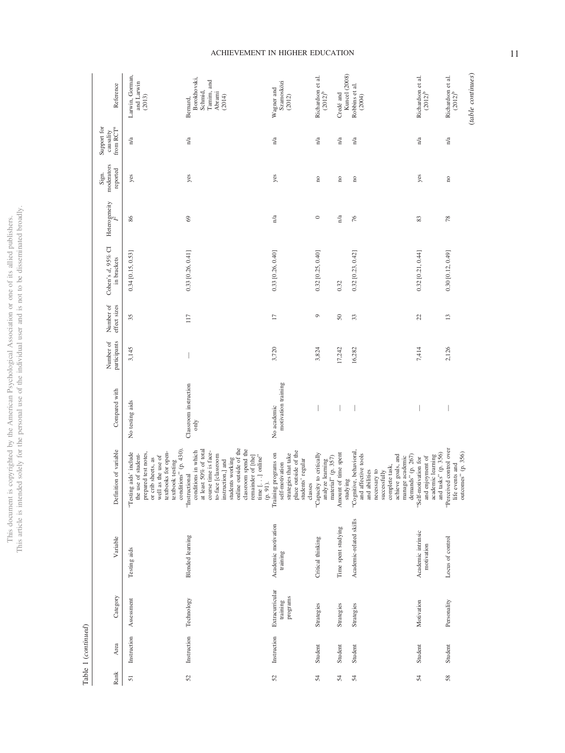|                          | Reference              | Larwin, Gorman,<br>and Larwin<br>(2013)                                                                                                                                               | Borokhovski,<br>Tamim, and<br>Schmid,<br>Abrami<br>(2014)<br>Bernard,                                                                                                                                                                                                                                             | Szamosközi<br>Wagner and<br>(2012)                                                                                      | Richardson et al.<br>$(2012)^{b}$                                 | <b>Kuncel</b> (2008)<br>Credé and | Robbins et al.<br>(2004)                                                                                                                                                                              | Richardson et al.<br>$(2012)^{b}$                                                    | Richardson et al.<br>$(2012)^{b}$                                  | (table continues) |
|--------------------------|------------------------|---------------------------------------------------------------------------------------------------------------------------------------------------------------------------------------|-------------------------------------------------------------------------------------------------------------------------------------------------------------------------------------------------------------------------------------------------------------------------------------------------------------------|-------------------------------------------------------------------------------------------------------------------------|-------------------------------------------------------------------|-----------------------------------|-------------------------------------------------------------------------------------------------------------------------------------------------------------------------------------------------------|--------------------------------------------------------------------------------------|--------------------------------------------------------------------|-------------------|
| Support for<br>causality | from RCT <sup>a</sup>  | n/a                                                                                                                                                                                   | n/a                                                                                                                                                                                                                                                                                                               | n/a                                                                                                                     | n/a                                                               | n/a                               | n/a                                                                                                                                                                                                   | n/a                                                                                  | $\mathbf{n}/\mathbf{a}$                                            |                   |
| moderators<br>Sign.      | reported               | yes                                                                                                                                                                                   | yes                                                                                                                                                                                                                                                                                                               | yes                                                                                                                     | $\mathsf{R}$                                                      | œ                                 | g                                                                                                                                                                                                     | yes                                                                                  | <b>PU</b>                                                          |                   |
|                          | Heterogeneity          | 86                                                                                                                                                                                    | \$                                                                                                                                                                                                                                                                                                                | n/a                                                                                                                     | $\circ$                                                           | n/a                               | 76                                                                                                                                                                                                    | 83                                                                                   | 78                                                                 |                   |
| Cohen's d, 95% CI        | in brackets            | 0.34 [0.15, 0.53]                                                                                                                                                                     | $0.33$ [0.26, 0.41]                                                                                                                                                                                                                                                                                               | $0.33$ [0.26, 0.40]                                                                                                     | $0.32$ [0.25, 0.40]                                               | 0.32                              | $0.32$ [0.23, 0.42]                                                                                                                                                                                   | $0.32$ [0.21, 0.44]                                                                  | $0.30$ [0.12, 0.49]                                                |                   |
| Number of                | effect sizes           | 35                                                                                                                                                                                    | 117                                                                                                                                                                                                                                                                                                               | $\Box$                                                                                                                  | Ó                                                                 | $\mathcal{S}$                     | 33                                                                                                                                                                                                    | $\mathbb{Z}$                                                                         | $\mathbf{L}$                                                       |                   |
| Number of                | participants           | 3,145                                                                                                                                                                                 |                                                                                                                                                                                                                                                                                                                   | 3,720                                                                                                                   | 3,824                                                             | 17,242                            | 16,282                                                                                                                                                                                                | 7,414                                                                                | 2,126                                                              |                   |
|                          | Compared with          | No testing aids                                                                                                                                                                       | Classroom instruction<br>only                                                                                                                                                                                                                                                                                     | motivation training<br>No academic                                                                                      |                                                                   |                                   |                                                                                                                                                                                                       |                                                                                      |                                                                    |                   |
|                          | Definition of variable | conditions" (p. 430).<br>textbooks for open-<br>textbook testing<br>the use of student-<br>prepared test notes,<br>or crib sheets, as<br>well as the use of<br>"Testing aids' include | at least $50\%$ of total<br>course time is face-<br>course delastorom<br>inclusted classroom<br>students working<br>online outside of the<br>classroom spend the<br>classroom spend the<br>classroom spend the<br>classroom spend the<br>classroom spend th<br>conditions in which<br>"Instructional<br>$(p, 91)$ | place outside of the<br>students' regular<br>Training programs on<br>self-motivation<br>strategies that take<br>classes | "Capacity to critically<br>analyze learning<br>material" (p. 357) | Amount of time spent<br>studying  | "Cognitive, behavioral,<br>and affective tools<br>and abilities<br>necessary to<br>successfully<br>complete task,<br>achieve goals, and<br>achieve goals, and<br>manage academic<br>demands" (p. 267) | academic learning<br>and tasks" (p. 356)<br>and enjoyment of<br>"Self-motivation for | "Perceived control over<br>life events and<br>outcomes" $(p. 356)$ |                   |
|                          | Variable               | Testing aids                                                                                                                                                                          | <b>Blended</b> learning                                                                                                                                                                                                                                                                                           | Academic motivation<br>training                                                                                         | Critical thinking                                                 | Time spent studying               | Academic-related skills                                                                                                                                                                               | Academic intrinsic<br>motivation                                                     | Locus of control                                                   |                   |
|                          | Category               | Assessment                                                                                                                                                                            | Technology                                                                                                                                                                                                                                                                                                        | Extracurricular<br>programs<br>training                                                                                 | Strategies                                                        | Strategies                        | Strategies                                                                                                                                                                                            | Motivation                                                                           | Personality                                                        |                   |
|                          | Area                   | Instruction                                                                                                                                                                           | Instruction                                                                                                                                                                                                                                                                                                       | Instruction                                                                                                             | Student                                                           | Student                           | Student                                                                                                                                                                                               | Student                                                                              | Student                                                            |                   |
|                          | Rank                   | 51                                                                                                                                                                                    | 52                                                                                                                                                                                                                                                                                                                | 52                                                                                                                      | 54                                                                | 54                                | 54                                                                                                                                                                                                    | 54                                                                                   | 58                                                                 |                   |

## ACHIEVEMENT IN HIGHER EDUCATION 11

This document is copyrighted by the American Psychological Association or one of its allied publishers.<br>This article is intended solely for the personal use of the individual user and is not to be disseminated broadly. This article is intended solely for the personal use of the individual user and is not to be disseminated broadly. This document is copyrighted by the American Psychological Association or one of its allied publishers.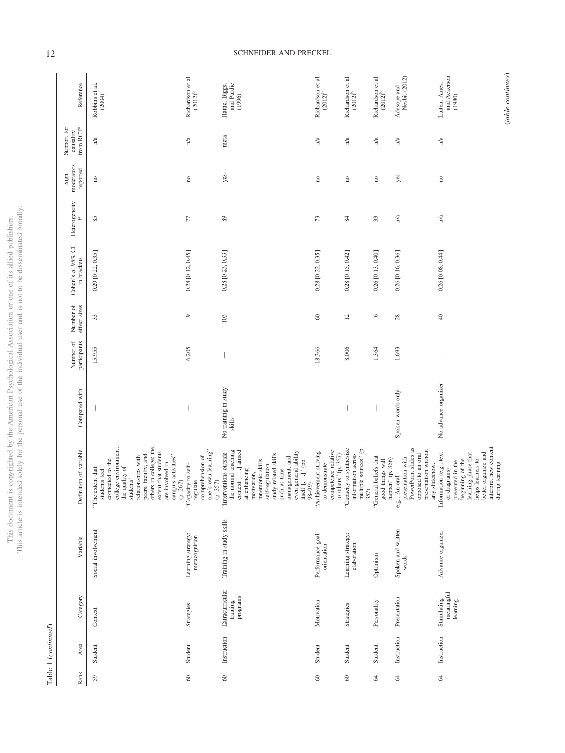| j<br>é<br>ł<br>Ś<br>Ì<br>ì<br>į                                                                | C<br>C<br>Ì<br>١                              |
|------------------------------------------------------------------------------------------------|-----------------------------------------------|
|                                                                                                |                                               |
| j<br>ì<br>)<br>í<br>ï<br>$\frac{1}{2}$<br><b>Contract</b><br>Ľ                                 | ١<br>¢<br>ì                                   |
| i<br>ĭ<br>į<br>r<br>S<br>¢<br>ś                                                                | í                                             |
| ì<br>i<br>ł<br>j<br>ì<br>Í<br>J<br>$\frac{1}{2}$<br>Contract<br>š<br>$\overline{ms}$<br>i<br>ł | J<br>i<br>Hu<br>₹<br>č,<br>$\frac{1}{2}$<br>ä |

Ŝ

Table 1 (continued) Table 1 (*continued*)

| Reference                                         | Robbins et al.<br>(2004)                                                                                                                                                                                                                                         | Richardson et al.<br>$(2012)^{b}$                                                     | Hattie, Biggs,<br>and Purdie<br>(1996)                                                                                                                                                                                                                   | Richardson et al.<br>$(2012)^{b}$                                                     | Richardson et al.<br>$(2012)^b$                                                | Richardson et al.<br>$(2012)^{b}$                             | Nesbit (2012)<br>Adesope and                                                                                               | and Ackerson<br>Luiten, Ames,<br>(1980)                                                                                                                                                         | (table continues) |
|---------------------------------------------------|------------------------------------------------------------------------------------------------------------------------------------------------------------------------------------------------------------------------------------------------------------------|---------------------------------------------------------------------------------------|----------------------------------------------------------------------------------------------------------------------------------------------------------------------------------------------------------------------------------------------------------|---------------------------------------------------------------------------------------|--------------------------------------------------------------------------------|---------------------------------------------------------------|----------------------------------------------------------------------------------------------------------------------------|-------------------------------------------------------------------------------------------------------------------------------------------------------------------------------------------------|-------------------|
| from RCT <sup>a</sup><br>Support for<br>causality | n/a                                                                                                                                                                                                                                                              | n/a                                                                                   | meta                                                                                                                                                                                                                                                     | n/a                                                                                   | n/a                                                                            | n/a                                                           | n/a                                                                                                                        | n/a                                                                                                                                                                                             |                   |
| $mod$ erators<br>reported<br>Sign.                | œ                                                                                                                                                                                                                                                                | $\overline{\phantom{a}}$                                                              | yes                                                                                                                                                                                                                                                      | $\overline{a}$                                                                        | Ω                                                                              | $\mathsf{m}$                                                  | yes                                                                                                                        | g                                                                                                                                                                                               |                   |
| Heterogeneity                                     | 85                                                                                                                                                                                                                                                               | 77                                                                                    | 89                                                                                                                                                                                                                                                       | 73                                                                                    | 34                                                                             | 33                                                            | n/a                                                                                                                        | n/a                                                                                                                                                                                             |                   |
| Cohen's d, 95% CI<br>in brackets                  | $0.29$ [0.22, 0.35]                                                                                                                                                                                                                                              | $0.28$ [0.12, 0.45]                                                                   | $0.28$ [0.23, 0.33]                                                                                                                                                                                                                                      | $0.28$ [0.22, 0.35]                                                                   | $0.28$ [0.15, 0.42]                                                            | $0.26$ [0.13, 0.40]                                           | $0.26$ [0.16, 0.36]                                                                                                        | $0.26$ [0.08, 0.44]                                                                                                                                                                             |                   |
| Number of<br>effect sizes                         | 33                                                                                                                                                                                                                                                               | $\circ$                                                                               | 103                                                                                                                                                                                                                                                      | $\otimes$                                                                             | $\overline{c}$                                                                 | $\circ$                                                       | 28                                                                                                                         | $\Theta$                                                                                                                                                                                        |                   |
| participants<br>Number of                         | 15,955                                                                                                                                                                                                                                                           | 6,205                                                                                 |                                                                                                                                                                                                                                                          | 18,366                                                                                | 8,006                                                                          | 1,364                                                         | 1,693                                                                                                                      |                                                                                                                                                                                                 |                   |
| Compared with                                     |                                                                                                                                                                                                                                                                  |                                                                                       | No training in study<br>skills                                                                                                                                                                                                                           |                                                                                       |                                                                                |                                                               | Spoken words only                                                                                                          | No advance organizer                                                                                                                                                                            |                   |
| Definition of variable                            | others in college; the<br>college environment;<br>extent that students<br>peers, faculty, and<br>campus activities"<br>relationships with<br>connected to the<br>are involved in<br>the quality of<br>students'<br>"The extent that<br>students feel<br>(p. 267) | one's own learning"<br>(p. 357)<br>comprehension of<br>"Capacity to self-<br>regulate | the normal teaching<br>context [] aimed<br>management, and<br>even general ability<br>"Interventions outside<br>study-related skills<br>mnemonic skills,<br>self-regulation,<br>itself []" (pp.<br>98–99)<br>such as time<br>at enhancing<br>motivation, | competence relative<br>"Achievement striving<br>to others" (p. 357)<br>to demonstrate | "Capacity to synthesize<br>information across<br>multiple sources" (p.<br>357) | "General beliefs that<br>good things will<br>happen" (p. 356) | presentation with<br>PowerPoint slides as<br>presentation without<br>any slideshow.<br>opposed to an oral<br>e.g., An oral | interpret new content<br>Information (e.g., text<br>better organize and<br>learning phase that<br>beginning of the<br>helps learners to<br>presented in the<br>during learning.<br>or diagrams) |                   |
| Variable                                          | Social involvement                                                                                                                                                                                                                                               | Learning strategy:<br>metacognition                                                   | Training in study skills                                                                                                                                                                                                                                 | Performance goal<br>orientation                                                       | Learning strategy:<br>elaboration                                              | Optimism                                                      | Spoken and written<br>words                                                                                                | Advance organizer                                                                                                                                                                               |                   |
| Category                                          | Context                                                                                                                                                                                                                                                          | Strategies                                                                            | Extracurricular<br>programs<br>training                                                                                                                                                                                                                  | Motivation                                                                            | Strategies                                                                     | Personality                                                   | Presentation                                                                                                               | meaningful<br>learning<br>Stimulating                                                                                                                                                           |                   |
| Area                                              | Student                                                                                                                                                                                                                                                          | Student                                                                               | Instruction                                                                                                                                                                                                                                              | Student                                                                               | Student                                                                        | Student                                                       | Instruction                                                                                                                | Instruction                                                                                                                                                                                     |                   |
| Rank                                              | 59                                                                                                                                                                                                                                                               | 60                                                                                    | 60                                                                                                                                                                                                                                                       | 60                                                                                    | $\odot$                                                                        | 64                                                            | 64                                                                                                                         | 64                                                                                                                                                                                              |                   |

## 12 SCHNEIDER AND PRECKEL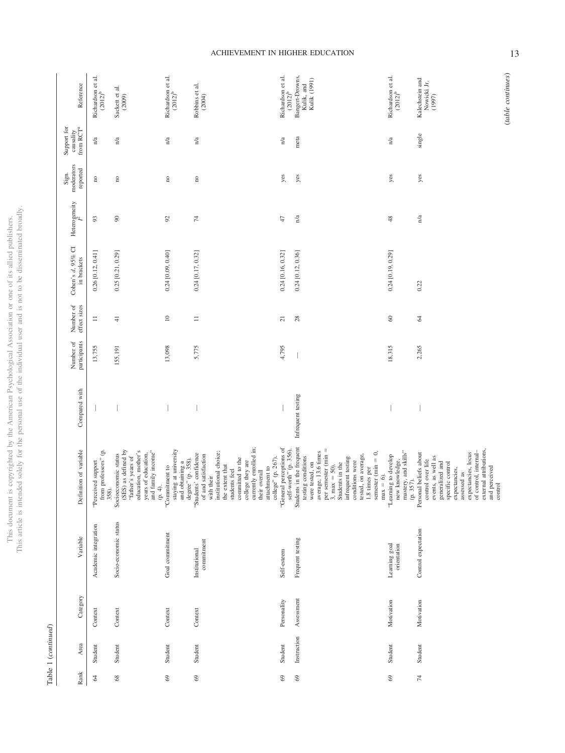| Rank          | Area        | Category    | Variable                     | Definition of variable                                                                                                                                                                                                                                      | Compared with      | participants<br>Number of | Number of<br>effect sizes | Cohen's d, 95% CI<br>in brackets | Heterogeneity<br>$r^2$ | moderators<br>reported<br>Sign. | Support for<br>from RCT <sup>a</sup><br>causality | Reference                                     |
|---------------|-------------|-------------|------------------------------|-------------------------------------------------------------------------------------------------------------------------------------------------------------------------------------------------------------------------------------------------------------|--------------------|---------------------------|---------------------------|----------------------------------|------------------------|---------------------------------|---------------------------------------------------|-----------------------------------------------|
| $\mathcal{L}$ | Student     | Context     | Academic integration         | from professors" (p.<br>"Perceived support<br>358).                                                                                                                                                                                                         |                    | 13,755                    | $\equiv$                  | $0.26$ [0.12, 0.41]              | 93                     | $\mathbf{r}$                    | n/a                                               | Richardson et al.<br>$(2012)^b$               |
| 68            | Student     | Context     | Socio-economic status        | (SES) as defined by<br>education, mother's<br>years of education,<br>and family income"<br>Socioeconomic status<br>'father's years of                                                                                                                       |                    | 155,191                   | $\overline{+}$            | $0.25$ [0.21, 0.29]              | $\infty$               | $\mathbf{e}$                    | n/a                                               | Sackett et al.<br>(2009)                      |
| $\mathcal{C}$ | Student     | Context     | Goal commitment              | staying at university<br>"Commitment to<br>$(p. 4).$                                                                                                                                                                                                        |                    | 13,098                    | $\supseteq$               | 0.24 [0.09, 0.40]                | $\mathcal{S}$          | $\mathsf{R}$                    | n/a                                               | Richardson et al.<br>(2012) <sup>b</sup>      |
| 69            | Student     | Context     | commitment<br>Institutional  | currently enrolled in;<br>institutional choice;<br>and obtaining a<br>degree" (p. 358).<br>"Students" confidence<br>of and satisfaction<br>committed to the<br>college they are<br>the extent that<br>students feel<br>their overall<br>with their          |                    | 5,775                     | $\equiv$                  | $0.24$ [0.17, 0.32]              | 74                     | $\overline{a}$                  | n/a                                               | Robbins et al.<br>(2004)                      |
| 69            | Student     | Personality | Self-esteem                  | "General perceptions of<br>self-worth" (p. 356).<br>college" (p. 267).<br>attachment to                                                                                                                                                                     |                    | 4,795                     | $\overline{c}$            | $0.24$ [0.16, 0.32]              | $41$                   | yes                             | n/a                                               | Richardson et al.<br>$(2012)^b$               |
| 69            | Instruction | Assessment  | Frequent testing             | Students in the frequent<br>$per$ semester (min $=$<br>average, 13.6 times<br>testing conditions<br>were tested, on<br>3, max = 50).                                                                                                                        | Infrequent testing |                           | $28$                      | $0.24$ [0.12, 0.36]              | n/a                    | yes                             | meta                                              | Bangert-Drowns,<br>Kulik (1991)<br>Kulik, and |
|               |             |             |                              | semester (min $= 0$ ,<br>tested, on average,<br>infrequent testing<br>conditions were<br>Students in the<br>1.8 times per                                                                                                                                   |                    |                           |                           |                                  |                        |                                 |                                                   |                                               |
| 69            | Student     | Motivation  | Learning goal<br>orientation | mastery, and skills"<br>"Learning to develop<br>new knowledge,<br>$max = 6$ .                                                                                                                                                                               |                    | 18,315                    | 60                        | $0.24$ [0.19, 0.29]              | 48                     | yes                             | n/a                                               | Richardson et al.<br>$(2012)^b$               |
|               | Student     | Motivation  | Control expectation          | external attributions,<br>of control, internal-<br>expectancies, locus<br>Personal beliefs about<br>events, as well as<br>control over life<br>generalized and<br>specific control<br>and perceived<br>expectancies,<br>assessed as<br>(p. 357).<br>control |                    | 2,265                     | 64                        | 0.22                             | n/a                    | yes                             | single                                            | Kalechstein and<br>Nowicki Jr.<br>(1997)      |

ACHIEVEMENT IN HIGHER EDUCATION 13

This document is copyrighted by the American Psychological Association or one of its allied publishers.<br>This article is intended solely for the personal use of the individual user and is not to be disseminated broadly. This article is intended solely for the personal use of the individual user and is not to be disseminated broadly. This document is copyrighted by the American Psychological Association or one of its allied publishers.

> $Table~1~(continued)$ Table 1 (*continued*)

(table continues) (*table continues*)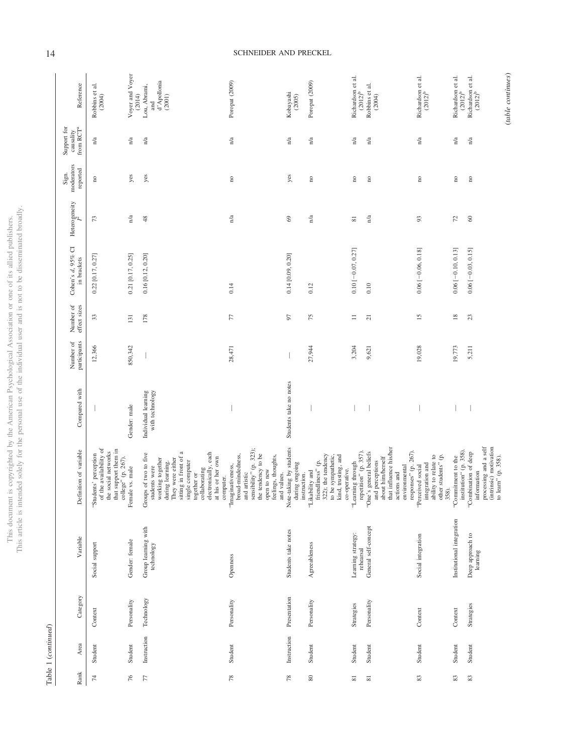|                          | Table 1 (continued) |              |                                   |                                                                                                                                                                                                                                                         |                                        |                           |                           |                                  |                        |                                 |                                                                  |                                              |
|--------------------------|---------------------|--------------|-----------------------------------|---------------------------------------------------------------------------------------------------------------------------------------------------------------------------------------------------------------------------------------------------------|----------------------------------------|---------------------------|---------------------------|----------------------------------|------------------------|---------------------------------|------------------------------------------------------------------|----------------------------------------------|
| Rank                     | Area                | Category     | Variable                          | Definition of variable                                                                                                                                                                                                                                  | Compared with                          | Number of<br>participants | Number of<br>effect sizes | Cohen's d, 95% CI<br>in brackets | Heterogeneity<br>$r^2$ | moderators<br>reported<br>Sign. | Support for<br>causality from $\mathbb{R}\mathbb{C}\mathbb{T}^a$ | Reference                                    |
| $74$                     | Student             | Context      | Social support                    | "Students' perception<br>of the availability of<br>that support them in<br>social networks<br>college" (p. 267).<br>the $\,$                                                                                                                            |                                        | 12,366                    | 33                        | $0.22$ [0.17, 0.27]              | 73                     | œ                               | n/a                                                              | Robbins et al.<br>(2004)                     |
| 76                       | Student             | Personality  | Gender: female                    | Female vs. male                                                                                                                                                                                                                                         | Gender: male                           | 850,342                   | 131                       | 0.21 [0.17, 0.25]                | n/a                    | yes                             | n/a                                                              | Voyer and Voyer<br>(2014)                    |
| $77\,$                   | Instruction         | Technology   | Group learning with<br>technology | working together<br>during learning.<br>They were either<br>sing in front of a<br>single information<br>together or<br>together or<br>collaborating<br>Groups of two to five<br>electronically, each<br>at his or her own<br>students were<br>computer. | with technology<br>Individual learning |                           | 178                       | $0.16$ [0.12, 0.20]              | 48                     | yes                             | n/a                                                              | d'Apollonia<br>(2001)<br>Lou, Abrami,<br>and |
| 78                       | Student             | Personality  | Openness                          | and artistic $(p, 323)$ ;<br>sensibility" $(p, 323)$ ;<br>the tendency to be<br>open to new<br>feelings, thoughts,<br>"Imaginativeness,<br>broad-mindedness,<br>values.<br>and                                                                          |                                        | 28,471                    | 77                        | 0.14                             | n/a                    | $\mathbf{r}$                    | n/a                                                              | Poropat (2009)                               |
| 78                       | Instruction         | Presentation | Students take notes               | Note-taking by students<br>during ongoing                                                                                                                                                                                                               | Students take no notes                 |                           | 5                         | $0.14$ [0.09, 0.20]              | 69                     | yes                             | n/a                                                              | Kobayashi<br>(2005)                          |
| $\rm 80$                 | Student             | Personality  | Agreeableness                     | friendliness" (p. 322); the tendency<br>to be sympathetic, to be sympathetic,<br>kind, trusting, and<br>co-operative.                                                                                                                                   |                                        | 27,944                    | 75                        | 0.12                             | n/a                    | $\mathbf{e}$                    | n/a                                                              | Poropat (2009)                               |
| $\overline{\phantom{0}}$ | Student             | Strategies   | Learning strategy:<br>rehearsal   | "Learning through                                                                                                                                                                                                                                       |                                        | 3,204                     | $\equiv$                  | $0.10[-0.07, 0.27]$              | $\overline{\text{8}}$  | g                               | n/a                                                              | Richardson et al.<br>$(2012)^{b}$            |
| $\overline{\phantom{0}}$ | Student             | Personality  | General self-concept              | influence his/her<br>responses" (p. 267).<br>repetition" (p. 357).<br>"One's general beliefs<br>and perceptions<br>about him/herself<br>that influence his/her<br>environmental<br>actions and                                                          |                                        | 9,621                     | $\overline{c}$            | 0.10                             | n/a                    | œ                               | n/a                                                              | Robbins et al.<br>(2004)                     |
| 83                       | Student             | Context      | Social integration                | "Perceived social<br>integration and<br>ability to relate to<br>other students" (p.<br>358).                                                                                                                                                            |                                        | 19,028                    | 15                        | $0.06[-0.06, 0.18]$              | 93                     | <b>DU</b>                       | n/a                                                              | Richardson et al.<br>$(2012)^{b}$            |
| $83\,$                   | Student             | Context      | Institutional integration         |                                                                                                                                                                                                                                                         |                                        | 19,773                    | $\overline{18}$           | $0.06[-0.10, 0.13]$              | 72                     | œ                               | n/a                                                              | Richardson et al.<br>$(2012)^{b}$            |
| $\, 83$                  | Student             | Strategies   | Deep approach to<br>learning      | "Commitment to the<br>institution" (p. 358).<br>"Combination of deep<br>information deep<br>information<br>(intrinsic) motivation<br>(futrinsic) motivation<br>to learn" (p. 358).                                                                      |                                        | 5,211                     | $23\,$                    | $0.06[-0.03, 0.15]$              | $\otimes$              | g                               | $\mathrm{n}/\mathrm{a}$                                          | Richardson et al.<br>$(2012)^{b}$            |
|                          |                     |              |                                   |                                                                                                                                                                                                                                                         |                                        |                           |                           |                                  |                        |                                 |                                                                  | (table continues)                            |

This document is copyrighted by the American Psychological Association or one of its allied publishers. This article is intended solely for the personal use of the individual user and is not to be disseminated broadly.

This document is copyrighted by the American Psychological Association or one of its allied publishers.<br>This article is intended solely for the personal use of the individual user and is not to be disseminated broadly.

## 14 SCHNEIDER AND PRECKEL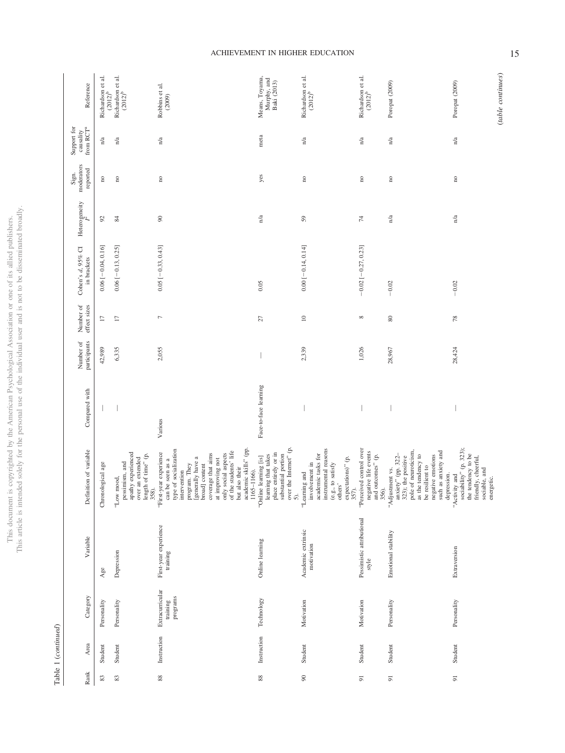Table 1 (*continued*)

Table 1 (continued)

| Reference                                                    | $\overline{a}$<br>Richardson et<br>$(2012)^{b}$ | Richardson et al.<br>$(2012)^{b}$                                                                         | Robbins et al.<br>(2009)                                                                                                                                                                                                                                                                    | Means, Toyama,<br>Murphy, and<br>Baki (2013)                                                                                 | Richardson et al.<br>$(2012)^{b}$                                                                                                                                  | Richardson et al.<br>(2012) <sup>b</sup>                                      | Poropat (2009)                                                                                                                                                                             | Poropat (2009)                                                                                                      |
|--------------------------------------------------------------|-------------------------------------------------|-----------------------------------------------------------------------------------------------------------|---------------------------------------------------------------------------------------------------------------------------------------------------------------------------------------------------------------------------------------------------------------------------------------------|------------------------------------------------------------------------------------------------------------------------------|--------------------------------------------------------------------------------------------------------------------------------------------------------------------|-------------------------------------------------------------------------------|--------------------------------------------------------------------------------------------------------------------------------------------------------------------------------------------|---------------------------------------------------------------------------------------------------------------------|
| Support for<br>causality<br>from $\mathbb{R} C \mathbb{T}^a$ | $\mathbf{n}/\mathbf{a}$                         | n/a                                                                                                       | n/a                                                                                                                                                                                                                                                                                         | meta                                                                                                                         | n/a                                                                                                                                                                | n/a                                                                           | n/a                                                                                                                                                                                        | n/a                                                                                                                 |
| moderators<br>reported<br>Sign.                              | g                                               | <b>PU</b>                                                                                                 | $\mathbf{R}$                                                                                                                                                                                                                                                                                | yes                                                                                                                          | $\mathbf{S}$                                                                                                                                                       | $\mathbf{e}$                                                                  | $\overline{a}$                                                                                                                                                                             | $\mathbf{a}$                                                                                                        |
| Heterogeneity                                                | 95                                              | $\mathbb{Z}$                                                                                              | $\otimes$                                                                                                                                                                                                                                                                                   | n/a                                                                                                                          | 59                                                                                                                                                                 |                                                                               | n/a                                                                                                                                                                                        | n/a                                                                                                                 |
| Cohen's d, 95% CI<br>in brackets                             | $0.06$ [ $-0.04, 0.16$ ]                        | $0.06[-0.13, 0.25]$                                                                                       | $0.05$ [-0.33, 0.43]                                                                                                                                                                                                                                                                        | 0.05                                                                                                                         | $0.00[-0.14, 0.14]$                                                                                                                                                | $-0.02$ [ $-0.27, 0.23$ ]                                                     | $-0.02$                                                                                                                                                                                    | $-0.02$                                                                                                             |
| Number of<br>effect sizes                                    | $\overline{17}$                                 | $\overline{17}$                                                                                           | $\overline{ }$                                                                                                                                                                                                                                                                              | $27\,$                                                                                                                       | $\approx$                                                                                                                                                          | $\infty$                                                                      | $\rm 80$                                                                                                                                                                                   | $78\,$                                                                                                              |
| participants<br>Number of                                    | 42,989                                          | 6,335                                                                                                     | 2,055                                                                                                                                                                                                                                                                                       |                                                                                                                              | 2,339                                                                                                                                                              | 1,026                                                                         | 28,967                                                                                                                                                                                     | 28,424                                                                                                              |
| Compared with                                                |                                                 |                                                                                                           | Various                                                                                                                                                                                                                                                                                     | Face-to-face learning                                                                                                        |                                                                                                                                                                    |                                                                               |                                                                                                                                                                                            |                                                                                                                     |
| Definition of variable                                       | Chronological age                               | apathy experienced<br>over an extended<br>length of time" (p.<br>$358$ ).<br>pessimism, and<br>"Low mood, | academic skills" (pp.<br>can be seen as a<br>type of socialization<br>of the students' life<br>"First-year experience<br>program. They<br>[generally have a<br>broad] content<br>broad] content<br>only social aspects<br>at improving not<br>but also their<br>1165-1166).<br>intervention | place entirely or in<br>substantial portion<br>over the Internet" (p.<br>5).<br>learning that takes<br>"Online learning [is] | instrumental reasons<br>academic tasks for<br>expectations)" (p.<br>involvement in<br>$(\mathbf{e},\mathbf{g}_\cdot,$ to satisfy others'<br>'Learning and<br>357). | "Perceived control over<br>negative life events<br>and outcomes" (p.<br>356). | such as anxiety and<br>$323$ ); the positive<br>pole of neuroticism,<br>as the tendency to<br>be resilient to<br>anxiety" (pp. 322-<br>negative emotions<br>"Adjustment vs.<br>depression. | sociability" (p. 323);<br>the tendency to be<br>friendly, cheerful,<br>sociable, and<br>"Activity and<br>energetic. |
| Variable                                                     | $_{\rm Age}$                                    | Depression                                                                                                | First-year experience<br>training                                                                                                                                                                                                                                                           | Online learning                                                                                                              | Academic extrinsic<br>motivation                                                                                                                                   | Pessimistic attributional<br>style                                            | Emotional stability                                                                                                                                                                        | Extraversion                                                                                                        |
| Category                                                     | Personality                                     | Personality                                                                                               | Extracurricular<br>programs<br>training                                                                                                                                                                                                                                                     | Technology                                                                                                                   | Motivation                                                                                                                                                         | Motivation                                                                    | Personality                                                                                                                                                                                | Personality                                                                                                         |
| Area                                                         | Student                                         | Student                                                                                                   | Instruction                                                                                                                                                                                                                                                                                 | Instruction                                                                                                                  | Student                                                                                                                                                            | Student                                                                       | Student                                                                                                                                                                                    | Student                                                                                                             |
| Rank                                                         | 83                                              | $83\,$                                                                                                    | $88\,$                                                                                                                                                                                                                                                                                      | 88                                                                                                                           | $\overline{6}$                                                                                                                                                     | $\overline{9}$                                                                | $\overline{9}$                                                                                                                                                                             | $\overline{91}$                                                                                                     |

## ACHIEVEMENT IN HIGHER EDUCATION 15

(*table continues*)

 $\qquad \qquad (table~continues)$ 

This document is copyrighted by the American Psychological Association or one of its allied publishers.<br>This article is intended solely for the personal use of the individual user and is not to be disseminated broadly. This article is intended solely for the personal use of the individual user and is not to be disseminated broadly. This document is copyrighted by the American Psychological Association or one of its allied publishers.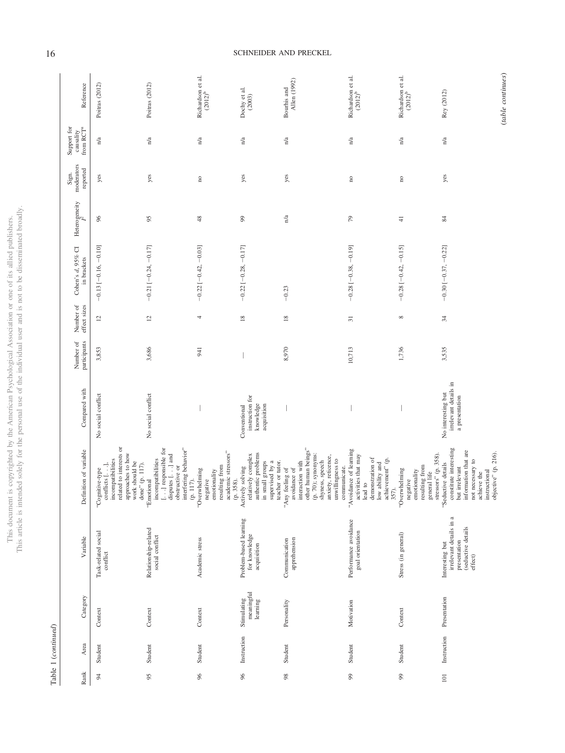| j<br>ò<br>ł<br>ł                                               | C)                          |
|----------------------------------------------------------------|-----------------------------|
| i                                                              | l                           |
| Í                                                              | <b>CONTRACTOR</b><br>j<br>; |
| i                                                              |                             |
|                                                                |                             |
|                                                                |                             |
| )<br>J<br>I<br>ç<br>j<br>ś                                     | ļ                           |
| $\overline{\phantom{a}}$<br>J<br>ì<br>ì<br>ï<br>j<br>j<br>This | ЦЦ<br>ä                     |

 $Table 1~(continued)$ Table 1 (*continued*)

| Reference                                         | Poitras (2012)                                                                                                                             | Poitras (2012)                                                                                                                          | Richardson et al.<br>$(2012)^{b}$                                                               | Dochy et al.<br>(2003)                                                                                                  | Allen (1992)<br>Bourhis and                                                                                                                                                    | Richardson et al.<br>$(2012)^b$                                                                                            | Richardson et al.<br>$(2012)^{b}$                                                                   | (table continues)<br>Rey (2012)                                                                                                                                    |
|---------------------------------------------------|--------------------------------------------------------------------------------------------------------------------------------------------|-----------------------------------------------------------------------------------------------------------------------------------------|-------------------------------------------------------------------------------------------------|-------------------------------------------------------------------------------------------------------------------------|--------------------------------------------------------------------------------------------------------------------------------------------------------------------------------|----------------------------------------------------------------------------------------------------------------------------|-----------------------------------------------------------------------------------------------------|--------------------------------------------------------------------------------------------------------------------------------------------------------------------|
| from RCT <sup>a</sup><br>Support for<br>causality | n/a                                                                                                                                        | n/a                                                                                                                                     | n/a                                                                                             | n/a                                                                                                                     | n/a                                                                                                                                                                            | n/a                                                                                                                        | n/a                                                                                                 | n/a                                                                                                                                                                |
| moderators<br>reported<br>Sign.                   | yes                                                                                                                                        | yes                                                                                                                                     | $\mathop{\rm co}$                                                                               | yes                                                                                                                     | yes                                                                                                                                                                            | <b>CO</b>                                                                                                                  | $\overline{a}$                                                                                      | yes                                                                                                                                                                |
| Heterogeneity<br>$r^2$                            | 86                                                                                                                                         | 95                                                                                                                                      | 48                                                                                              | $\mathfrak{g}$                                                                                                          | n/a                                                                                                                                                                            | 56                                                                                                                         | $\pm$                                                                                               | 34                                                                                                                                                                 |
| Cohen's $d$ , 95% CI<br>in brackets               | $-0.13[-0.16, -0.10]$                                                                                                                      | $-0.21[-0.24, -0.17]$                                                                                                                   | $-0.22[-0.42, -0.03]$                                                                           | $-0.22[-0.28, -0.17]$                                                                                                   | $-0.23$                                                                                                                                                                        | $-0.28[-0.38, -0.19]$                                                                                                      | $-0.28[-0.42, -0.15]$                                                                               | $-0.30[-0.37, -0.22]$                                                                                                                                              |
| Number of<br>effect sizes                         | $\overline{12}$                                                                                                                            | $\overline{c}$                                                                                                                          | 4                                                                                               | 18                                                                                                                      | $^{18}$                                                                                                                                                                        | $\overline{31}$                                                                                                            | ${}^{\circ}$                                                                                        | 34                                                                                                                                                                 |
| participants<br>Number of                         | 3,853                                                                                                                                      | 3,686                                                                                                                                   | 941                                                                                             |                                                                                                                         | 8,970                                                                                                                                                                          | 10,713                                                                                                                     | 1,736                                                                                               | 3,535                                                                                                                                                              |
| Compared with                                     | No social conflict                                                                                                                         | No social conflict                                                                                                                      |                                                                                                 | instruction for<br>knowledge<br>acquisition<br>Conventional                                                             |                                                                                                                                                                                |                                                                                                                            |                                                                                                     | irrelevant details in<br>No interesting but<br>a presentation                                                                                                      |
| Definition of variable                            | related to interests or<br>approaches to how<br>incompatibilities<br>work should be<br>done" (p. 117).<br>conflicts [],<br>"Cognitive-type | $\dots$ ] responsible for<br>obstructive or<br>interfering behavior"<br>disputes [] and<br>incompatibilities<br>"Emotional<br>(p. 117). | academic stressors"<br>resulting from<br>"Overwhelming<br>emotionality<br>negative<br>(p. 358). | authentic problems<br>in small groups<br>Actively solving<br>relatively complex<br>supervised by a<br>teacher or tutor. | other human beings"<br>(p. 70); synonyms:<br>anxiety, reticence,<br>unwillingness to<br>shyness, speech<br>interaction with<br>communicate.<br>avoidance of<br>"Any feeling of | "Avoidance of learning<br>activities that may<br>demonstration of<br>achievement" (p. $357)$<br>low ability and<br>lead to | resulting from<br>general life<br>stressors" (p. 358).<br>"Overwhelming<br>emotionality<br>negative | constitute interesting<br>information that are<br>objective" (p. 216).<br>not necessary to<br>"Seductive details<br>but irrelevant<br>instructional<br>achieve the |
| Variable                                          | Task-related social<br>conflict                                                                                                            | Relationship-related<br>social conflict                                                                                                 | Academic stress                                                                                 | Problem-based learning<br>for knowledge<br>acquisition                                                                  | apprehension<br>Communication                                                                                                                                                  | Performance avoidance<br>goal orientation                                                                                  | Stress (in general)                                                                                 | irrelevant details in a<br>(seductive details<br>presentation<br>Interesting but<br>$\mathrm{effect}$                                                              |
| Category                                          | Context                                                                                                                                    | Context                                                                                                                                 | Context                                                                                         | Stimulating<br>meaningful<br>learning                                                                                   | Personality                                                                                                                                                                    | Motivation                                                                                                                 | Context                                                                                             | Presentation                                                                                                                                                       |
| Area                                              | Student                                                                                                                                    | Student                                                                                                                                 | Student                                                                                         | Instruction                                                                                                             | Student                                                                                                                                                                        | Student                                                                                                                    | Student                                                                                             | Instruction                                                                                                                                                        |
| Rank                                              | \$                                                                                                                                         | 95                                                                                                                                      | $96$                                                                                            | 96                                                                                                                      | 98                                                                                                                                                                             | 99                                                                                                                         | 99                                                                                                  | 101                                                                                                                                                                |

## 16 SCHNEIDER AND PRECKEL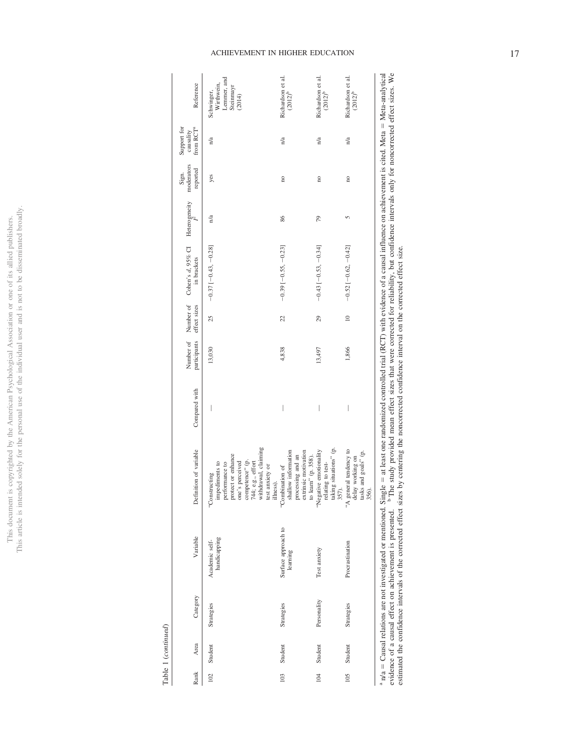| ١                              | i<br>Ì                        |
|--------------------------------|-------------------------------|
|                                | I                             |
| í<br>Ϊ                         |                               |
| l<br>t                         |                               |
|                                |                               |
|                                | J                             |
|                                |                               |
|                                |                               |
|                                |                               |
|                                |                               |
|                                | ï                             |
|                                |                               |
|                                |                               |
|                                |                               |
|                                |                               |
|                                |                               |
|                                |                               |
|                                |                               |
| <b>CONT</b>                    |                               |
|                                |                               |
| i                              |                               |
|                                |                               |
| $\frac{4}{3}$                  |                               |
|                                | $\overline{\phantom{a}}$<br>j |
|                                |                               |
|                                | J                             |
|                                | GA<br>į                       |
|                                |                               |
|                                |                               |
|                                | j<br>š                        |
|                                |                               |
| ç                              |                               |
| J                              |                               |
| j                              |                               |
| í                              |                               |
|                                |                               |
| I                              |                               |
| j                              |                               |
|                                |                               |
| I                              | ć                             |
|                                |                               |
| COL                            | ķ<br>į                        |
|                                |                               |
| j                              |                               |
|                                |                               |
|                                | Ì                             |
|                                |                               |
|                                |                               |
| $\frac{1}{2}$                  |                               |
| ł                              |                               |
|                                |                               |
|                                | ı                             |
|                                |                               |
| j                              | j<br>i                        |
|                                |                               |
| Į<br>j<br>j                    | j                             |
|                                | i<br>١                        |
|                                |                               |
| The state of the contract<br>ì |                               |
|                                |                               |
|                                |                               |
|                                |                               |
|                                |                               |
|                                |                               |
| l                              |                               |
|                                |                               |
| i<br>Santa Caraca (            |                               |
|                                |                               |
|                                | i                             |
|                                | j                             |
| <b>TIS</b>                     | j                             |
|                                |                               |
| í                              | ì                             |
|                                |                               |
|                                | j                             |
|                                |                               |

 ${\bf Table \ 1 \ (continued)}$ Table 1 (*continued*)

| Reference                                                          | Lemmer, and<br>Wirthwein,<br>Steinmayr<br>Schwinger,<br>(2014)                                                                                                                                 | Richardson et al.<br>$(2012)^{b}$                                                                              | Richardson et al.<br>$(2012)^{b}$                                              | Richardson et al.<br>$(2012)^{b}$                                                                                                                                                                                                                                                                |
|--------------------------------------------------------------------|------------------------------------------------------------------------------------------------------------------------------------------------------------------------------------------------|----------------------------------------------------------------------------------------------------------------|--------------------------------------------------------------------------------|--------------------------------------------------------------------------------------------------------------------------------------------------------------------------------------------------------------------------------------------------------------------------------------------------|
| from RCT <sup>a</sup><br>Support for<br>causality                  | n/a                                                                                                                                                                                            | n/a                                                                                                            | n/a                                                                            | n/a                                                                                                                                                                                                                                                                                              |
| moderators<br>reported<br>Sign.                                    | yes                                                                                                                                                                                            | $\overline{a}$                                                                                                 | $\overline{a}$                                                                 | $\overline{a}$                                                                                                                                                                                                                                                                                   |
|                                                                    | n/a                                                                                                                                                                                            | 86                                                                                                             | 79                                                                             | 5                                                                                                                                                                                                                                                                                                |
| Number of Number of Cohen's d, 95% CI Heterogeneity<br>in brackets | $-0.37[-0.43, -0.28]$                                                                                                                                                                          | $-0.39[-0.55, -0.23]$                                                                                          | $-0.43$ [ $-0.53, -0.34$ ]                                                     | $-0.52[-0.62, -0.42]$                                                                                                                                                                                                                                                                            |
| effect sizes                                                       | 25                                                                                                                                                                                             | 22                                                                                                             | 29                                                                             | $\approx$                                                                                                                                                                                                                                                                                        |
| participants                                                       | 13,030                                                                                                                                                                                         | 4,838                                                                                                          | 13,497                                                                         | 1,866                                                                                                                                                                                                                                                                                            |
| Compared with                                                      | $\mid$                                                                                                                                                                                         | I                                                                                                              | I                                                                              | $\mid$                                                                                                                                                                                                                                                                                           |
| Definition of variable                                             | withdrawal, claiming<br>rotect or enhance<br>competence" (p.<br>one's perceived<br>744; e.g., effort<br>impediments to<br>performance to<br>test anxiety or<br>"Constructing<br>illness).<br>t | hallow information<br>extrinsic motivation<br>rocessing and an<br>to learn" (p. 358).<br>"Combination of<br>Ŋ, | taking situations" (p.<br>"Negative emotionality<br>relating to test-<br>357). | $a_{\text{nd}}$ = Causal relations are not investigated or mentioned. Single = at least one randomized controlled trial (RCT) with evidence of a causal influence on achievement is cited. Meta = Meta-analytical<br>"A general tendency to<br>tasks and goals" (p. $356$ ).<br>delay working on |
| Variable                                                           | handicapping<br>Academic self-                                                                                                                                                                 | Surface approach to<br>learning                                                                                | Test anxiety                                                                   | Procrastination                                                                                                                                                                                                                                                                                  |
| Category                                                           | Strategies                                                                                                                                                                                     | Strategies                                                                                                     | Personality                                                                    | Strategies                                                                                                                                                                                                                                                                                       |
| Area                                                               | Student                                                                                                                                                                                        | Student                                                                                                        | Student                                                                        | Student                                                                                                                                                                                                                                                                                          |
| Rank                                                               | 102                                                                                                                                                                                            | 103                                                                                                            | 104                                                                            | 105                                                                                                                                                                                                                                                                                              |

evidence of a causal effect on achievement is presented. b The study provided mean effect sizes that were corrected for reliability, but confidence intervals only for noncorrected effect sizes. We estimated the confidence intervals of the corrected effect sizes by centering the noncorrected confidence interval on the corrected effect size.

## ACHIEVEMENT IN HIGHER EDUCATION 17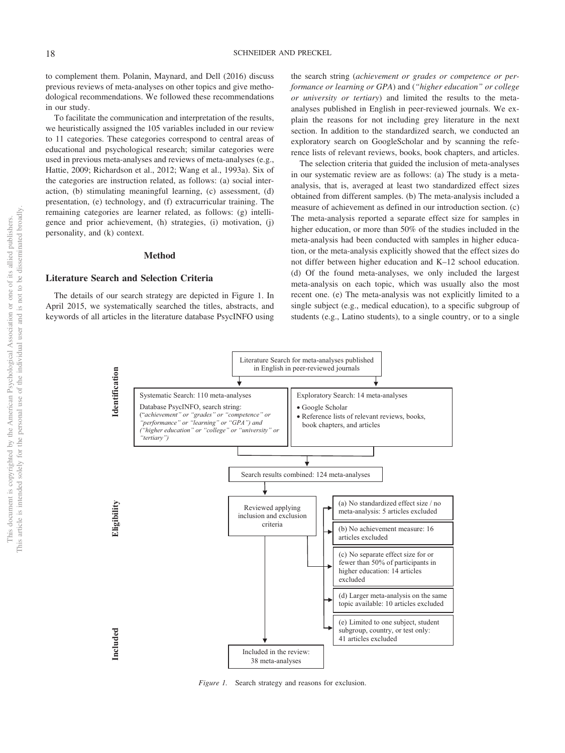to complement them. Polanin, Maynard, and Dell (2016) discuss previous reviews of meta-analyses on other topics and give methodological recommendations. We followed these recommendations in our study.

To facilitate the communication and interpretation of the results, we heuristically assigned the 105 variables included in our review to 11 categories. These categories correspond to central areas of educational and psychological research; similar categories were used in previous meta-analyses and reviews of meta-analyses (e.g., Hattie, 2009; Richardson et al., 2012; Wang et al., 1993a). Six of the categories are instruction related, as follows: (a) social interaction, (b) stimulating meaningful learning, (c) assessment, (d) presentation, (e) technology, and (f) extracurricular training. The remaining categories are learner related, as follows: (g) intelligence and prior achievement, (h) strategies, (i) motivation, (j) personality, and (k) context.

## **Method**

#### **Literature Search and Selection Criteria**

The details of our search strategy are depicted in Figure 1. In April 2015, we systematically searched the titles, abstracts, and keywords of all articles in the literature database PsycINFO using

the search string (*achievement or grades or competence or performance or learning or GPA*) and (*"higher education" or college or university or tertiary*) and limited the results to the metaanalyses published in English in peer-reviewed journals. We explain the reasons for not including grey literature in the next section. In addition to the standardized search, we conducted an exploratory search on GoogleScholar and by scanning the reference lists of relevant reviews, books, book chapters, and articles.

The selection criteria that guided the inclusion of meta-analyses in our systematic review are as follows: (a) The study is a metaanalysis, that is, averaged at least two standardized effect sizes obtained from different samples. (b) The meta-analysis included a measure of achievement as defined in our introduction section. (c) The meta-analysis reported a separate effect size for samples in higher education, or more than 50% of the studies included in the meta-analysis had been conducted with samples in higher education, or the meta-analysis explicitly showed that the effect sizes do not differ between higher education and K–12 school education. (d) Of the found meta-analyses, we only included the largest meta-analysis on each topic, which was usually also the most recent one. (e) The meta-analysis was not explicitly limited to a single subject (e.g., medical education), to a specific subgroup of students (e.g., Latino students), to a single country, or to a single



*Figure 1.* Search strategy and reasons for exclusion.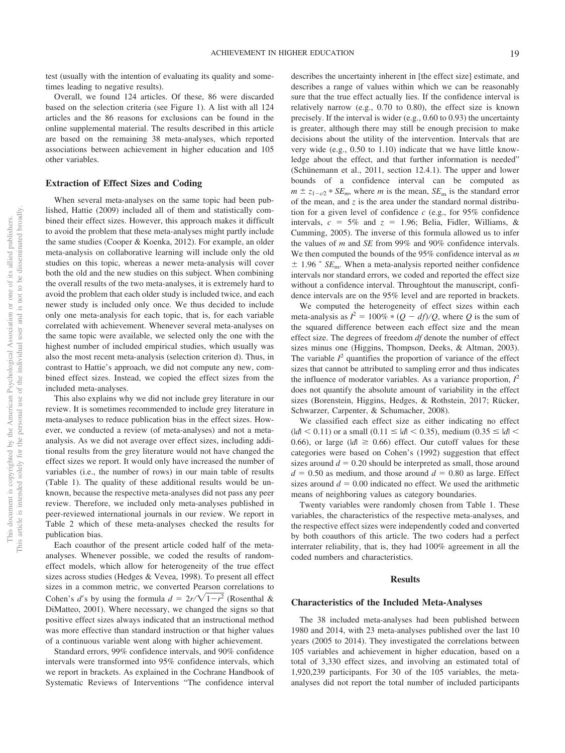test (usually with the intention of evaluating its quality and sometimes leading to negative results).

Overall, we found 124 articles. Of these, 86 were discarded based on the selection criteria (see Figure 1). A list with all 124 articles and the 86 reasons for exclusions can be found in the online supplemental material. The results described in this article are based on the remaining 38 meta-analyses, which reported associations between achievement in higher education and 105 other variables.

## **Extraction of Effect Sizes and Coding**

When several meta-analyses on the same topic had been published, Hattie (2009) included all of them and statistically combined their effect sizes. However, this approach makes it difficult to avoid the problem that these meta-analyses might partly include the same studies (Cooper & Koenka, 2012). For example, an older meta-analysis on collaborative learning will include only the old studies on this topic, whereas a newer meta-analysis will cover both the old and the new studies on this subject. When combining the overall results of the two meta-analyses, it is extremely hard to avoid the problem that each older study is included twice, and each newer study is included only once. We thus decided to include only one meta-analysis for each topic, that is, for each variable correlated with achievement. Whenever several meta-analyses on the same topic were available, we selected only the one with the highest number of included empirical studies, which usually was also the most recent meta-analysis (selection criterion d). Thus, in contrast to Hattie's approach, we did not compute any new, combined effect sizes. Instead, we copied the effect sizes from the included meta-analyses.

This also explains why we did not include grey literature in our review. It is sometimes recommended to include grey literature in meta-analyses to reduce publication bias in the effect sizes. However, we conducted a review (of meta-analyses) and not a metaanalysis. As we did not average over effect sizes, including additional results from the grey literature would not have changed the effect sizes we report. It would only have increased the number of variables (i.e., the number of rows) in our main table of results (Table 1). The quality of these additional results would be unknown, because the respective meta-analyses did not pass any peer review. Therefore, we included only meta-analyses published in peer-reviewed international journals in our review. We report in [Table 2](#page-20-0) which of these meta-analyses checked the results for publication bias.

Each coauthor of the present article coded half of the metaanalyses. Whenever possible, we coded the results of randomeffect models, which allow for heterogeneity of the true effect sizes across studies (Hedges & Vevea, 1998). To present all effect sizes in a common metric, we converted Pearson correlations to Cohen's *d's* by using the formula  $d = 2r/\sqrt{1-r^2}$  (Rosenthal & DiMatteo, 2001). Where necessary, we changed the signs so that positive effect sizes always indicated that an instructional method was more effective than standard instruction or that higher values of a continuous variable went along with higher achievement.

Standard errors, 99% confidence intervals, and 90% confidence intervals were transformed into 95% confidence intervals, which we report in brackets. As explained in the Cochrane Handbook of Systematic Reviews of Interventions "The confidence interval describes the uncertainty inherent in [the effect size] estimate, and describes a range of values within which we can be reasonably sure that the true effect actually lies. If the confidence interval is relatively narrow (e.g., 0.70 to 0.80), the effect size is known precisely. If the interval is wider (e.g., 0.60 to 0.93) the uncertainty is greater, although there may still be enough precision to make decisions about the utility of the intervention. Intervals that are very wide (e.g., 0.50 to 1.10) indicate that we have little knowledge about the effect, and that further information is needed" (Schünemann et al., 2011, section 12.4.1). The upper and lower bounds of a confidence interval can be computed as  $m \pm z_{1-c2} * SE_m$ , where *m* is the mean,  $SE_m$  is the standard error of the mean, and *z* is the area under the standard normal distribution for a given level of confidence *c* (e.g., for 95% confidence intervals,  $c = 5\%$  and  $z = 1.96$ ; Belia, Fidler, Williams, & Cumming, 2005). The inverse of this formula allowed us to infer the values of *m* and *SE* from 99% and 90% confidence intervals. We then computed the bounds of the 95% confidence interval as *m*  $\pm$  1.96  $*$  *SE*<sub>m</sub>. When a meta-analysis reported neither confidence intervals nor standard errors, we coded and reported the effect size without a confidence interval. Throughtout the manuscript, confidence intervals are on the 95% level and are reported in brackets.

We computed the heterogeneity of effect sizes within each meta-analysis as  $I^2 = 100\% * (Q - df)/Q$ , where *Q* is the sum of the squared difference between each effect size and the mean effect size. The degrees of freedom *df* denote the number of effect sizes minus one (Higgins, Thompson, Deeks, & Altman, 2003). The variable  $I^2$  quantifies the proportion of variance of the effect sizes that cannot be attributed to sampling error and thus indicates the influence of moderator variables. As a variance proportion,  $I^2$ does not quantify the absolute amount of variability in the effect sizes (Borenstein, Higgins, Hedges, & Rothstein, 2017; Rücker, Schwarzer, Carpenter, & Schumacher, 2008).

We classified each effect size as either indicating no effect  $(|d| < 0.11)$  or a small  $(0.11 \le |d| < 0.35)$ , medium  $(0.35 \le |d| <$ 0.66), or large ( $|d| \ge 0.66$ ) effect. Our cutoff values for these categories were based on Cohen's (1992) suggestion that effect sizes around  $d = 0.20$  should be interpreted as small, those around  $d = 0.50$  as medium, and those around  $d = 0.80$  as large. Effect sizes around  $d = 0.00$  indicated no effect. We used the arithmetic means of neighboring values as category boundaries.

Twenty variables were randomly chosen from Table 1. These variables, the characteristics of the respective meta-analyses, and the respective effect sizes were independently coded and converted by both coauthors of this article. The two coders had a perfect interrater reliability, that is, they had 100% agreement in all the coded numbers and characteristics.

## **Results**

#### **Characteristics of the Included Meta-Analyses**

The 38 included meta-analyses had been published between 1980 and 2014, with 23 meta-analyses published over the last 10 years (2005 to 2014). They investigated the correlations between 105 variables and achievement in higher education, based on a total of 3,330 effect sizes, and involving an estimated total of 1,920,239 participants. For 30 of the 105 variables, the metaanalyses did not report the total number of included participants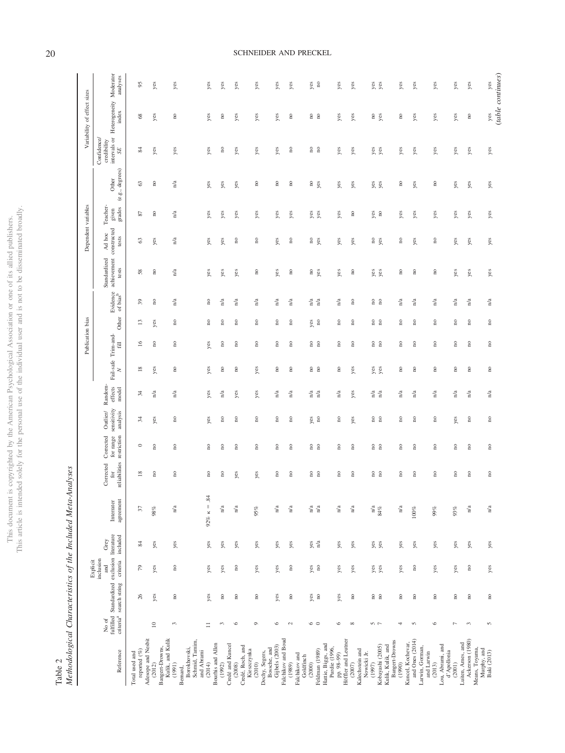This document is copyrighted by the American Psychological Association or one of its allied publishers.<br>This article is intended solely for the personal use of the individual user and is not to be disseminated broadly. This article is intended solely for the personal use of the individual user and is not to be disseminated broadly. This document is copyrighted by the American Psychological Association or one of its allied publishers.

<span id="page-20-0"></span>Table 2<br>Methodological Characteristics of the Included Meta-Analyses *Methodological Characteristics of the Included Meta-Analyses*

| internomonogram Chan acternativa of the                                      |                    |                                                                                    |                                                   |            |                                                     |                            |                                       |                                    |                             |                     | Publication bias         |                           |                                  |                                      | Dependent variables            |                            |                          |                                                     | Variability of effect sizes |                          |
|------------------------------------------------------------------------------|--------------------|------------------------------------------------------------------------------------|---------------------------------------------------|------------|-----------------------------------------------------|----------------------------|---------------------------------------|------------------------------------|-----------------------------|---------------------|--------------------------|---------------------------|----------------------------------|--------------------------------------|--------------------------------|----------------------------|--------------------------|-----------------------------------------------------|-----------------------------|--------------------------|
| Reference                                                                    | No of              | fulfilled Standardized exclusion literature<br>criteria <sup>a</sup> search string | criteria included<br>inclusion<br>Explicit<br>and | Grey       | agreement<br>Interrater                             | reliabilities<br>Corrected | Corrected<br>for range<br>restriction | sensitivity<br>analysis<br>Outlier | Random-<br>effects<br>model | Fail-safe<br>$\geq$ | Trim-and-<br>$\Xi$       | Other                     | Evidence<br>of bias <sup>b</sup> | achievement<br>Standardized<br>tests | constructed<br>Ad hoc<br>tests | Teacher<br>given<br>grades | (e.g., degrees)<br>Other | credibility<br>intervals or<br>Confidence<br>$S\!E$ | Heterogeneity<br>index      | Moderator<br>analyses    |
| reported $(\%)$<br>Total used and                                            |                    | 26                                                                                 | 54                                                | 84         | 57                                                  | $\overline{18}$            | $\circ$                               | 34                                 | र्ज                         | $\overline{18}$     | $\overline{16}$          | $\mathbf{r}$              | $\overline{39}$                  | 58                                   | $\mathcal{C}$                  | 87                         | $\mathcal{C}$            | $\frac{84}{3}$                                      | $^{8}$                      | 95                       |
| Adesope and Nesbit<br>Bangert-Drowns,<br>(2012)                              | $\square$          | yes                                                                                | yes                                               | yes        | 98%                                                 | $\mathbf{r}$               | $\mathbf{r}$                          | yes                                | n/a                         | yes                 | $\mathbf{e}$             | yes                       | $\mathbf{e}$                     | $\mathbf{r}$                         | yes                            | $\mathbf{r}$               | $\mathbf{r}$             | yes                                                 | yes                         | yes                      |
| Kulik, and Kulik<br>(1991)<br>Bernard,                                       | $\omega$           | $\mathbf{r}$                                                                       | $\mathbf{e}$                                      | yes        | n/a                                                 | $\mathbf{r}$               | $\mathbf{r}$                          | $\mathbf{e}$                       | n/a                         | $\approx$           | $\mathbf{r}$             | $\overline{\phantom{a}}$  | n/a                              | n/a                                  | n/a                            | n/a                        | n/a                      | yes                                                 | $\approx$                   | yes                      |
| Schmid, Tamim,<br>Borokhovski,<br>and Abrami<br>(2014)                       | $\equiv$           | yes                                                                                | yes                                               | yes        | $\ddot{s}$ 4<br>$\, \parallel$<br>$\check{}$<br>92% | $\mathbf{a}$               | $\mathbf{a}$                          | yes                                | yes                         | yes                 | yes                      | $\overline{\phantom{a}}$  | $\mathbf{a}$                     | yes                                  | yes                            | yes                        | yes                      | yes                                                 | yes                         | yes                      |
| Bourhis and Allen<br>(1992)                                                  | $\omega$           | $\mathbf{r}$                                                                       | yes                                               | yes        | n/a                                                 | $\approx$                  | $\mathbf{r}$                          | $\mathbf{r}$                       | n/a                         | $\approx$           | $\mathbf{r}$             | $\mathbf{r}$              | n/a                              | yes                                  | yes                            | yes                        | yes                      | $\approx$                                           | $\overline{\phantom{a}}$    | yes                      |
| Credé and Kuncel<br>Credé, Roch, and<br>(2008)                               | $\circ$            | $\mathbf{r}$                                                                       | $\overline{\phantom{a}}$                          | yes        | n/a                                                 | yes                        | $\overline{\phantom{a}}$              | $\frac{1}{2}$                      | yes                         | $\mathbf{r}$        | $\overline{\phantom{a}}$ | $\mathbf{r}$              | n/a                              | yes                                  | $\overline{\phantom{a}}$       | yes                        | yes                      | yes                                                 | yes                         | yes                      |
| Kieszczynka<br>Dochy, Segers,<br>(2010)                                      | $\circ$            | $\mathbf{r}$                                                                       | yes                                               | yes        | 95%                                                 | yes                        | $\mathbf{r}$                          | $\mathbf{e}$                       | yes                         | yes                 | $\mathbf{r}$             | $\mathbf{a}$              | $\mathbf{n}/\mathbf{a}$          | $\approx$                            | $\overline{\phantom{a}}$       | yes                        | $\overline{\phantom{a}}$ | yes                                                 | yes                         | yes                      |
| Falchikov and Boud<br>Gijbels (2003)<br>Bossche, and                         | $\circ$            | yes                                                                                | yes                                               | yes        | n/a                                                 | $\mathbf{e}$               | $\mathbf{r}$                          | $\mathbf{r}$                       | n/a                         | $\mathbf{r}$        | $\mathbf{r}$             | $\overline{\phantom{a}}$  | n/a                              | yes                                  | yes                            | yes                        | $\mathbf{r}$             | yes                                                 | yes                         | yes                      |
| Falchikov and<br>(1989)                                                      | $\mathcal{L}$      | $\mathbf{r}$                                                                       | $\overline{\phantom{a}}$                          | yes        | $\mathbf{n}/\mathbf{a}$                             | $\mathbf{p}$               | $\mathbf{r}$                          | $\mathbf{r}$                       | n/a                         | $\mathbf{p}$        | $\mathbf{r}$             | $\overline{\phantom{a}}$  | n/a                              | $\overline{\phantom{a}}$             | $\overline{\phantom{a}}$       | yes                        | $\mathbf{r}$             | $\mathbf{r}$                                        | $\approx$                   | yes                      |
| Hattie, Biggs, and<br>Purdie (1996,<br>Feldman (1989)<br>Goldfinch<br>(2000) | $\circ$ $\circ$    | yes<br>$\approx$                                                                   | $\overline{\phantom{a}}$<br>yes                   | yes<br>n/a | $_{\rm n/a}^{\rm Na}$                               | $\frac{10}{10}$            | $rac{1}{2}$                           | yes<br>no                          | $n/a$                       | $rac{1}{2}$         | $rac{1}{2}$              | yes<br>$\approx$          | $n/a$                            | no<br>yes                            | no<br>yes                      | yes<br>yes                 | no<br>yes                | $rac{1}{2}$                                         | $rac{1}{n}$                 | yes<br>no                |
| Höffler and Leutner<br>pp. 98-99)                                            | $\circ$            | yes                                                                                | yes                                               | yes        | $\mathbf{n}/\mathbf{a}$                             | $\epsilon$                 | $\mathbf{a}$                          | $\mathbf{e}$                       | n/a                         | $\mathbf{e}$        | $\mathbf{e}$             | $\mathbf{e}$              | n/a                              | yes                                  | yes                            | yes                        | yes                      | yes                                                 | yes                         | yes                      |
| Kalechstein and<br>(2007)                                                    | $\infty$           | $\mathbf{r}$                                                                       | yes                                               | yes        | n/a                                                 | $\mathbf{r}$               | $\mathbf{e}$                          | yes                                | yes                         | yes                 | $\approx$                | $\mathbf{r}$              | $\mathbf{r}$                     | $\approx$                            | yes                            | $\approx$                  | yes                      | yes                                                 | yes                         | yes                      |
| Kobayashi (2005)<br>Kulik, Kulik, and<br>Nowicki Jr.<br>(1997)               | S P                | $rac{1}{n}$                                                                        | yes<br>yes                                        | yes<br>yes | $_{\rm B4\%}^{\rm n1a}$                             | $\frac{1}{2}$              | $\frac{1}{2}$                         | $\frac{1}{2}$                      | n/a                         | yes<br>yes          | $_{\rm no}^{\circ}$      | $rac{1}{n}$               | $rac{1}{2}$                      | yes<br>yes                           | no<br>yes                      | yes<br>no                  | yes<br>yes               | yes<br>yes                                          | no<br>yes                   | yes<br>yes               |
| Bangert-Drowns<br>Kuncel, Kochevar,<br>(1990)                                | 4                  | $\mathsf{a}$                                                                       | yes                                               | yes        | n/a                                                 | $\mathsf{a}$               | g                                     | $\mathsf{a}$                       | n/a                         | $\mathbf{p}$        | g                        | $\overline{\phantom{a}}$  | n/a                              | $\mathsf{a}$                         | $\overline{\phantom{a}}$       | yes                        | $\mathbf{r}$             | yes                                                 | $\overline{\phantom{a}}$    | yes                      |
| and Ones (2014)<br>Larwin, Gorman,                                           | $\mathbf{\hat{v}}$ | $\mathbf{e}$                                                                       | $\mathbf{e}$                                      | yes        | $100\%$                                             | $\frac{1}{2}$              | $\mathbf{e}$                          | $\mathbf{e}$                       | n/a                         | $\mathbf{e}$        | $\mathbf{e}$             | $\mathbf{e}$              | n/a                              | $\frac{1}{2}$                        | yes                            | yes                        | yes                      | yes                                                 | yes                         | yes                      |
| Lou, Abrami, and<br>and Larwin<br>(2013)                                     | $\circ$            | $\mathbf{r}$                                                                       | yes                                               | yes        | $99\%$                                              | $\mathbf{p}$               | $\mathbf{r}$                          | $\mathbf{r}$                       | n/a                         | $\mathbf{r}$        | $\approx$                | $\mathop{\rm e}\nolimits$ | n/a                              | $\approx$                            | $\approx$                      | yes                        | $\approx$                | yes                                                 | yes                         | yes                      |
| Luiten, Ames, and<br>d'Apollonia<br>(2001)                                   | 7                  | $\mathbf{a}$                                                                       | yes                                               | yes        | 93%                                                 | $\mathbf{a}$               | $\mathbf{r}$                          | yes                                | n/a                         | $\mathbf{r}$        | $\mathbf{r}$             | $\mathbf{r}$              | n/a                              | yes                                  | yes                            | yes                        | yes                      | yes                                                 | yes                         | yes                      |
| Ackerson (1980)<br>Means, Toyama,                                            | $\omega$           | $\approx$                                                                          | $\approx$                                         | yes        | $\mathbf{n}/\mathbf{a}$                             | $\mathbf{r}$               | $\approx$                             | $\approx$                          | n/a                         | $\approx$           | $\approx$                | $\mathbf{r}$              | $_{\rm n/a}$                     | yes                                  | yes                            | yes                        | yes                      | yes                                                 | $\overline{\phantom{a}}$    | yes                      |
| Murphy, and<br>Baki (2013)                                                   | 5                  | $\mathbf{r}$                                                                       | yes                                               | yes        | n/a                                                 | $\mathbf{e}$               | $\mathbf{e}$                          | $\mathbf{e}$                       | n/a                         | $\mathbf{e}$        | $\mathbf{e}$             | $\mathop{\rm e}\nolimits$ | n/a                              | yes                                  | yes                            | yes                        | yes                      | yes                                                 | yes                         | (table continues)<br>yes |

## 20 SCHNEIDER AND PRECKEL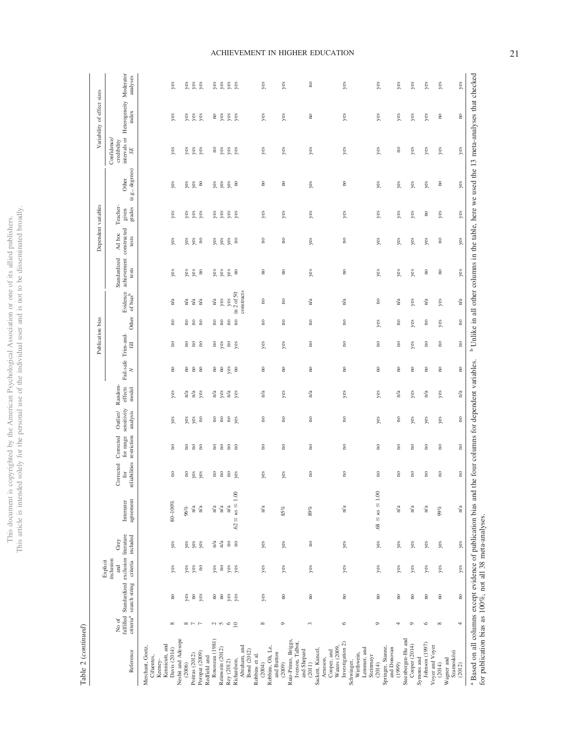| í<br>ć<br>Ś<br>l<br>ł<br>j<br>J<br>ï<br>ľ.<br>í<br>Ċ<br>í<br>ś            | i<br>l<br>D<br>ģ<br>ĺ<br>¢ |
|---------------------------------------------------------------------------|----------------------------|
| i                                                                         |                            |
| j<br>Į<br>j<br>ì<br>.<br>Contained by<br>his<br>$\ddot{\phantom{a}}$<br>í | his a<br>ĺ<br>٠            |

Table 2 (continued) Table 2 (*continued*)

|                                                                                                                                                                                |                                  |                                                                                             |                              |                  |                                    |                            |                                       |                                    |                                |                          | Publication bias         |                          |                                  |                                                  | Dependent variables      |                            |                          |                           | Variability of effect sizes                                                                           |                          |
|--------------------------------------------------------------------------------------------------------------------------------------------------------------------------------|----------------------------------|---------------------------------------------------------------------------------------------|------------------------------|------------------|------------------------------------|----------------------------|---------------------------------------|------------------------------------|--------------------------------|--------------------------|--------------------------|--------------------------|----------------------------------|--------------------------------------------------|--------------------------|----------------------------|--------------------------|---------------------------|-------------------------------------------------------------------------------------------------------|--------------------------|
| Reference                                                                                                                                                                      | No of                            | fulfilled Standardized exclusion literature<br>criteria <sup>a</sup> search string criteria | inclusion<br>Explicit<br>and | included<br>Grey | agreement<br>Interrater            | reliabilities<br>Corrected | Corrected<br>for range<br>restriction | sensitivity<br>Outlier<br>analysis | Random-<br>effects<br>model    | Fail-safe Trim-and-<br>z | $\equiv$                 | Other                    | Evidence<br>of bias <sup>b</sup> | achievement constructed<br>Standardized<br>tests | Ad hoc<br>tests          | Teacher<br>given<br>grades | (e.g., degrees)<br>Other | Confidence<br>credibility | intervals or Heterogeneity Moderator<br>SE index analyses                                             | analyses                 |
| Merchant, Goetz,<br>Cifuentes,<br>Keeney-                                                                                                                                      |                                  |                                                                                             |                              |                  |                                    |                            |                                       |                                    |                                |                          |                          |                          |                                  |                                                  |                          |                            |                          |                           |                                                                                                       |                          |
| Kennicutt, and<br>Davis (2014)                                                                                                                                                 | $\infty$                         | $\mathbf{e}$                                                                                | yes                          | yes              | $80-100\%$                         | $\approx$                  | $\overline{\mathbf{a}}$               | yes                                | yes                            | $\mathbf{r}$             | g                        | $\mathbf{e}$             | n/a                              | yes                                              | yes                      | yes                        | yes                      | yes                       | yes                                                                                                   | yes                      |
| Nesbit and Adesope                                                                                                                                                             |                                  |                                                                                             |                              |                  | $96\%$                             |                            |                                       |                                    |                                |                          |                          |                          |                                  |                                                  |                          |                            |                          |                           |                                                                                                       |                          |
| Poitras (2012)<br>(2006)                                                                                                                                                       | $\infty$ $\sim$ $\sim$           | yes<br>$_{\rm n}$                                                                           | yes<br>yes                   | yes<br>yes       | n/a                                | no<br>yes                  | 282                                   | yes<br>yes                         | n/a<br>$\mathbf{n}/\mathbf{a}$ | 282                      | 222                      | 282                      | n/a<br>$\mathbf{n}/\mathbf{a}$   | yes<br>yes                                       | yes<br>yes<br>no         | <b>Ses</b><br>Ses          | yes<br>yes               | yes<br>yes                | yes<br>yes                                                                                            | yes                      |
| Poropat (2009)                                                                                                                                                                 |                                  | yes                                                                                         |                              | yes              | n/a                                |                            |                                       |                                    | yes                            |                          |                          |                          | $\mathbf{n}^{\prime}$ a          |                                                  |                          |                            |                          |                           |                                                                                                       | yes<br>yes               |
| Rousseau (1981)<br>Redfield and                                                                                                                                                |                                  |                                                                                             |                              | n/a              | n/a                                |                            |                                       |                                    | $\mathbf{n}/\mathbf{a}$        |                          |                          |                          | n/a                              |                                                  |                          |                            |                          |                           |                                                                                                       |                          |
| Reinwein (2012)                                                                                                                                                                | $\alpha$ is $\alpha$ is $\alpha$ | $_{\rm no}$                                                                                 | yes<br>no                    | n/a              | n/a                                | $2^{\circ}$                | $2222$                                | $2^{\circ}$                        | yes                            | $_{\rm{m}}^{\circ}$      | no<br>yes                | $_{\rm{m}}^{\circ}$      | yes                              | yes<br>yes                                       | yes<br>yes               | <b>yes</b><br>yes<br>yes   | yes<br>yes               | no<br>yes                 | <b>P</b><br><b>E</b><br><b>E</b><br><b>E</b><br><b>E</b><br><b>E</b><br><b>E</b>                      | yes<br>yes               |
| Rey (2012)                                                                                                                                                                     |                                  | yes                                                                                         | yes                          | $\mathbf{r}$     | n/a                                | $\overline{\mathbf{a}}$    |                                       | $\overline{a}$                     | $\mathbf{n}/\mathbf{a}$        | yes                      | $\overline{\phantom{a}}$ | $_{\rm n}$               | yes                              | yes                                              |                          |                            |                          | yes                       |                                                                                                       | yes                      |
| Abraham, and<br>Richardson,                                                                                                                                                    |                                  | yes                                                                                         | yes                          | $\approx$        | $.62 \leq$ $\textsc{ks} \leq 1.00$ | yes                        |                                       | yes                                | yes                            | $\approx$                | yes                      | $\approx$                | constructs<br>in $2$ of $50$     | $\approx$                                        | $\approx$                |                            | $\approx$                | yes                       |                                                                                                       | yes                      |
| Bond (2012)<br>Robbins et al.                                                                                                                                                  |                                  |                                                                                             |                              |                  |                                    |                            |                                       |                                    |                                |                          |                          |                          |                                  |                                                  |                          |                            |                          |                           |                                                                                                       |                          |
| (2004)                                                                                                                                                                         | $\infty$                         | yes                                                                                         | yes                          | yes              | n/a                                | yes                        | $\mathbf{e}$                          | $\mathbf{p}$                       | n/a                            | $\approx$                | yes                      | $\approx$                | $\epsilon$                       | $\mathbf{r}$                                     | $\mathbf{r}$             | yes                        | $\mathbf{p}$             | yes                       | yes                                                                                                   | yes                      |
| Robbins, Oh, Le,<br>and Button                                                                                                                                                 |                                  |                                                                                             |                              |                  |                                    |                            |                                       |                                    |                                |                          |                          |                          |                                  |                                                  |                          |                            |                          |                           |                                                                                                       |                          |
| (2009)                                                                                                                                                                         | $\circ$                          | $\mathbf{r}$                                                                                | yes                          | yes              | $85\%$                             | yes                        | $\mathbf{e}$                          | $\mathbf{r}$                       | yes                            | $\mathbf{r}$             | yes                      | $\mathbf{r}$             | $\mathbf{r}$                     | $\mathbf{e}$                                     | $\mathbf{e}$             | yes                        | $\mathbf{r}$             | yes                       | yes                                                                                                   | yes                      |
| Ruiz-Primo, Briggs,<br>Iverson, Talbot,                                                                                                                                        |                                  |                                                                                             |                              |                  |                                    |                            |                                       |                                    |                                |                          |                          |                          |                                  |                                                  |                          |                            |                          |                           |                                                                                                       |                          |
| and Shepard<br>(2011)                                                                                                                                                          | 3                                | $\frac{1}{2}$                                                                               | yes                          | $\mathbf{a}$     | 89%                                | $\overline{\phantom{a}}$   | $\mathbf{a}$                          | $\mathbf{a}$                       | n/a                            | $\mathbf{a}$             | $\mathbf{a}$             | $\overline{\phantom{a}}$ | n/a                              | yes                                              | yes                      | yes                        | yes                      | yes                       | $\frac{1}{2}$                                                                                         | $\overline{\phantom{a}}$ |
| Sackett, Kuncel,<br>Arneson,                                                                                                                                                   |                                  |                                                                                             |                              |                  |                                    |                            |                                       |                                    |                                |                          |                          |                          |                                  |                                                  |                          |                            |                          |                           |                                                                                                       |                          |
| Waters (2009,<br>Cooper, and                                                                                                                                                   |                                  |                                                                                             |                              |                  |                                    |                            |                                       |                                    |                                |                          |                          |                          |                                  |                                                  |                          |                            |                          |                           |                                                                                                       |                          |
| Investigation 2)                                                                                                                                                               | $\circ$                          | $\mathbf{p}$                                                                                | yes                          | yes              | n/a                                | $\mathbf{p}$               | $\mathbf{p}$                          | $\mathbf{p}$                       | yes                            | $\mathsf{e}$             | $\mathbf{p}$             | $\mathbf{p}$             | n/a                              | $\overline{\phantom{a}}$                         | $\overline{\phantom{a}}$ | yes                        | $\mathbf{p}$             | yes                       | yes                                                                                                   | yes                      |
| Wirthwein,<br>Schwinger,                                                                                                                                                       |                                  |                                                                                             |                              |                  |                                    |                            |                                       |                                    |                                |                          |                          |                          |                                  |                                                  |                          |                            |                          |                           |                                                                                                       |                          |
| Lemmer, and                                                                                                                                                                    |                                  |                                                                                             |                              |                  |                                    |                            |                                       |                                    |                                |                          |                          |                          |                                  |                                                  |                          |                            |                          |                           |                                                                                                       |                          |
| Steinmayr<br>(2014)                                                                                                                                                            | $\circ$                          | $\mathbf{e}$                                                                                | yes                          | yes              | $.68 \leq \kappa s \leq 1.00$      | $\overline{\phantom{a}}$   | $\overline{\phantom{a}}$              | yes                                | yes                            | $\mathbf{e}$             | $\mathbf{e}$             | yes                      | $\approx$                        | yes                                              | yes                      | yes                        | yes                      | yes                       | yes                                                                                                   | yes                      |
| Springer, Stanne,                                                                                                                                                              |                                  |                                                                                             |                              |                  |                                    |                            |                                       |                                    |                                |                          |                          |                          |                                  |                                                  |                          |                            |                          |                           |                                                                                                       |                          |
| and Donovan<br>(1999)                                                                                                                                                          | 4                                | $\mathbf{p}$                                                                                | yes                          | yes              | n/a                                | $\mathbf{p}$               | $\mathbf{e}$                          | $\approx$                          | n/a                            | $\mathbf{p}$             | $\approx$                | $\approx$                | n/a                              | yes                                              | yes                      | yes                        | yes                      | $\mathbf{p}$              | yes                                                                                                   | yes                      |
| Steenbergen-Hu and<br>Cooper (2014)                                                                                                                                            | $\circ$                          | $\mathbf{e}$                                                                                | yes                          | yes              | n/a                                | $\mathbf{r}$               | $\mathbf{r}$                          | yes                                | yes                            | $\mathbf{r}$             | yes                      | yes                      | yes                              | yes                                              | yes                      | yes                        | yes                      | yes                       | yes                                                                                                   | yes                      |
| Symons and                                                                                                                                                                     |                                  |                                                                                             |                              |                  |                                    |                            |                                       |                                    |                                |                          |                          |                          |                                  |                                                  |                          |                            |                          |                           |                                                                                                       |                          |
| Johnson (1997)                                                                                                                                                                 | $\circ$                          | $\mathbf{r}$                                                                                | yes                          | yes              | n/a                                | <b>no</b>                  | $\approx$                             | yes                                | n/a                            | $\approx$                | $\approx$                | $\approx$                | n/a                              | $\approx$                                        | yes                      | $\approx$                  | yes                      | yes                       | yes                                                                                                   | yes                      |
| Voyer and Voyer<br>(2014)                                                                                                                                                      | $\infty$                         | $\mathbf{e}$                                                                                | yes                          | yes              | 99%                                | $\mathbf{r}$               | $\mathbf{r}$                          | yes                                | yes                            | $\mathbf{r}$             | $\mathbf{r}$             | yes                      | yes                              | $\approx$                                        | $\epsilon$               | yes                        | $\mathbf{r}$             | yes                       | $\epsilon$                                                                                            | yes                      |
| Szamosközi<br>Wagner and                                                                                                                                                       |                                  |                                                                                             |                              |                  |                                    |                            |                                       |                                    |                                |                          |                          |                          |                                  |                                                  |                          |                            |                          |                           |                                                                                                       |                          |
| (2012)                                                                                                                                                                         | 4                                | $\mathbf{r}$                                                                                | yes                          | yes              | n/a                                | $\mathbf{r}$               | $\approx$                             | $\mathbf{r}$                       | n/a                            | $\mathbf{r}$             | $\mathbf{r}$             | $\approx$                | n/a                              | yes                                              | yes                      | yes                        | yes                      | yes                       | $\mathbf{r}$                                                                                          | yes                      |
| <sup>a</sup> Based on all columns except evidence of publication bias and the four columns for dependent variables.<br>for publication bias as 100%, not all 38 meta-analyses. |                                  |                                                                                             |                              |                  |                                    |                            |                                       |                                    |                                |                          |                          |                          |                                  |                                                  |                          |                            |                          |                           | <sup>b</sup> Unlike in all other columns in the table, here we used the 13 meta-analyses that checked |                          |

## ACHIEVEMENT IN HIGHER EDUCATION 21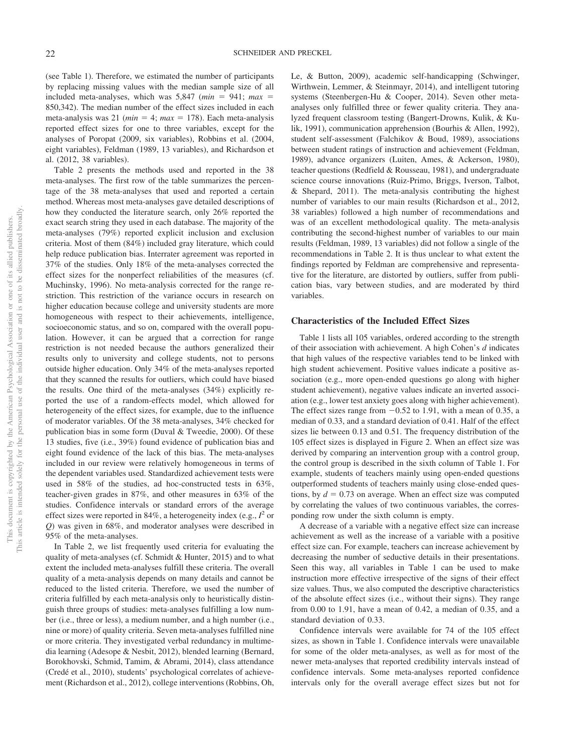(see Table 1). Therefore, we estimated the number of participants by replacing missing values with the median sample size of all included meta-analyses, which was  $5,847$  (*min* = 941; *max* = 850,342). The median number of the effect sizes included in each meta-analysis was 21 ( $min = 4$ ;  $max = 178$ ). Each meta-analysis reported effect sizes for one to three variables, except for the analyses of Poropat (2009, six variables), Robbins et al. (2004, eight variables), Feldman (1989, 13 variables), and Richardson et al. (2012, 38 variables).

[Table 2](#page-20-0) presents the methods used and reported in the 38 meta-analyses. The first row of the table summarizes the percentage of the 38 meta-analyses that used and reported a certain method. Whereas most meta-analyses gave detailed descriptions of how they conducted the literature search, only 26% reported the exact search string they used in each database. The majority of the meta-analyses (79%) reported explicit inclusion and exclusion criteria. Most of them (84%) included gray literature, which could help reduce publication bias. Interrater agreement was reported in 37% of the studies. Only 18% of the meta-analyses corrected the effect sizes for the nonperfect reliabilities of the measures (cf. Muchinsky, 1996). No meta-analysis corrected for the range restriction. This restriction of the variance occurs in research on higher education because college and university students are more homogeneous with respect to their achievements, intelligence, socioeconomic status, and so on, compared with the overall population. However, it can be argued that a correction for range restriction is not needed because the authors generalized their results only to university and college students, not to persons outside higher education. Only 34% of the meta-analyses reported that they scanned the results for outliers, which could have biased the results. One third of the meta-analyses (34%) explicitly reported the use of a random-effects model, which allowed for heterogeneity of the effect sizes, for example, due to the influence of moderator variables. Of the 38 meta-analyses, 34% checked for publication bias in some form (Duval & Tweedie, 2000). Of these 13 studies, five (i.e., 39%) found evidence of publication bias and eight found evidence of the lack of this bias. The meta-analyses included in our review were relatively homogeneous in terms of the dependent variables used. Standardized achievement tests were used in 58% of the studies, ad hoc-constructed tests in 63%, teacher-given grades in 87%, and other measures in 63% of the studies. Confidence intervals or standard errors of the average effect sizes were reported in 84%, a heterogeneity index (e.g., *I* <sup>2</sup> or *Q*) was given in 68%, and moderator analyses were described in 95% of the meta-analyses.

In [Table 2,](#page-20-0) we list frequently used criteria for evaluating the quality of meta-analyses (cf. Schmidt & Hunter, 2015) and to what extent the included meta-analyses fulfill these criteria. The overall quality of a meta-analysis depends on many details and cannot be reduced to the listed criteria. Therefore, we used the number of criteria fulfilled by each meta-analysis only to heuristically distinguish three groups of studies: meta-analyses fulfilling a low number (i.e., three or less), a medium number, and a high number (i.e., nine or more) of quality criteria. Seven meta-analyses fulfilled nine or more criteria. They investigated verbal redundancy in multimedia learning (Adesope & Nesbit, 2012), blended learning (Bernard, Borokhovski, Schmid, Tamim, & Abrami, 2014), class attendance (Credé et al., 2010), students' psychological correlates of achievement (Richardson et al., 2012), college interventions (Robbins, Oh,

Le, & Button, 2009), academic self-handicapping (Schwinger, Wirthwein, Lemmer, & Steinmayr, 2014), and intelligent tutoring systems (Steenbergen-Hu & Cooper, 2014). Seven other metaanalyses only fulfilled three or fewer quality criteria. They analyzed frequent classroom testing (Bangert-Drowns, Kulik, & Kulik, 1991), communication apprehension (Bourhis & Allen, 1992), student self-assessment (Falchikov & Boud, 1989), associations between student ratings of instruction and achievement (Feldman, 1989), advance organizers (Luiten, Ames, & Ackerson, 1980), teacher questions (Redfield & Rousseau, 1981), and undergraduate science course innovations (Ruiz-Primo, Briggs, Iverson, Talbot, & Shepard, 2011). The meta-analysis contributing the highest number of variables to our main results (Richardson et al., 2012, 38 variables) followed a high number of recommendations and was of an excellent methodological quality. The meta-analysis contributing the second-highest number of variables to our main results (Feldman, 1989, 13 variables) did not follow a single of the recommendations in [Table 2.](#page-20-0) It is thus unclear to what extent the findings reported by Feldman are comprehensive and representative for the literature, are distorted by outliers, suffer from publication bias, vary between studies, and are moderated by third variables.

## **Characteristics of the Included Effect Sizes**

Table 1 lists all 105 variables, ordered according to the strength of their association with achievement. A high Cohen's *d* indicates that high values of the respective variables tend to be linked with high student achievement. Positive values indicate a positive association (e.g., more open-ended questions go along with higher student achievement), negative values indicate an inverted association (e.g., lower test anxiety goes along with higher achievement). The effect sizes range from  $-0.52$  to 1.91, with a mean of 0.35, a median of 0.33, and a standard deviation of 0.41. Half of the effect sizes lie between 0.13 and 0.51. The frequency distribution of the 105 effect sizes is displayed in Figure 2. When an effect size was derived by comparing an intervention group with a control group, the control group is described in the sixth column of Table 1. For example, students of teachers mainly using open-ended questions outperformed students of teachers mainly using close-ended questions, by  $d = 0.73$  on average. When an effect size was computed by correlating the values of two continuous variables, the corresponding row under the sixth column is empty.

A decrease of a variable with a negative effect size can increase achievement as well as the increase of a variable with a positive effect size can. For example, teachers can increase achievement by decreasing the number of seductive details in their presentations. Seen this way, all variables in Table 1 can be used to make instruction more effective irrespective of the signs of their effect size values. Thus, we also computed the descriptive characteristics of the absolute effect sizes (i.e., without their signs). They range from 0.00 to 1.91, have a mean of 0.42, a median of 0.35, and a standard deviation of 0.33.

Confidence intervals were available for 74 of the 105 effect sizes, as shown in Table 1. Confidence intervals were unavailable for some of the older meta-analyses, as well as for most of the newer meta-analyses that reported credibility intervals instead of confidence intervals. Some meta-analyses reported confidence intervals only for the overall average effect sizes but not for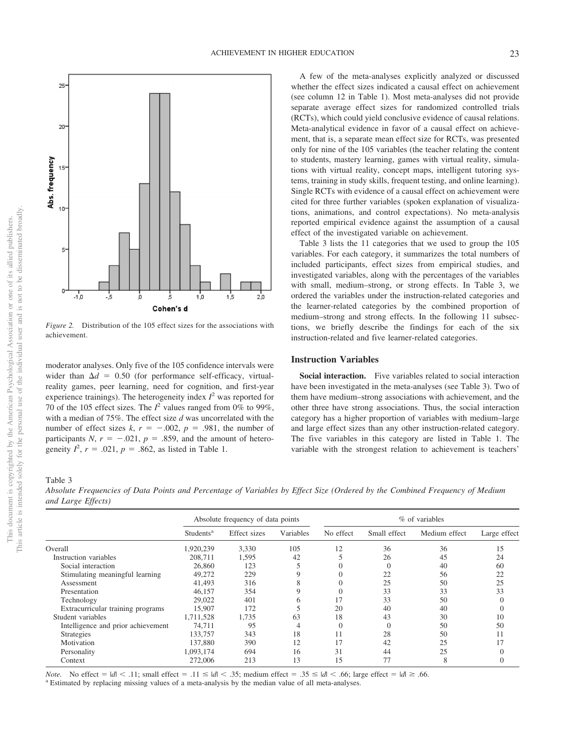

*Figure 2.* Distribution of the 105 effect sizes for the associations with achievement.

moderator analyses. Only five of the 105 confidence intervals were wider than  $\Delta d = 0.50$  (for performance self-efficacy, virtualreality games, peer learning, need for cognition, and first-year experience trainings). The heterogeneity index  $I^2$  was reported for 70 of the 105 effect sizes. The  $I^2$  values ranged from 0% to 99%, with a median of 75%. The effect size *d* was uncorrelated with the number of effect sizes  $k$ ,  $r = -.002$ ,  $p = .981$ , the number of participants *N*,  $r = -.021$ ,  $p = .859$ , and the amount of heterogeneity  $I^2$ ,  $r = .021$ ,  $p = .862$ , as listed in Table 1.

A few of the meta-analyses explicitly analyzed or discussed whether the effect sizes indicated a causal effect on achievement (see column 12 in Table 1). Most meta-analyses did not provide separate average effect sizes for randomized controlled trials (RCTs), which could yield conclusive evidence of causal relations. Meta-analytical evidence in favor of a causal effect on achievement, that is, a separate mean effect size for RCTs, was presented only for nine of the 105 variables (the teacher relating the content to students, mastery learning, games with virtual reality, simulations with virtual reality, concept maps, intelligent tutoring systems, training in study skills, frequent testing, and online learning). Single RCTs with evidence of a causal effect on achievement were cited for three further variables (spoken explanation of visualizations, animations, and control expectations). No meta-analysis reported empirical evidence against the assumption of a causal effect of the investigated variable on achievement.

[Table 3](#page-23-0) lists the 11 categories that we used to group the 105 variables. For each category, it summarizes the total numbers of included participants, effect sizes from empirical studies, and investigated variables, along with the percentages of the variables with small, medium–strong, or strong effects. In [Table 3,](#page-23-0) we ordered the variables under the instruction-related categories and the learner-related categories by the combined proportion of medium–strong and strong effects. In the following 11 subsections, we briefly describe the findings for each of the six instruction-related and five learner-related categories.

## **Instruction Variables**

**Social interaction.** Five variables related to social interaction have been investigated in the meta-analyses (see [Table 3\)](#page-23-0). Two of them have medium–strong associations with achievement, and the other three have strong associations. Thus, the social interaction category has a higher proportion of variables with medium–large and large effect sizes than any other instruction-related category. The five variables in this category are listed in Table 1. The variable with the strongest relation to achievement is teachers'

## <span id="page-23-0"></span>Table 3

*Absolute Frequencies of Data Points and Percentage of Variables by Effect Size (Ordered by the Combined Frequency of Medium and Large Effects)*

|                                    | Absolute frequency of data points |              |           | % of variables |              |               |              |
|------------------------------------|-----------------------------------|--------------|-----------|----------------|--------------|---------------|--------------|
|                                    | Students <sup>a</sup>             | Effect sizes | Variables | No effect      | Small effect | Medium effect | Large effect |
| Overall                            | 1,920,239                         | 3,330        | 105       | 12             | 36           | 36            | 15           |
| Instruction variables              | 208,711                           | 1,595        | 42        |                | 26           | 45            | 24           |
| Social interaction                 | 26,860                            | 123          |           |                | $\theta$     | 40            | 60           |
| Stimulating meaningful learning    | 49,272                            | 229          |           |                | 22           | 56            | 22           |
| Assessment                         | 41,493                            | 316          |           |                | 25           | 50            | 25           |
| Presentation                       | 46,157                            | 354          |           |                | 33           | 33            | 33           |
| Technology                         | 29,022                            | 401          |           | 17             | 33           | 50            |              |
| Extracurricular training programs  | 15,907                            | 172          |           | 20             | 40           | 40            |              |
| Student variables                  | 1,711,528                         | 1,735        | 63        | 18             | 43           | 30            | 10           |
| Intelligence and prior achievement | 74,711                            | 95           |           | $\Omega$       | $\Omega$     | 50            | 50           |
| Strategies                         | 133,757                           | 343          | 18        | 11             | 28           | 50            |              |
| Motivation                         | 137,880                           | 390          | 12        | 17             | 42           | 25            |              |
| Personality                        | 1,093,174                         | 694          | 16        | 31             | 44           | 25            |              |
| Context                            | 272,006                           | 213          | 13        | 15             | 77           | 8             |              |

*Note.* No effect =  $|d| < .11$ ; small effect =  $.11 \le |d| < .35$ ; medium effect =  $.35 \le |d| < .66$ ; large effect =  $|d| \ge .66$ .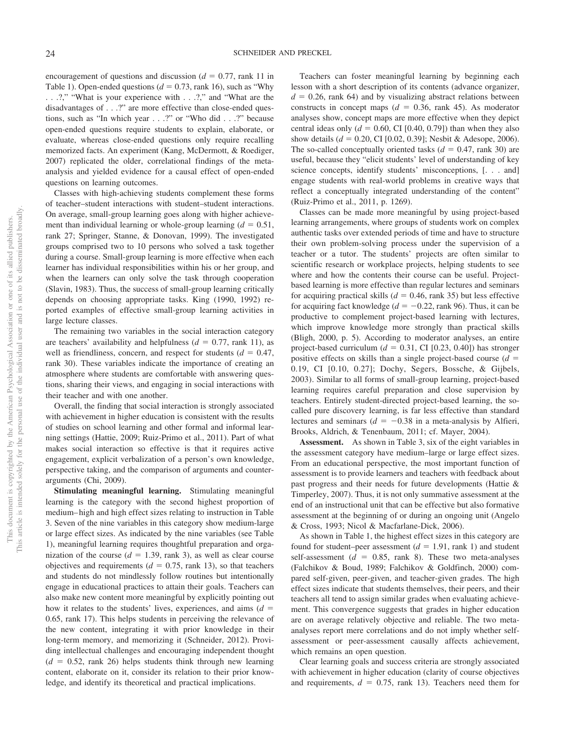encouragement of questions and discussion ( $d = 0.77$ , rank 11 in Table 1). Open-ended questions ( $d = 0.73$ , rank 16), such as "Why" . . .?," "What is your experience with . . .?," and "What are the disadvantages of . . .?" are more effective than close-ended questions, such as "In which year . . .?" or "Who did . . .?" because open-ended questions require students to explain, elaborate, or evaluate, whereas close-ended questions only require recalling memorized facts. An experiment (Kang, McDermott, & Roediger, 2007) replicated the older, correlational findings of the metaanalysis and yielded evidence for a causal effect of open-ended questions on learning outcomes.

Classes with high-achieving students complement these forms of teacher–student interactions with student–student interactions. On average, small-group learning goes along with higher achievement than individual learning or whole-group learning  $(d = 0.51,$ rank 27; Springer, Stanne, & Donovan, 1999). The investigated groups comprised two to 10 persons who solved a task together during a course. Small-group learning is more effective when each learner has individual responsibilities within his or her group, and when the learners can only solve the task through cooperation (Slavin, 1983). Thus, the success of small-group learning critically depends on choosing appropriate tasks. King (1990, 1992) reported examples of effective small-group learning activities in large lecture classes.

The remaining two variables in the social interaction category are teachers' availability and helpfulness  $(d = 0.77, \text{rank } 11)$ , as well as friendliness, concern, and respect for students  $(d = 0.47,$ rank 30). These variables indicate the importance of creating an atmosphere where students are comfortable with answering questions, sharing their views, and engaging in social interactions with their teacher and with one another.

Overall, the finding that social interaction is strongly associated with achievement in higher education is consistent with the results of studies on school learning and other formal and informal learning settings (Hattie, 2009; Ruiz-Primo et al., 2011). Part of what makes social interaction so effective is that it requires active engagement, explicit verbalization of a person's own knowledge, perspective taking, and the comparison of arguments and counterarguments (Chi, 2009).

**Stimulating meaningful learning.** Stimulating meaningful learning is the category with the second highest proportion of medium–high and high effect sizes relating to instruction in [Table](#page-23-0) [3.](#page-23-0) Seven of the nine variables in this category show medium-large or large effect sizes. As indicated by the nine variables (see Table 1), meaningful learning requires thoughtful preparation and organization of the course  $(d = 1.39, \text{ rank } 3)$ , as well as clear course objectives and requirements  $(d = 0.75, \text{rank } 13)$ , so that teachers and students do not mindlessly follow routines but intentionally engage in educational practices to attain their goals. Teachers can also make new content more meaningful by explicitly pointing out how it relates to the students' lives, experiences, and aims (*d* 0.65, rank 17). This helps students in perceiving the relevance of the new content, integrating it with prior knowledge in their long-term memory, and memorizing it (Schneider, 2012). Providing intellectual challenges and encouraging independent thought  $(d = 0.52$ , rank 26) helps students think through new learning content, elaborate on it, consider its relation to their prior knowledge, and identify its theoretical and practical implications.

Teachers can foster meaningful learning by beginning each lesson with a short description of its contents (advance organizer,  $d = 0.26$ , rank 64) and by visualizing abstract relations between constructs in concept maps  $(d = 0.36, \text{ rank } 45)$ . As moderator analyses show, concept maps are more effective when they depict central ideas only  $(d = 0.60, \text{CI} [0.40, 0.79])$  than when they also show details (*d* = 0.20, CI [0.02, 0.39]; Nesbit & Adesope, 2006). The so-called conceptually oriented tasks  $(d = 0.47, \text{rank } 30)$  are useful, because they "elicit students' level of understanding of key science concepts, identify students' misconceptions, [. . . and] engage students with real-world problems in creative ways that reflect a conceptually integrated understanding of the content" (Ruiz-Primo et al., 2011, p. 1269).

Classes can be made more meaningful by using project-based learning arrangements, where groups of students work on complex authentic tasks over extended periods of time and have to structure their own problem-solving process under the supervision of a teacher or a tutor. The students' projects are often similar to scientific research or workplace projects, helping students to see where and how the contents their course can be useful. Projectbased learning is more effective than regular lectures and seminars for acquiring practical skills ( $d = 0.46$ , rank 35) but less effective for acquiring fact knowledge  $(d = -0.22, \text{rank } 96)$ . Thus, it can be productive to complement project-based learning with lectures, which improve knowledge more strongly than practical skills (Bligh, 2000, p. 5). According to moderator analyses, an entire project-based curriculum ( $d = 0.31$ , CI [0.23, 0.40]) has stronger positive effects on skills than a single project-based course (*d* 0.19, CI [0.10, 0.27]; Dochy, Segers, Bossche, & Gijbels, 2003). Similar to all forms of small-group learning, project-based learning requires careful preparation and close supervision by teachers. Entirely student-directed project-based learning, the socalled pure discovery learning, is far less effective than standard lectures and seminars  $(d = -0.38$  in a meta-analysis by Alfieri, Brooks, Aldrich, & Tenenbaum, 2011; cf. Mayer, 2004).

**Assessment.** As shown in [Table 3,](#page-23-0) six of the eight variables in the assessment category have medium–large or large effect sizes. From an educational perspective, the most important function of assessment is to provide learners and teachers with feedback about past progress and their needs for future developments (Hattie & Timperley, 2007). Thus, it is not only summative assessment at the end of an instructional unit that can be effective but also formative assessment at the beginning of or during an ongoing unit (Angelo & Cross, 1993; [Nicol & Macfarlane-Dick, 2006\)](#page-35-0).

As shown in Table 1, the highest effect sizes in this category are found for student–peer assessment  $(d = 1.91, \text{rank } 1)$  and student self-assessment  $(d = 0.85, \text{ rank } 8)$ . These two meta-analyses (Falchikov & Boud, 1989; Falchikov & Goldfinch, 2000) compared self-given, peer-given, and teacher-given grades. The high effect sizes indicate that students themselves, their peers, and their teachers all tend to assign similar grades when evaluating achievement. This convergence suggests that grades in higher education are on average relatively objective and reliable. The two metaanalyses report mere correlations and do not imply whether selfassessment or peer-assessment causally affects achievement, which remains an open question.

Clear learning goals and success criteria are strongly associated with achievement in higher education (clarity of course objectives and requirements,  $d = 0.75$ , rank 13). Teachers need them for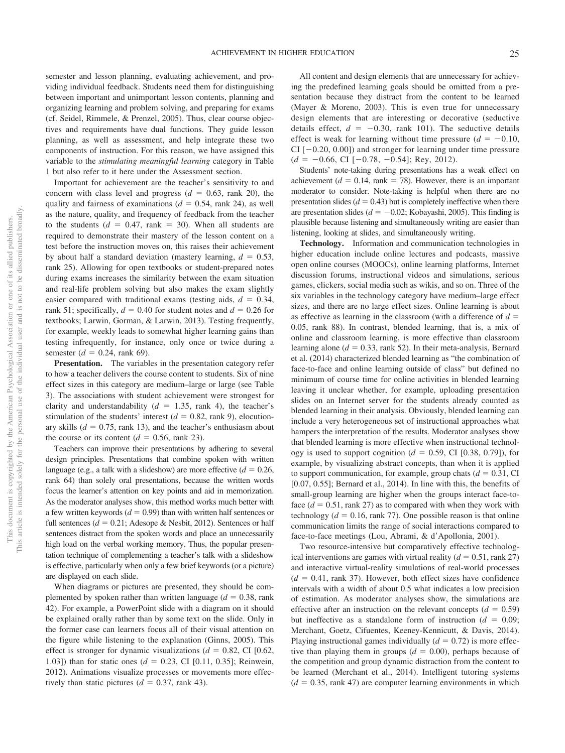semester and lesson planning, evaluating achievement, and providing individual feedback. Students need them for distinguishing between important and unimportant lesson contents, planning and organizing learning and problem solving, and preparing for exams (cf. Seidel, Rimmele, & Prenzel, 2005). Thus, clear course objectives and requirements have dual functions. They guide lesson planning, as well as assessment, and help integrate these two components of instruction. For this reason, we have assigned this variable to the *stimulating meaningful learning* category in Table 1 but also refer to it here under the Assessment section.

Important for achievement are the teacher's sensitivity to and concern with class level and progress  $(d = 0.63, \text{ rank } 20)$ , the quality and fairness of examinations  $(d = 0.54, \text{rank } 24)$ , as well as the nature, quality, and frequency of feedback from the teacher to the students  $(d = 0.47, \text{rank} = 30)$ . When all students are required to demonstrate their mastery of the lesson content on a test before the instruction moves on, this raises their achievement by about half a standard deviation (mastery learning,  $d = 0.53$ , rank 25). Allowing for open textbooks or student-prepared notes during exams increases the similarity between the exam situation and real-life problem solving but also makes the exam slightly easier compared with traditional exams (testing aids,  $d = 0.34$ , rank 51; specifically,  $d = 0.40$  for student notes and  $d = 0.26$  for textbooks; Larwin, Gorman, & Larwin, 2013). Testing frequently, for example, weekly leads to somewhat higher learning gains than testing infrequently, for instance, only once or twice during a semester ( $d = 0.24$ , rank 69).

**Presentation.** The variables in the presentation category refer to how a teacher delivers the course content to students. Six of nine effect sizes in this category are medium–large or large (see [Table](#page-23-0) [3\)](#page-23-0). The associations with student achievement were strongest for clarity and understandability  $(d = 1.35, \text{ rank } 4)$ , the teacher's stimulation of the students' interest  $(d = 0.82, \text{rank } 9)$ , elocutionary skills  $(d = 0.75$ , rank 13), and the teacher's enthusiasm about the course or its content  $(d = 0.56, \text{ rank } 23)$ .

Teachers can improve their presentations by adhering to several design principles. Presentations that combine spoken with written language (e.g., a talk with a slideshow) are more effective  $(d = 0.26,$ rank 64) than solely oral presentations, because the written words focus the learner's attention on key points and aid in memorization. As the moderator analyses show, this method works much better with a few written keywords  $(d = 0.99)$  than with written half sentences or full sentences  $(d = 0.21;$  Adesope & Nesbit, 2012). Sentences or half sentences distract from the spoken words and place an unnecessarily high load on the verbal working memory. Thus, the popular presentation technique of complementing a teacher's talk with a slideshow is effective, particularly when only a few brief keywords (or a picture) are displayed on each slide.

When diagrams or pictures are presented, they should be complemented by spoken rather than written language  $(d = 0.38$ , rank 42). For example, a PowerPoint slide with a diagram on it should be explained orally rather than by some text on the slide. Only in the former case can learners focus all of their visual attention on the figure while listening to the explanation (Ginns, 2005). This effect is stronger for dynamic visualizations ( $d = 0.82$ , CI [0.62, 1.03]) than for static ones  $(d = 0.23, \text{ CI } [0.11, 0.35]$ ; Reinwein, 2012). Animations visualize processes or movements more effectively than static pictures  $(d = 0.37, \text{rank } 43)$ .

All content and design elements that are unnecessary for achieving the predefined learning goals should be omitted from a presentation because they distract from the content to be learned (Mayer & Moreno, 2003). This is even true for unnecessary design elements that are interesting or decorative (seductive details effect,  $d = -0.30$ , rank 101). The seductive details effect is weak for learning without time pressure  $(d = -0.10,$  $CI$   $[-0.20, 0.00]$ ) and stronger for learning under time pressure  $(d = -0.66, \text{ CI } [-0.78, -0.54]; \text{ Rey}, 2012).$ 

Students' note-taking during presentations has a weak effect on achievement  $(d = 0.14$ , rank  $= 78$ ). However, there is an important moderator to consider. Note-taking is helpful when there are no presentation slides  $(d = 0.43)$  but is completely ineffective when there are presentation slides  $(d = -0.02;$  Kobayashi, 2005). This finding is plausible because listening and simultaneously writing are easier than listening, looking at slides, and simultaneously writing.

**Technology.** Information and communication technologies in higher education include online lectures and podcasts, massive open online courses (MOOCs), online learning platforms, Internet discussion forums, instructional videos and simulations, serious games, clickers, social media such as wikis, and so on. Three of the six variables in the technology category have medium–large effect sizes, and there are no large effect sizes. Online learning is about as effective as learning in the classroom (with a difference of  $d =$ 0.05, rank 88). In contrast, blended learning, that is, a mix of online and classroom learning, is more effective than classroom learning alone  $(d = 0.33$ , rank 52). In their meta-analysis, Bernard et al. (2014) characterized blended learning as "the combination of face-to-face and online learning outside of class" but defined no minimum of course time for online activities in blended learning leaving it unclear whether, for example, uploading presentation slides on an Internet server for the students already counted as blended learning in their analysis. Obviously, blended learning can include a very heterogeneous set of instructional approaches what hampers the interpretation of the results. Moderator analyses show that blended learning is more effective when instructional technology is used to support cognition  $(d = 0.59, \text{ CI } [0.38, 0.79])$ , for example, by visualizing abstract concepts, than when it is applied to support communication, for example, group chats  $(d = 0.31, \text{CI})$ [0.07, 0.55]; Bernard et al., 2014). In line with this, the benefits of small-group learning are higher when the groups interact face-toface  $(d = 0.51$ , rank 27) as to compared with when they work with technology  $(d = 0.16$ , rank 77). One possible reason is that online communication limits the range of social interactions compared to face-to-face meetings (Lou, Abrami, & d'Apollonia, 2001).

Two resource-intensive but comparatively effective technological interventions are games with virtual reality  $(d = 0.51$ , rank 27) and interactive virtual-reality simulations of real-world processes  $(d = 0.41$ , rank 37). However, both effect sizes have confidence intervals with a width of about 0.5 what indicates a low precision of estimation. As moderator analyses show, the simulations are effective after an instruction on the relevant concepts  $(d = 0.59)$ but ineffective as a standalone form of instruction  $(d = 0.09)$ ; Merchant, Goetz, Cifuentes, Keeney-Kennicutt, & Davis, 2014). Playing instructional games individually  $(d = 0.72)$  is more effective than playing them in groups  $(d = 0.00)$ , perhaps because of the competition and group dynamic distraction from the content to be learned (Merchant et al., 2014). Intelligent tutoring systems  $(d = 0.35$ , rank 47) are computer learning environments in which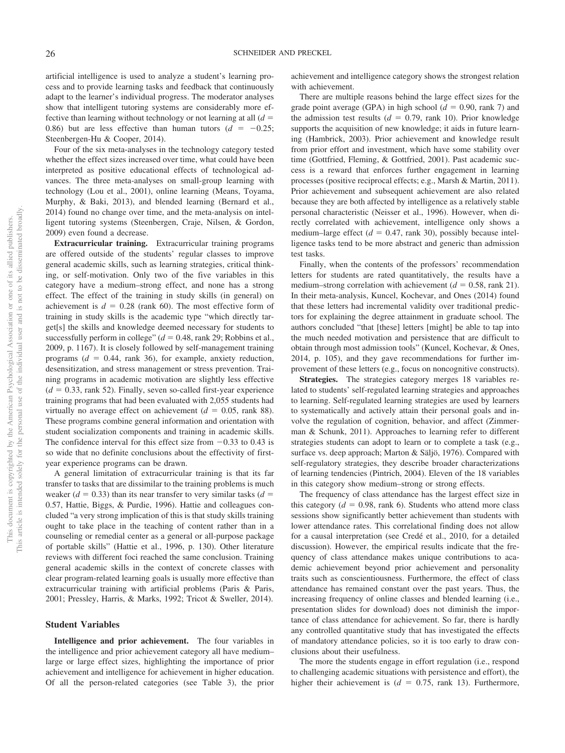artificial intelligence is used to analyze a student's learning process and to provide learning tasks and feedback that continuously adapt to the learner's individual progress. The moderator analyses show that intelligent tutoring systems are considerably more effective than learning without technology or not learning at all (*d* 0.86) but are less effective than human tutors  $(d = -0.25)$ ; Steenbergen-Hu & Cooper, 2014).

Four of the six meta-analyses in the technology category tested whether the effect sizes increased over time, what could have been interpreted as positive educational effects of technological advances. The three meta-analyses on small-group learning with technology (Lou et al., 2001), online learning (Means, Toyama, Murphy, & Baki, 2013), and blended learning (Bernard et al., 2014) found no change over time, and the meta-analysis on intelligent tutoring systems (Steenbergen, Craje, Nilsen, & Gordon, 2009) even found a decrease.

**Extracurricular training.** Extracurricular training programs are offered outside of the students' regular classes to improve general academic skills, such as learning strategies, critical thinking, or self-motivation. Only two of the five variables in this category have a medium–strong effect, and none has a strong effect. The effect of the training in study skills (in general) on achievement is  $d = 0.28$  (rank 60). The most effective form of training in study skills is the academic type "which directly target[s] the skills and knowledge deemed necessary for students to successfully perform in college"  $(d = 0.48$ , rank 29; Robbins et al., 2009, p. 1167). It is closely followed by self-management training programs  $(d = 0.44$ , rank 36), for example, anxiety reduction, desensitization, and stress management or stress prevention. Training programs in academic motivation are slightly less effective  $(d = 0.33$ , rank 52). Finally, seven so-called first-year experience training programs that had been evaluated with 2,055 students had virtually no average effect on achievement ( $d = 0.05$ , rank 88). These programs combine general information and orientation with student socialization components and training in academic skills. The confidence interval for this effect size from  $-0.33$  to 0.43 is so wide that no definite conclusions about the effectivity of firstyear experience programs can be drawn.

A general limitation of extracurricular training is that its far transfer to tasks that are dissimilar to the training problems is much weaker ( $d = 0.33$ ) than its near transfer to very similar tasks ( $d =$ 0.57, Hattie, Biggs, & Purdie, 1996). Hattie and colleagues concluded "a very strong implication of this is that study skills training ought to take place in the teaching of content rather than in a counseling or remedial center as a general or all-purpose package of portable skills" (Hattie et al., 1996, p. 130). Other literature reviews with different foci reached the same conclusion. Training general academic skills in the context of concrete classes with clear program-related learning goals is usually more effective than extracurricular training with artificial problems (Paris & Paris, 2001; Pressley, Harris, & Marks, 1992; Tricot & Sweller, 2014).

#### **Student Variables**

**Intelligence and prior achievement.** The four variables in the intelligence and prior achievement category all have medium– large or large effect sizes, highlighting the importance of prior achievement and intelligence for achievement in higher education. Of all the person-related categories (see [Table 3\)](#page-23-0), the prior achievement and intelligence category shows the strongest relation with achievement.

There are multiple reasons behind the large effect sizes for the grade point average (GPA) in high school ( $d = 0.90$ , rank 7) and the admission test results  $(d = 0.79, \text{ rank } 10)$ . Prior knowledge supports the acquisition of new knowledge; it aids in future learning (Hambrick, 2003). Prior achievement and knowledge result from prior effort and investment, which have some stability over time (Gottfried, Fleming, & Gottfried, 2001). Past academic success is a reward that enforces further engagement in learning processes (positive reciprocal effects; e.g., Marsh & Martin, 2011). Prior achievement and subsequent achievement are also related because they are both affected by intelligence as a relatively stable personal characteristic (Neisser et al., 1996). However, when directly correlated with achievement, intelligence only shows a medium–large effect  $(d = 0.47, \text{rank } 30)$ , possibly because intelligence tasks tend to be more abstract and generic than admission test tasks.

Finally, when the contents of the professors' recommendation letters for students are rated quantitatively, the results have a medium–strong correlation with achievement ( $d = 0.58$ , rank 21). In their meta-analysis, [Kuncel, Kochevar, and Ones \(2014\)](#page-34-0) found that these letters had incremental validity over traditional predictors for explaining the degree attainment in graduate school. The authors concluded "that [these] letters [might] be able to tap into the much needed motivation and persistence that are difficult to obtain through most admission tools" [\(Kuncel, Kochevar, & Ones,](#page-34-0) [2014,](#page-34-0) p. 105), and they gave recommendations for further improvement of these letters (e.g., focus on noncognitive constructs).

**Strategies.** The strategies category merges 18 variables related to students' self-regulated learning strategies and approaches to learning. Self-regulated learning strategies are used by learners to systematically and actively attain their personal goals and involve the regulation of cognition, behavior, and affect (Zimmerman & Schunk, 2011). Approaches to learning refer to different strategies students can adopt to learn or to complete a task (e.g., surface vs. deep approach; Marton & Säljö, 1976). Compared with self-regulatory strategies, they describe broader characterizations of learning tendencies (Pintrich, 2004). Eleven of the 18 variables in this category show medium–strong or strong effects.

The frequency of class attendance has the largest effect size in this category  $(d = 0.98, \text{rank } 6)$ . Students who attend more class sessions show significantly better achievement than students with lower attendance rates. This correlational finding does not allow for a causal interpretation (see Credé et al., 2010, for a detailed discussion). However, the empirical results indicate that the frequency of class attendance makes unique contributions to academic achievement beyond prior achievement and personality traits such as conscientiousness. Furthermore, the effect of class attendance has remained constant over the past years. Thus, the increasing frequency of online classes and blended learning (i.e., presentation slides for download) does not diminish the importance of class attendance for achievement. So far, there is hardly any controlled quantitative study that has investigated the effects of mandatory attendance policies, so it is too early to draw conclusions about their usefulness.

The more the students engage in effort regulation (i.e., respond to challenging academic situations with persistence and effort), the higher their achievement is  $(d = 0.75, \text{ rank } 13)$ . Furthermore,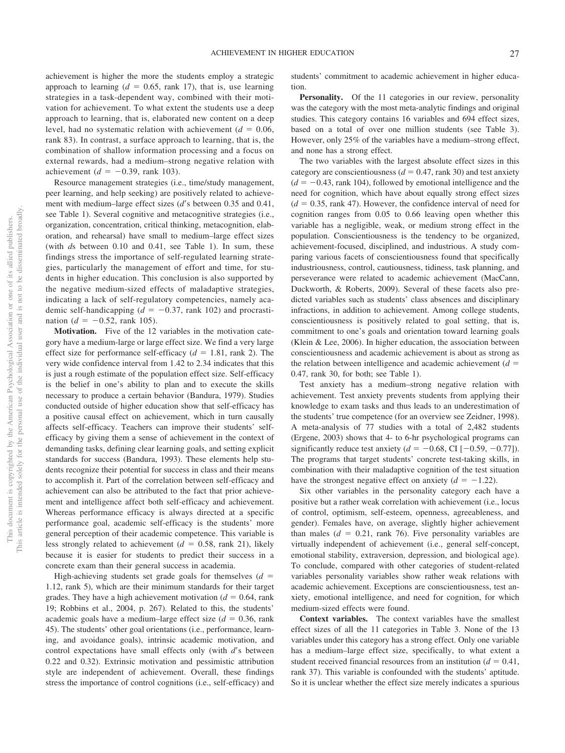achievement is higher the more the students employ a strategic approach to learning  $(d = 0.65$ , rank 17), that is, use learning strategies in a task-dependent way, combined with their motivation for achievement. To what extent the students use a deep approach to learning, that is, elaborated new content on a deep level, had no systematic relation with achievement ( $d = 0.06$ , rank 83). In contrast, a surface approach to learning, that is, the combination of shallow information processing and a focus on external rewards, had a medium–strong negative relation with achievement ( $d = -0.39$ , rank 103).

Resource management strategies (i.e., time/study management, peer learning, and help seeking) are positively related to achievement with medium–large effect sizes (d's between 0.35 and 0.41, see Table 1). Several cognitive and metacognitive strategies (i.e., organization, concentration, critical thinking, metacognition, elaboration, and rehearsal) have small to medium–large effect sizes (with *d*s between 0.10 and 0.41, see Table 1). In sum, these findings stress the importance of self-regulated learning strategies, particularly the management of effort and time, for students in higher education. This conclusion is also supported by the negative medium-sized effects of maladaptive strategies, indicating a lack of self-regulatory competencies, namely academic self-handicapping  $(d = -0.37, \text{ rank } 102)$  and procrastination ( $d = -0.52$ , rank 105).

**Motivation.** Five of the 12 variables in the motivation category have a medium-large or large effect size. We find a very large effect size for performance self-efficacy  $(d = 1.81, \text{rank } 2)$ . The very wide confidence interval from 1.42 to 2.34 indicates that this is just a rough estimate of the population effect size. Self-efficacy is the belief in one's ability to plan and to execute the skills necessary to produce a certain behavior (Bandura, 1979). Studies conducted outside of higher education show that self-efficacy has a positive causal effect on achievement, which in turn causally affects self-efficacy. Teachers can improve their students' selfefficacy by giving them a sense of achievement in the context of demanding tasks, defining clear learning goals, and setting explicit standards for success (Bandura, 1993). These elements help students recognize their potential for success in class and their means to accomplish it. Part of the correlation between self-efficacy and achievement can also be attributed to the fact that prior achievement and intelligence affect both self-efficacy and achievement. Whereas performance efficacy is always directed at a specific performance goal, academic self-efficacy is the students' more general perception of their academic competence. This variable is less strongly related to achievement  $(d = 0.58, \text{ rank } 21)$ , likely because it is easier for students to predict their success in a concrete exam than their general success in academia.

High-achieving students set grade goals for themselves  $(d =$ 1.12, rank 5), which are their minimum standards for their target grades. They have a high achievement motivation  $(d = 0.64, \text{rank})$ 19; Robbins et al., 2004, p. 267). Related to this, the students' academic goals have a medium–large effect size  $(d = 0.36$ , rank 45). The students' other goal orientations (i.e., performance, learning, and avoidance goals), intrinsic academic motivation, and control expectations have small effects only (with *d's* between 0.22 and 0.32). Extrinsic motivation and pessimistic attribution style are independent of achievement. Overall, these findings stress the importance of control cognitions (i.e., self-efficacy) and students' commitment to academic achievement in higher education.

Personality. Of the 11 categories in our review, personality was the category with the most meta-analytic findings and original studies. This category contains 16 variables and 694 effect sizes, based on a total of over one million students (see [Table 3\)](#page-23-0). However, only 25% of the variables have a medium–strong effect, and none has a strong effect.

The two variables with the largest absolute effect sizes in this category are conscientiousness ( $d = 0.47$ , rank 30) and test anxiety  $(d = -0.43$ , rank 104), followed by emotional intelligence and the need for cognition, which have about equally strong effect sizes  $(d = 0.35$ , rank 47). However, the confidence interval of need for cognition ranges from 0.05 to 0.66 leaving open whether this variable has a negligible, weak, or medium strong effect in the population. Conscientiousness is the tendency to be organized, achievement-focused, disciplined, and industrious. A study comparing various facets of conscientiousness found that specifically industriousness, control, cautiousness, tidiness, task planning, and perseverance were related to academic achievement (MacCann, Duckworth, & Roberts, 2009). Several of these facets also predicted variables such as students' class absences and disciplinary infractions, in addition to achievement. Among college students, conscientiousness is positively related to goal setting, that is, commitment to one's goals and orientation toward learning goals (Klein & Lee, 2006). In higher education, the association between conscientiousness and academic achievement is about as strong as the relation between intelligence and academic achievement  $(d =$ 0.47, rank 30, for both; see Table 1).

Test anxiety has a medium–strong negative relation with achievement. Test anxiety prevents students from applying their knowledge to exam tasks and thus leads to an underestimation of the students' true competence (for an overview see Zeidner, 1998). A meta-analysis of 77 studies with a total of 2,482 students (Ergene, 2003) shows that 4- to 6-hr psychological programs can significantly reduce test anxiety  $(d = -0.68, \text{ CI} [-0.59, -0.77])$ . The programs that target students' concrete test-taking skills, in combination with their maladaptive cognition of the test situation have the strongest negative effect on anxiety  $(d = -1.22)$ .

Six other variables in the personality category each have a positive but a rather weak correlation with achievement (i.e., locus of control, optimism, self-esteem, openness, agreeableness, and gender). Females have, on average, slightly higher achievement than males  $(d = 0.21$ , rank 76). Five personality variables are virtually independent of achievement (i.e., general self-concept, emotional stability, extraversion, depression, and biological age). To conclude, compared with other categories of student-related variables personality variables show rather weak relations with academic achievement. Exceptions are conscientiousness, test anxiety, emotional intelligence, and need for cognition, for which medium-sized effects were found.

**Context variables.** The context variables have the smallest effect sizes of all the 11 categories in [Table 3.](#page-23-0) None of the 13 variables under this category has a strong effect. Only one variable has a medium–large effect size, specifically, to what extent a student received financial resources from an institution  $(d = 0.41,$ rank 37). This variable is confounded with the students' aptitude. So it is unclear whether the effect size merely indicates a spurious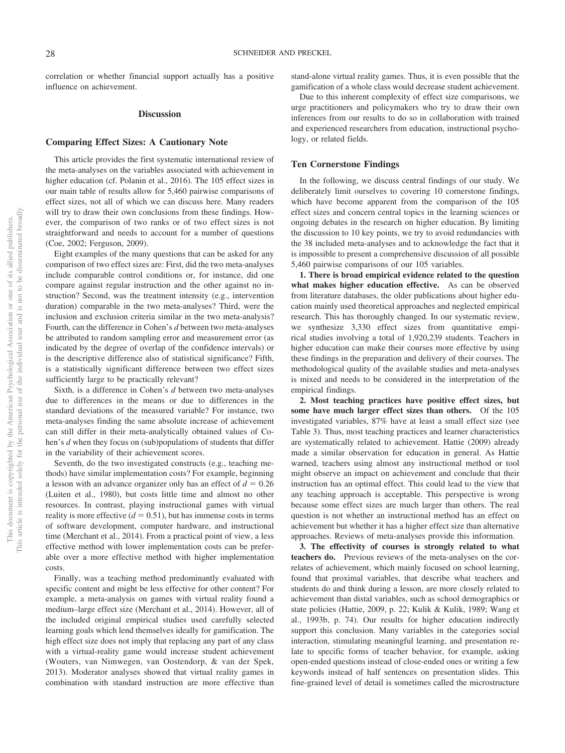correlation or whether financial support actually has a positive influence on achievement.

## **Discussion**

#### **Comparing Effect Sizes: A Cautionary Note**

This article provides the first systematic international review of the meta-analyses on the variables associated with achievement in higher education (cf. Polanin et al., 2016). The 105 effect sizes in our main table of results allow for 5,460 pairwise comparisons of effect sizes, not all of which we can discuss here. Many readers will try to draw their own conclusions from these findings. However, the comparison of two ranks or of two effect sizes is not straightforward and needs to account for a number of questions (Coe, 2002; Ferguson, 2009).

Eight examples of the many questions that can be asked for any comparison of two effect sizes are: First, did the two meta-analyses include comparable control conditions or, for instance, did one compare against regular instruction and the other against no instruction? Second, was the treatment intensity (e.g., intervention duration) comparable in the two meta-analyses? Third, were the inclusion and exclusion criteria similar in the two meta-analysis? Fourth, can the difference in Cohen's *d* between two meta-analyses be attributed to random sampling error and measurement error (as indicated by the degree of overlap of the confidence intervals) or is the descriptive difference also of statistical significance? Fifth, is a statistically significant difference between two effect sizes sufficiently large to be practically relevant?

Sixth, is a difference in Cohen's *d* between two meta-analyses due to differences in the means or due to differences in the standard deviations of the measured variable? For instance, two meta-analyses finding the same absolute increase of achievement can still differ in their meta-analytically obtained values of Cohen's *d* when they focus on (sub)populations of students that differ in the variability of their achievement scores.

Seventh, do the two investigated constructs (e.g., teaching methods) have similar implementation costs? For example, beginning a lesson with an advance organizer only has an effect of  $d = 0.26$ (Luiten et al., 1980), but costs little time and almost no other resources. In contrast, playing instructional games with virtual reality is more effective  $(d = 0.51)$ , but has immense costs in terms of software development, computer hardware, and instructional time (Merchant et al., 2014). From a practical point of view, a less effective method with lower implementation costs can be preferable over a more effective method with higher implementation costs.

Finally, was a teaching method predominantly evaluated with specific content and might be less effective for other content? For example, a meta-analysis on games with virtual reality found a medium–large effect size (Merchant et al., 2014). However, all of the included original empirical studies used carefully selected learning goals which lend themselves ideally for gamification. The high effect size does not imply that replacing any part of any class with a virtual-reality game would increase student achievement (Wouters, van Nimwegen, van Oostendorp, & van der Spek, 2013). Moderator analyses showed that virtual reality games in combination with standard instruction are more effective than

stand-alone virtual reality games. Thus, it is even possible that the gamification of a whole class would decrease student achievement.

Due to this inherent complexity of effect size comparisons, we urge practitioners and policymakers who try to draw their own inferences from our results to do so in collaboration with trained and experienced researchers from education, instructional psychology, or related fields.

#### **Ten Cornerstone Findings**

In the following, we discuss central findings of our study. We deliberately limit ourselves to covering 10 cornerstone findings, which have become apparent from the comparison of the 105 effect sizes and concern central topics in the learning sciences or ongoing debates in the research on higher education. By limiting the discussion to 10 key points, we try to avoid redundancies with the 38 included meta-analyses and to acknowledge the fact that it is impossible to present a comprehensive discussion of all possible 5,460 pairwise comparisons of our 105 variables.

**1. There is broad empirical evidence related to the question what makes higher education effective.** As can be observed from literature databases, the older publications about higher education mainly used theoretical approaches and neglected empirical research. This has thoroughly changed. In our systematic review, we synthesize 3,330 effect sizes from quantitative empirical studies involving a total of 1,920,239 students. Teachers in higher education can make their courses more effective by using these findings in the preparation and delivery of their courses. The methodological quality of the available studies and meta-analyses is mixed and needs to be considered in the interpretation of the empirical findings.

**2. Most teaching practices have positive effect sizes, but some have much larger effect sizes than others.** Of the 105 investigated variables, 87% have at least a small effect size (see [Table 3\)](#page-23-0). Thus, most teaching practices and learner characteristics are systematically related to achievement. Hattie (2009) already made a similar observation for education in general. As Hattie warned, teachers using almost any instructional method or tool might observe an impact on achievement and conclude that their instruction has an optimal effect. This could lead to the view that any teaching approach is acceptable. This perspective is wrong because some effect sizes are much larger than others. The real question is not whether an instructional method has an effect on achievement but whether it has a higher effect size than alternative approaches. Reviews of meta-analyses provide this information.

**3. The effectivity of courses is strongly related to what teachers do.** Previous reviews of the meta-analyses on the correlates of achievement, which mainly focused on school learning, found that proximal variables, that describe what teachers and students do and think during a lesson, are more closely related to achievement than distal variables, such as school demographics or state policies (Hattie, 2009, p. 22; Kulik & Kulik, 1989; Wang et al., 1993b, p. 74). Our results for higher education indirectly support this conclusion. Many variables in the categories social interaction, stimulating meaningful learning, and presentation relate to specific forms of teacher behavior, for example, asking open-ended questions instead of close-ended ones or writing a few keywords instead of half sentences on presentation slides. This fine-grained level of detail is sometimes called the microstructure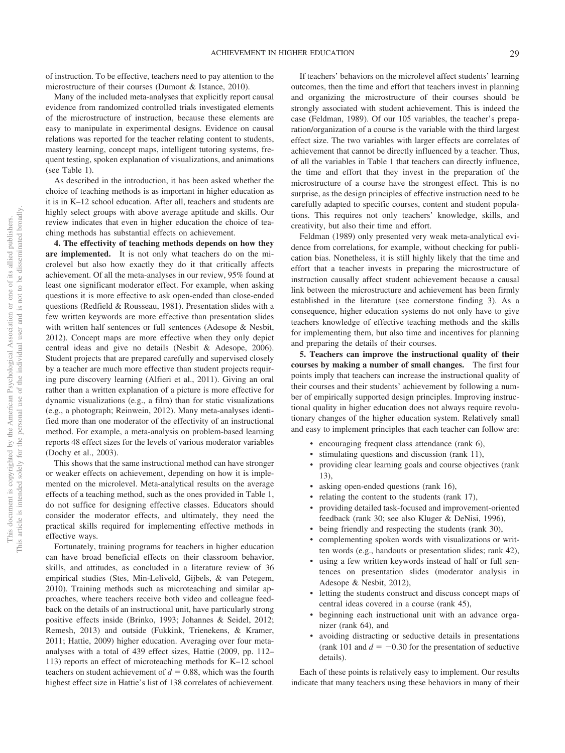of instruction. To be effective, teachers need to pay attention to the microstructure of their courses (Dumont & Istance, 2010).

Many of the included meta-analyses that explicitly report causal evidence from randomized controlled trials investigated elements of the microstructure of instruction, because these elements are easy to manipulate in experimental designs. Evidence on causal relations was reported for the teacher relating content to students, mastery learning, concept maps, intelligent tutoring systems, frequent testing, spoken explanation of visualizations, and animations (see Table 1).

As described in the introduction, it has been asked whether the choice of teaching methods is as important in higher education as it is in K–12 school education. After all, teachers and students are highly select groups with above average aptitude and skills. Our review indicates that even in higher education the choice of teaching methods has substantial effects on achievement.

**4. The effectivity of teaching methods depends on how they are implemented.** It is not only what teachers do on the microlevel but also how exactly they do it that critically affects achievement. Of all the meta-analyses in our review, 95% found at least one significant moderator effect. For example, when asking questions it is more effective to ask open-ended than close-ended questions (Redfield & Rousseau, 1981). Presentation slides with a few written keywords are more effective than presentation slides with written half sentences or full sentences (Adesope & Nesbit, 2012). Concept maps are more effective when they only depict central ideas and give no details (Nesbit & Adesope, 2006). Student projects that are prepared carefully and supervised closely by a teacher are much more effective than student projects requiring pure discovery learning (Alfieri et al., 2011). Giving an oral rather than a written explanation of a picture is more effective for dynamic visualizations (e.g., a film) than for static visualizations (e.g., a photograph; Reinwein, 2012). Many meta-analyses identified more than one moderator of the effectivity of an instructional method. For example, a meta-analysis on problem-based learning reports 48 effect sizes for the levels of various moderator variables (Dochy et al., 2003).

This shows that the same instructional method can have stronger or weaker effects on achievement, depending on how it is implemented on the microlevel. Meta-analytical results on the average effects of a teaching method, such as the ones provided in Table 1, do not suffice for designing effective classes. Educators should consider the moderator effects, and ultimately, they need the practical skills required for implementing effective methods in effective ways.

Fortunately, training programs for teachers in higher education can have broad beneficial effects on their classroom behavior, skills, and attitudes, as concluded in a literature review of 36 empirical studies (Stes, Min-Leliveld, Gijbels, & van Petegem, 2010). Training methods such as microteaching and similar approaches, where teachers receive both video and colleague feedback on the details of an instructional unit, have particularly strong positive effects inside (Brinko, 1993; Johannes & Seidel, 2012; Remesh, 2013) and outside (Fukkink, Trienekens, & Kramer, 2011; Hattie, 2009) higher education. Averaging over four metaanalyses with a total of 439 effect sizes, Hattie (2009, pp. 112– 113) reports an effect of microteaching methods for K–12 school teachers on student achievement of  $d = 0.88$ , which was the fourth highest effect size in Hattie's list of 138 correlates of achievement.

If teachers' behaviors on the microlevel affect students' learning outcomes, then the time and effort that teachers invest in planning and organizing the microstructure of their courses should be strongly associated with student achievement. This is indeed the case (Feldman, 1989). Of our 105 variables, the teacher's preparation/organization of a course is the variable with the third largest effect size. The two variables with larger effects are correlates of achievement that cannot be directly influenced by a teacher. Thus, of all the variables in Table 1 that teachers can directly influence, the time and effort that they invest in the preparation of the microstructure of a course have the strongest effect. This is no surprise, as the design principles of effective instruction need to be carefully adapted to specific courses, content and student populations. This requires not only teachers' knowledge, skills, and creativity, but also their time and effort.

Feldman (1989) only presented very weak meta-analytical evidence from correlations, for example, without checking for publication bias. Nonetheless, it is still highly likely that the time and effort that a teacher invests in preparing the microstructure of instruction causally affect student achievement because a causal link between the microstructure and achievement has been firmly established in the literature (see cornerstone finding 3). As a consequence, higher education systems do not only have to give teachers knowledge of effective teaching methods and the skills for implementing them, but also time and incentives for planning and preparing the details of their courses.

**5. Teachers can improve the instructional quality of their courses by making a number of small changes.** The first four points imply that teachers can increase the instructional quality of their courses and their students' achievement by following a number of empirically supported design principles. Improving instructional quality in higher education does not always require revolutionary changes of the higher education system. Relatively small and easy to implement principles that each teacher can follow are:

- encouraging frequent class attendance (rank 6),
- stimulating questions and discussion (rank 11),
- providing clear learning goals and course objectives (rank 13),
- asking open-ended questions (rank 16),
- relating the content to the students (rank 17),
- providing detailed task-focused and improvement-oriented feedback (rank 30; see also Kluger & DeNisi, 1996),
- being friendly and respecting the students (rank 30),
- complementing spoken words with visualizations or written words (e.g., handouts or presentation slides; rank 42),
- using a few written keywords instead of half or full sentences on presentation slides (moderator analysis in Adesope & Nesbit, 2012),
- letting the students construct and discuss concept maps of central ideas covered in a course (rank 45),
- beginning each instructional unit with an advance organizer (rank 64), and
- avoiding distracting or seductive details in presentations (rank 101 and  $d = -0.30$  for the presentation of seductive details).

Each of these points is relatively easy to implement. Our results indicate that many teachers using these behaviors in many of their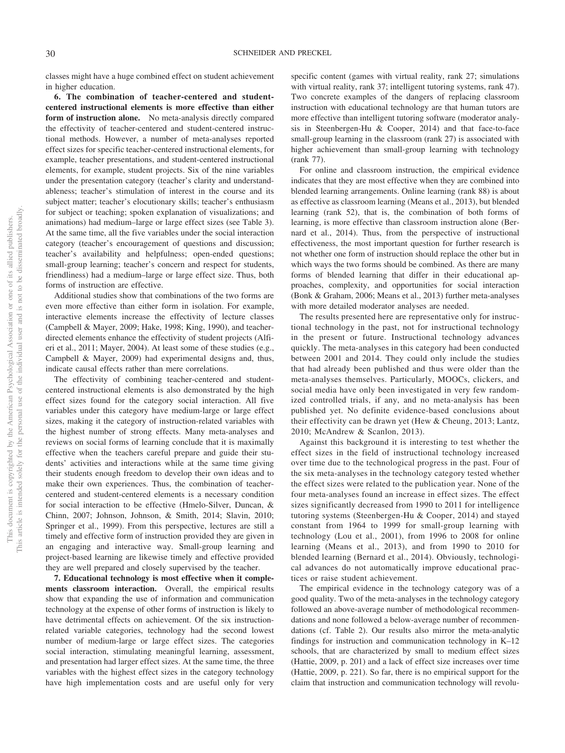classes might have a huge combined effect on student achievement in higher education.

**6. The combination of teacher-centered and studentcentered instructional elements is more effective than either form of instruction alone.** No meta-analysis directly compared the effectivity of teacher-centered and student-centered instructional methods. However, a number of meta-analyses reported effect sizes for specific teacher-centered instructional elements, for example, teacher presentations, and student-centered instructional elements, for example, student projects. Six of the nine variables under the presentation category (teacher's clarity and understandableness; teacher's stimulation of interest in the course and its subject matter; teacher's elocutionary skills; teacher's enthusiasm for subject or teaching; spoken explanation of visualizations; and animations) had medium–large or large effect sizes (see [Table 3\)](#page-23-0). At the same time, all the five variables under the social interaction category (teacher's encouragement of questions and discussion; teacher's availability and helpfulness; open-ended questions; small-group learning; teacher's concern and respect for students, friendliness) had a medium–large or large effect size. Thus, both forms of instruction are effective.

Additional studies show that combinations of the two forms are even more effective than either form in isolation. For example, interactive elements increase the effectivity of lecture classes (Campbell & Mayer, 2009; [Hake, 1998;](#page-33-1) King, 1990), and teacherdirected elements enhance the effectivity of student projects (Alfieri et al., 2011; Mayer, 2004). At least some of these studies (e.g., Campbell & Mayer, 2009) had experimental designs and, thus, indicate causal effects rather than mere correlations.

The effectivity of combining teacher-centered and studentcentered instructional elements is also demonstrated by the high effect sizes found for the category social interaction. All five variables under this category have medium-large or large effect sizes, making it the category of instruction-related variables with the highest number of strong effects. Many meta-analyses and reviews on social forms of learning conclude that it is maximally effective when the teachers careful prepare and guide their students' activities and interactions while at the same time giving their students enough freedom to develop their own ideas and to make their own experiences. Thus, the combination of teachercentered and student-centered elements is a necessary condition for social interaction to be effective (Hmelo-Silver, Duncan, & Chinn, 2007; Johnson, Johnson, & Smith, 2014; Slavin, 2010; Springer et al., 1999). From this perspective, lectures are still a timely and effective form of instruction provided they are given in an engaging and interactive way. Small-group learning and project-based learning are likewise timely and effective provided they are well prepared and closely supervised by the teacher.

**7. Educational technology is most effective when it complements classroom interaction.** Overall, the empirical results show that expanding the use of information and communication technology at the expense of other forms of instruction is likely to have detrimental effects on achievement. Of the six instructionrelated variable categories, technology had the second lowest number of medium-large or large effect sizes. The categories social interaction, stimulating meaningful learning, assessment, and presentation had larger effect sizes. At the same time, the three variables with the highest effect sizes in the category technology have high implementation costs and are useful only for very specific content (games with virtual reality, rank 27; simulations with virtual reality, rank 37; intelligent tutoring systems, rank 47). Two concrete examples of the dangers of replacing classroom instruction with educational technology are that human tutors are more effective than intelligent tutoring software (moderator analysis in Steenbergen-Hu & Cooper, 2014) and that face-to-face small-group learning in the classroom (rank 27) is associated with higher achievement than small-group learning with technology (rank 77).

For online and classroom instruction, the empirical evidence indicates that they are most effective when they are combined into blended learning arrangements. Online learning (rank 88) is about as effective as classroom learning (Means et al., 2013), but blended learning (rank 52), that is, the combination of both forms of learning, is more effective than classroom instruction alone (Bernard et al., 2014). Thus, from the perspective of instructional effectiveness, the most important question for further research is not whether one form of instruction should replace the other but in which ways the two forms should be combined. As there are many forms of blended learning that differ in their educational approaches, complexity, and opportunities for social interaction (Bonk & Graham, 2006; Means et al., 2013) further meta-analyses with more detailed moderator analyses are needed.

The results presented here are representative only for instructional technology in the past, not for instructional technology in the present or future. Instructional technology advances quickly. The meta-analyses in this category had been conducted between 2001 and 2014. They could only include the studies that had already been published and thus were older than the meta-analyses themselves. Particularly, MOOCs, clickers, and social media have only been investigated in very few randomized controlled trials, if any, and no meta-analysis has been published yet. No definite evidence-based conclusions about their effectivity can be drawn yet (Hew & Cheung, 2013; Lantz, 2010; McAndrew & Scanlon, 2013).

Against this background it is interesting to test whether the effect sizes in the field of instructional technology increased over time due to the technological progress in the past. Four of the six meta-analyses in the technology category tested whether the effect sizes were related to the publication year. None of the four meta-analyses found an increase in effect sizes. The effect sizes significantly decreased from 1990 to 2011 for intelligence tutoring systems (Steenbergen-Hu & Cooper, 2014) and stayed constant from 1964 to 1999 for small-group learning with technology (Lou et al., 2001), from 1996 to 2008 for online learning (Means et al., 2013), and from 1990 to 2010 for blended learning (Bernard et al., 2014). Obviously, technological advances do not automatically improve educational practices or raise student achievement.

The empirical evidence in the technology category was of a good quality. Two of the meta-analyses in the technology category followed an above-average number of methodological recommendations and none followed a below-average number of recommendations (cf. [Table 2\)](#page-20-0). Our results also mirror the meta-analytic findings for instruction and communication technology in K–12 schools, that are characterized by small to medium effect sizes (Hattie, 2009, p. 201) and a lack of effect size increases over time (Hattie, 2009, p. 221). So far, there is no empirical support for the claim that instruction and communication technology will revolu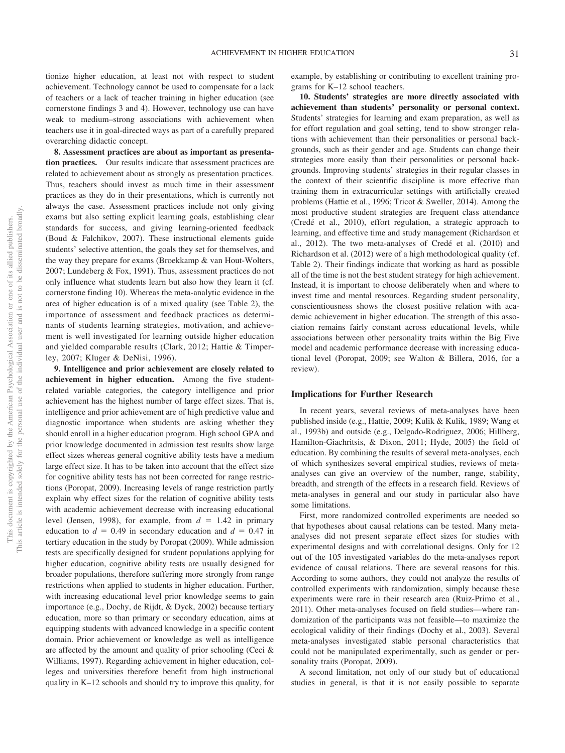tionize higher education, at least not with respect to student achievement. Technology cannot be used to compensate for a lack of teachers or a lack of teacher training in higher education (see cornerstone findings 3 and 4). However, technology use can have weak to medium–strong associations with achievement when teachers use it in goal-directed ways as part of a carefully prepared overarching didactic concept.

**8. Assessment practices are about as important as presentation practices.** Our results indicate that assessment practices are related to achievement about as strongly as presentation practices. Thus, teachers should invest as much time in their assessment practices as they do in their presentations, which is currently not always the case. Assessment practices include not only giving exams but also setting explicit learning goals, establishing clear standards for success, and giving learning-oriented feedback (Boud & Falchikov, 2007). These instructional elements guide students' selective attention, the goals they set for themselves, and the way they prepare for exams (Broekkamp & van Hout-Wolters, 2007; Lundeberg & Fox, 1991). Thus, assessment practices do not only influence what students learn but also how they learn it (cf. cornerstone finding 10). Whereas the meta-analytic evidence in the area of higher education is of a mixed quality (see [Table 2\)](#page-20-0), the importance of assessment and feedback practices as determinants of students learning strategies, motivation, and achievement is well investigated for learning outside higher education and yielded comparable results (Clark, 2012; Hattie & Timperley, 2007; Kluger & DeNisi, 1996).

**9. Intelligence and prior achievement are closely related to achievement in higher education.** Among the five studentrelated variable categories, the category intelligence and prior achievement has the highest number of large effect sizes. That is, intelligence and prior achievement are of high predictive value and diagnostic importance when students are asking whether they should enroll in a higher education program. High school GPA and prior knowledge documented in admission test results show large effect sizes whereas general cognitive ability tests have a medium large effect size. It has to be taken into account that the effect size for cognitive ability tests has not been corrected for range restrictions (Poropat, 2009). Increasing levels of range restriction partly explain why effect sizes for the relation of cognitive ability tests with academic achievement decrease with increasing educational level (Jensen, 1998), for example, from  $d = 1.42$  in primary education to  $d = 0.49$  in secondary education and  $d = 0.47$  in tertiary education in the study by Poropat (2009). While admission tests are specifically designed for student populations applying for higher education, cognitive ability tests are usually designed for broader populations, therefore suffering more strongly from range restrictions when applied to students in higher education. Further, with increasing educational level prior knowledge seems to gain importance (e.g., Dochy, de Rijdt, & Dyck, 2002) because tertiary education, more so than primary or secondary education, aims at equipping students with advanced knowledge in a specific content domain. Prior achievement or knowledge as well as intelligence are affected by the amount and quality of prior schooling (Ceci & Williams, 1997). Regarding achievement in higher education, colleges and universities therefore benefit from high instructional quality in K–12 schools and should try to improve this quality, for example, by establishing or contributing to excellent training programs for K–12 school teachers.

**10. Students' strategies are more directly associated with achievement than students' personality or personal context.** Students' strategies for learning and exam preparation, as well as for effort regulation and goal setting, tend to show stronger relations with achievement than their personalities or personal backgrounds, such as their gender and age. Students can change their strategies more easily than their personalities or personal backgrounds. Improving students' strategies in their regular classes in the context of their scientific discipline is more effective than training them in extracurricular settings with artificially created problems (Hattie et al., 1996; Tricot & Sweller, 2014). Among the most productive student strategies are frequent class attendance (Credé et al., 2010), effort regulation, a strategic approach to learning, and effective time and study management (Richardson et al., 2012). The two meta-analyses of Credé et al. (2010) and Richardson et al. (2012) were of a high methodological quality (cf. [Table 2\)](#page-20-0). Their findings indicate that working as hard as possible all of the time is not the best student strategy for high achievement. Instead, it is important to choose deliberately when and where to invest time and mental resources. Regarding student personality, conscientiousness shows the closest positive relation with academic achievement in higher education. The strength of this association remains fairly constant across educational levels, while associations between other personality traits within the Big Five model and academic performance decrease with increasing educational level (Poropat, 2009; see Walton & Billera, 2016, for a review).

#### **Implications for Further Research**

In recent years, several reviews of meta-analyses have been published inside (e.g., Hattie, 2009; Kulik & Kulik, 1989; Wang et al., 1993b) and outside (e.g., Delgado-Rodriguez, 2006; Hillberg, Hamilton-Giachritsis, & Dixon, 2011; Hyde, 2005) the field of education. By combining the results of several meta-analyses, each of which synthesizes several empirical studies, reviews of metaanalyses can give an overview of the number, range, stability, breadth, and strength of the effects in a research field. Reviews of meta-analyses in general and our study in particular also have some limitations.

First, more randomized controlled experiments are needed so that hypotheses about causal relations can be tested. Many metaanalyses did not present separate effect sizes for studies with experimental designs and with correlational designs. Only for 12 out of the 105 investigated variables do the meta-analyses report evidence of causal relations. There are several reasons for this. According to some authors, they could not analyze the results of controlled experiments with randomization, simply because these experiments were rare in their research area (Ruiz-Primo et al., 2011). Other meta-analyses focused on field studies—where randomization of the participants was not feasible—to maximize the ecological validity of their findings (Dochy et al., 2003). Several meta-analyses investigated stable personal characteristics that could not be manipulated experimentally, such as gender or personality traits (Poropat, 2009).

A second limitation, not only of our study but of educational studies in general, is that it is not easily possible to separate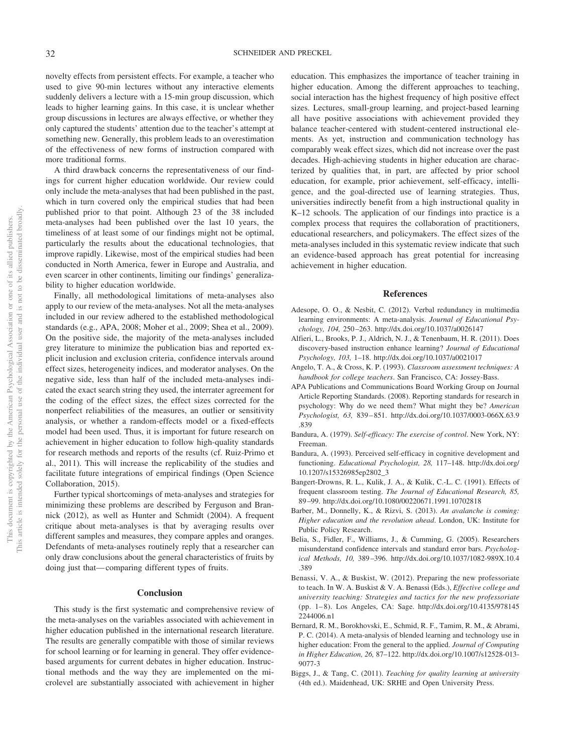novelty effects from persistent effects. For example, a teacher who used to give 90-min lectures without any interactive elements suddenly delivers a lecture with a 15-min group discussion, which leads to higher learning gains. In this case, it is unclear whether group discussions in lectures are always effective, or whether they only captured the students' attention due to the teacher's attempt at something new. Generally, this problem leads to an overestimation of the effectiveness of new forms of instruction compared with more traditional forms.

A third drawback concerns the representativeness of our findings for current higher education worldwide. Our review could only include the meta-analyses that had been published in the past, which in turn covered only the empirical studies that had been published prior to that point. Although 23 of the 38 included meta-analyses had been published over the last 10 years, the timeliness of at least some of our findings might not be optimal, particularly the results about the educational technologies, that improve rapidly. Likewise, most of the empirical studies had been conducted in North America, fewer in Europe and Australia, and even scarcer in other continents, limiting our findings' generalizability to higher education worldwide.

Finally, all methodological limitations of meta-analyses also apply to our review of the meta-analyses. Not all the meta-analyses included in our review adhered to the established methodological standards (e.g., APA, 2008; Moher et al., 2009; Shea et al., 2009). On the positive side, the majority of the meta-analyses included grey literature to minimize the publication bias and reported explicit inclusion and exclusion criteria, confidence intervals around effect sizes, heterogeneity indices, and moderator analyses. On the negative side, less than half of the included meta-analyses indicated the exact search string they used, the interrater agreement for the coding of the effect sizes, the effect sizes corrected for the nonperfect reliabilities of the measures, an outlier or sensitivity analysis, or whether a random-effects model or a fixed-effects model had been used. Thus, it is important for future research on achievement in higher education to follow high-quality standards for research methods and reports of the results (cf. Ruiz-Primo et al., 2011). This will increase the replicability of the studies and facilitate future integrations of empirical findings (Open Science Collaboration, 2015).

Further typical shortcomings of meta-analyses and strategies for minimizing these problems are described by Ferguson and Brannick (2012), as well as Hunter and Schmidt (2004). A frequent critique about meta-analyses is that by averaging results over different samples and measures, they compare apples and oranges. Defendants of meta-analyses routinely reply that a researcher can only draw conclusions about the general characteristics of fruits by doing just that—comparing different types of fruits.

#### **Conclusion**

This study is the first systematic and comprehensive review of the meta-analyses on the variables associated with achievement in higher education published in the international research literature. The results are generally compatible with those of similar reviews for school learning or for learning in general. They offer evidencebased arguments for current debates in higher education. Instructional methods and the way they are implemented on the microlevel are substantially associated with achievement in higher education. This emphasizes the importance of teacher training in higher education. Among the different approaches to teaching, social interaction has the highest frequency of high positive effect sizes. Lectures, small-group learning, and project-based learning all have positive associations with achievement provided they balance teacher-centered with student-centered instructional elements. As yet, instruction and communication technology has comparably weak effect sizes, which did not increase over the past decades. High-achieving students in higher education are characterized by qualities that, in part, are affected by prior school education, for example, prior achievement, self-efficacy, intelligence, and the goal-directed use of learning strategies. Thus, universities indirectly benefit from a high instructional quality in K–12 schools. The application of our findings into practice is a complex process that requires the collaboration of practitioners, educational researchers, and policymakers. The effect sizes of the meta-analyses included in this systematic review indicate that such an evidence-based approach has great potential for increasing achievement in higher education.

## **References**

- Adesope, O. O., & Nesbit, C. (2012). Verbal redundancy in multimedia learning environments: A meta-analysis. *Journal of Educational Psychology, 104,* 250–263.<http://dx.doi.org/10.1037/a0026147>
- Alfieri, L., Brooks, P. J., Aldrich, N. J., & Tenenbaum, H. R. (2011). Does discovery-based instruction enhance learning? *Journal of Educational Psychology, 103,* 1–18.<http://dx.doi.org/10.1037/a0021017>
- Angelo, T. A., & Cross, K. P. (1993). *Classroom assessment techniques: A handbook for college teachers*. San Francisco, CA: Jossey-Bass.
- APA Publications and Communications Board Working Group on Journal Article Reporting Standards. (2008). Reporting standards for research in psychology: Why do we need them? What might they be? *American Psychologist, 63,* 839–851. [http://dx.doi.org/10.1037/0003-066X.63.9](http://dx.doi.org/10.1037/0003-066X.63.9.839) [.839](http://dx.doi.org/10.1037/0003-066X.63.9.839)
- Bandura, A. (1979). *Self-efficacy: The exercise of control*. New York, NY: Freeman.
- Bandura, A. (1993). Perceived self-efficacy in cognitive development and functioning. *Educational Psychologist, 28,* 117–148. [http://dx.doi.org/](http://dx.doi.org/10.1207/s15326985ep2802_3) [10.1207/s15326985ep2802\\_3](http://dx.doi.org/10.1207/s15326985ep2802_3)
- Bangert-Drowns, R. L., Kulik, J. A., & Kulik, C.-L. C. (1991). Effects of frequent classroom testing. *The Journal of Educational Research, 85,* 89–99.<http://dx.doi.org/10.1080/00220671.1991.10702818>
- Barber, M., Donnelly, K., & Rizvi, S. (2013). *An avalanche is coming: Higher education and the revolution ahead*. London, UK: Institute for Public Policy Research.
- Belia, S., Fidler, F., Williams, J., & Cumming, G. (2005). Researchers misunderstand confidence intervals and standard error bars. *Psychological Methods, 10,* 389–396. [http://dx.doi.org/10.1037/1082-989X.10.4](http://dx.doi.org/10.1037/1082-989X.10.4.389) [.389](http://dx.doi.org/10.1037/1082-989X.10.4.389)
- Benassi, V. A., & Buskist, W. (2012). Preparing the new professoriate to teach. In W. A. Buskist & V. A. Benassi (Eds.), *Effective college and university teaching: Strategies and tactics for the new professoriate* (pp. 1– 8). Los Angeles, CA: Sage. [http://dx.doi.org/10.4135/978145](http://dx.doi.org/10.4135/9781452244006.n1) [2244006.n1](http://dx.doi.org/10.4135/9781452244006.n1)
- Bernard, R. M., Borokhovski, E., Schmid, R. F., Tamim, R. M., & Abrami, P. C. (2014). A meta-analysis of blended learning and technology use in higher education: From the general to the applied. *Journal of Computing in Higher Education, 26,* 87–122. [http://dx.doi.org/10.1007/s12528-013-](http://dx.doi.org/10.1007/s12528-013-9077-3) [9077-3](http://dx.doi.org/10.1007/s12528-013-9077-3)
- Biggs, J., & Tang, C. (2011). *Teaching for quality learning at university* (4th ed.). Maidenhead, UK: SRHE and Open University Press.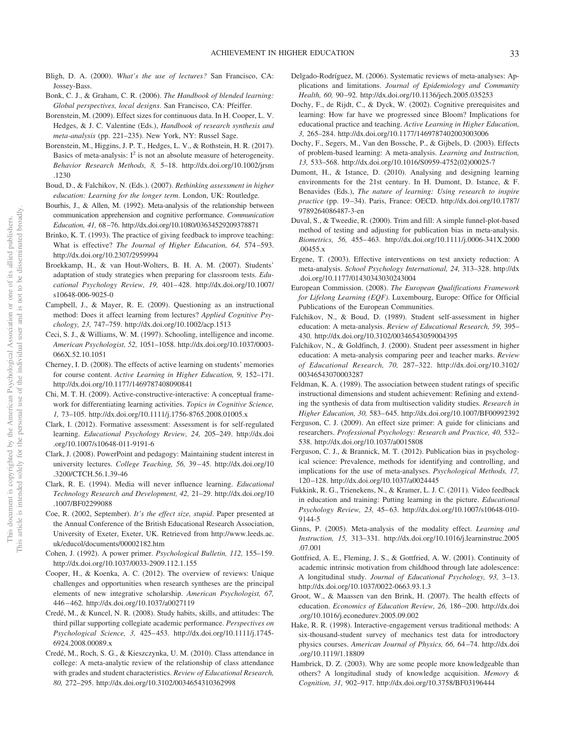- Bligh, D. A. (2000). *What's the use of lectures?* San Francisco, CA: Jossey-Bass.
- Bonk, C. J., & Graham, C. R. (2006). *The Handbook of blended learning: Global perspectives, local designs*. San Francisco, CA: Pfeiffer.
- Borenstein, M. (2009). Effect sizes for continuous data. In H. Cooper, L. V. Hedges, & J. C. Valentine (Eds.), *Handbook of research synthesis and meta-analysis* (pp. 221–235). New York, NY: Russel Sage.
- Borenstein, M., Higgins, J. P. T., Hedges, L. V., & Rothstein, H. R. (2017). Basics of meta-analysis:  $I^2$  is not an absolute measure of heterogeneity. *Behavior Research Methods, 8,* 5–18. [http://dx.doi.org/10.1002/jrsm](http://dx.doi.org/10.1002/jrsm.1230) [.1230](http://dx.doi.org/10.1002/jrsm.1230)
- Boud, D., & Falchikov, N. (Eds.). (2007). *Rethinking assessment in higher education: Learning for the longer term*. London, UK: Routledge.
- Bourhis, J., & Allen, M. (1992). Meta-analysis of the relationship between communication apprehension and cognitive performance. *Communication Education, 41,* 68–76.<http://dx.doi.org/10.1080/03634529209378871>
- Brinko, K. T. (1993). The practice of giving feedback to improve teaching: What is effective? *The Journal of Higher Education, 64,* 574–593. <http://dx.doi.org/10.2307/2959994>
- Broekkamp, H., & van Hout-Wolters, B. H. A. M. (2007). Students' adaptation of study strategies when preparing for classroom tests. *Educational Psychology Review, 19,* 401–428. [http://dx.doi.org/10.1007/](http://dx.doi.org/10.1007/s10648-006-9025-0) [s10648-006-9025-0](http://dx.doi.org/10.1007/s10648-006-9025-0)
- Campbell, J., & Mayer, R. E. (2009). Questioning as an instructional method: Does it affect learning from lectures? *Applied Cognitive Psychology, 23,* 747–759.<http://dx.doi.org/10.1002/acp.1513>
- Ceci, S. J., & Williams, W. M. (1997). Schooling, intelligence and income. *American Psychologist, 52,* 1051–1058. [http://dx.doi.org/10.1037/0003-](http://dx.doi.org/10.1037/0003-066X.52.10.1051) [066X.52.10.1051](http://dx.doi.org/10.1037/0003-066X.52.10.1051)
- Cherney, I. D. (2008). The effects of active learning on students' memories for course content. *Active Learning in Higher Education, 9,* 152–171. <http://dx.doi.org/10.1177/1469787408090841>
- Chi, M. T. H. (2009). Active-constructive-interactive: A conceptual framework for differentiating learning activities. *Topics in Cognitive Science, 1,* 73–105.<http://dx.doi.org/10.1111/j.1756-8765.2008.01005.x>
- Clark, I. (2012). Formative assessment: Assessment is for self-regulated learning. *Educational Psychology Review, 24,* 205–249. [http://dx.doi](http://dx.doi.org/10.1007/s10648-011-9191-6) [.org/10.1007/s10648-011-9191-6](http://dx.doi.org/10.1007/s10648-011-9191-6)
- Clark, J. (2008). PowerPoint and pedagogy: Maintaining student interest in university lectures. *College Teaching, 56,* 39–45. [http://dx.doi.org/10](http://dx.doi.org/10.3200/CTCH.56.1.39-46) [.3200/CTCH.56.1.39-46](http://dx.doi.org/10.3200/CTCH.56.1.39-46)
- Clark, R. E. (1994). Media will never influence learning. *Educational Technology Research and Development, 42,* 21–29. [http://dx.doi.org/10](http://dx.doi.org/10.1007/BF02299088) [.1007/BF02299088](http://dx.doi.org/10.1007/BF02299088)
- Coe, R. (2002, September). *It's the effect size, stupid*. Paper presented at the Annual Conference of the British Educational Research Association, University of Exeter, Exeter, UK. Retrieved from [http://www.leeds.ac.](http://www.leeds.ac.uk/educol/documents/00002182.htm) [uk/educol/documents/00002182.htm](http://www.leeds.ac.uk/educol/documents/00002182.htm)
- Cohen, J. (1992). A power primer. *Psychological Bulletin, 112,* 155–159. <http://dx.doi.org/10.1037/0033-2909.112.1.155>
- Cooper, H., & Koenka, A. C. (2012). The overview of reviews: Unique challenges and opportunities when research syntheses are the principal elements of new integrative scholarship. *American Psychologist, 67,* 446–462.<http://dx.doi.org/10.1037/a0027119>
- Credé, M., & Kuncel, N. R. (2008). Study habits, skills, and attitudes: The third pillar supporting collegiate academic performance. *Perspectives on Psychological Science, 3,* 425–453. [http://dx.doi.org/10.1111/j.1745-](http://dx.doi.org/10.1111/j.1745-6924.2008.00089.x) [6924.2008.00089.x](http://dx.doi.org/10.1111/j.1745-6924.2008.00089.x)
- Credé, M., Roch, S. G., & Kieszczynka, U. M. (2010). Class attendance in college: A meta-analytic review of the relationship of class attendance with grades and student characteristics. *Review of Educational Research, 80,* 272–295.<http://dx.doi.org/10.3102/0034654310362998>
- Delgado-Rodríguez, M. (2006). Systematic reviews of meta-analyses: Applications and limitations. *Journal of Epidemiology and Community Health, 60,* 90–92.<http://dx.doi.org/10.1136/jech.2005.035253>
- Dochy, F., de Rijdt, C., & Dyck, W. (2002). Cognitive prerequisites and learning: How far have we progressed since Bloom? Implications for educational practice and teaching. *Active Learning in Higher Education, 3,* 265–284.<http://dx.doi.org/10.1177/1469787402003003006>
- Dochy, F., Segers, M., Van den Bossche, P., & Gijbels, D. (2003). Effects of problem-based learning: A meta-analysis. *Learning and Instruction, 13,* 533–568. [http://dx.doi.org/10.1016/S0959-4752\(02\)00025-7](http://dx.doi.org/10.1016/S0959-4752%2802%2900025-7)
- Dumont, H., & Istance, D. (2010). Analysing and designing learning environments for the 21st century. In H. Dumont, D. Istance, & F. Benavides (Eds.), *The nature of learning: Using research to inspire practice* (pp. 19–34). Paris, France: OECD. [http://dx.doi.org/10.1787/](http://dx.doi.org/10.1787/9789264086487-3-en) [9789264086487-3-en](http://dx.doi.org/10.1787/9789264086487-3-en)
- Duval, S., & Tweedie, R. (2000). Trim and fill: A simple funnel-plot-based method of testing and adjusting for publication bias in meta-analysis. *Biometrics, 56,* 455–463. [http://dx.doi.org/10.1111/j.0006-341X.2000](http://dx.doi.org/10.1111/j.0006-341X.2000.00455.x)  $.00455x$
- Ergene, T. (2003). Effective interventions on test anxiety reduction: A meta-analysis. *School Psychology International, 24,* 313–328. [http://dx](http://dx.doi.org/10.1177/01430343030243004) [.doi.org/10.1177/01430343030243004](http://dx.doi.org/10.1177/01430343030243004)
- European Commission. (2008). *The European Qualifications Framework for Lifelong Learning (EQF)*. Luxembourg, Europe: Office for Official Publications of the European Communities.
- Falchikov, N., & Boud, D. (1989). Student self-assessment in higher education: A meta-analysis. *Review of Educational Research, 59,* 395– 430.<http://dx.doi.org/10.3102/00346543059004395>
- Falchikov, N., & Goldfinch, J. (2000). Student peer assessment in higher education: A meta-analysis comparing peer and teacher marks. *Review of Educational Research, 70,* 287–322. [http://dx.doi.org/10.3102/](http://dx.doi.org/10.3102/00346543070003287) [00346543070003287](http://dx.doi.org/10.3102/00346543070003287)
- Feldman, K. A. (1989). The association between student ratings of specific instructional dimensions and student achievement: Refining and extending the synthesis of data from multisection validity studies. *Research in Higher Education, 30,* 583–645.<http://dx.doi.org/10.1007/BF00992392>
- Ferguson, C. J. (2009). An effect size primer: A guide for clinicians and researchers. *Professional Psychology: Research and Practice, 40,* 532– 538.<http://dx.doi.org/10.1037/a0015808>
- Ferguson, C. J., & Brannick, M. T. (2012). Publication bias in psychological science: Prevalence, methods for identifying and controlling, and implications for the use of meta-analyses. *Psychological Methods, 17,* 120–128.<http://dx.doi.org/10.1037/a0024445>
- Fukkink, R. G., Trienekens, N., & Kramer, L. J. C. (2011). Video feedback in education and training: Putting learning in the picture. *Educational Psychology Review, 23,* 45–63. [http://dx.doi.org/10.1007/s10648-010-](http://dx.doi.org/10.1007/s10648-010-9144-5) [9144-5](http://dx.doi.org/10.1007/s10648-010-9144-5)
- Ginns, P. (2005). Meta-analysis of the modality effect. *Learning and Instruction, 15,* 313–331. [http://dx.doi.org/10.1016/j.learninstruc.2005](http://dx.doi.org/10.1016/j.learninstruc.2005.07.001) [.07.001](http://dx.doi.org/10.1016/j.learninstruc.2005.07.001)
- Gottfried, A. E., Fleming, J. S., & Gottfried, A. W. (2001). Continuity of academic intrinsic motivation from childhood through late adolescence: A longitudinal study. *Journal of Educational Psychology, 93,* 3–13. <http://dx.doi.org/10.1037/0022-0663.93.1.3>
- <span id="page-33-0"></span>Groot, W., & Maassen van den Brink, H. (2007). The health effects of education. *Economics of Education Review, 26,* 186–200. [http://dx.doi](http://dx.doi.org/10.1016/j.econedurev.2005.09.002) [.org/10.1016/j.econedurev.2005.09.002](http://dx.doi.org/10.1016/j.econedurev.2005.09.002)
- <span id="page-33-1"></span>Hake, R. R. (1998). Interactive-engagement versus traditional methods: A six-thousand-student survey of mechanics test data for introductory physics courses. *American Journal of Physics, 66,* 64–74. [http://dx.doi](http://dx.doi.org/10.1119/1.18809) [.org/10.1119/1.18809](http://dx.doi.org/10.1119/1.18809)
- Hambrick, D. Z. (2003). Why are some people more knowledgeable than others? A longitudinal study of knowledge acquisition. *Memory & Cognition, 31,* 902–917.<http://dx.doi.org/10.3758/BF03196444>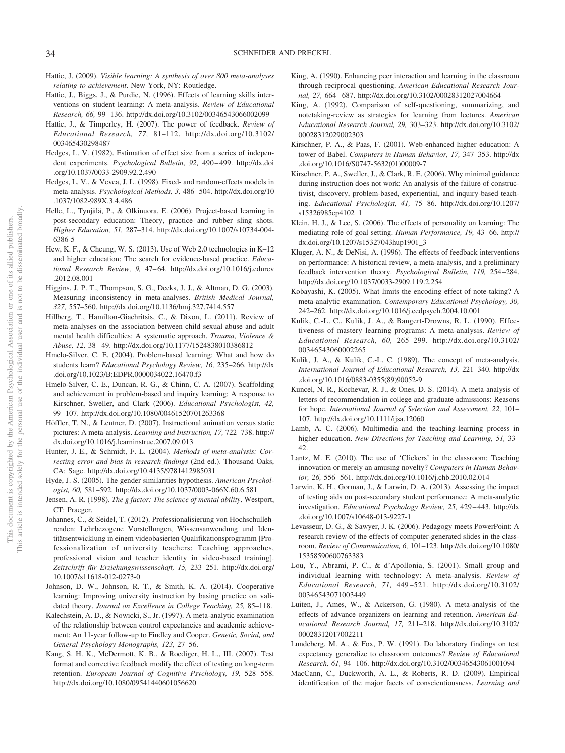- Hattie, J. (2009). *Visible learning: A synthesis of over 800 meta-analyses relating to achievement*. New York, NY: Routledge.
- Hattie, J., Biggs, J., & Purdie, N. (1996). Effects of learning skills interventions on student learning: A meta-analysis. *Review of Educational Research, 66,* 99–136.<http://dx.doi.org/10.3102/00346543066002099>
- Hattie, J., & Timperley, H. (2007). The power of feedback. *Review of Educational Research, 77,* 81–112. [http://dx.doi.org/10.3102/](http://dx.doi.org/10.3102/003465430298487) [003465430298487](http://dx.doi.org/10.3102/003465430298487)
- Hedges, L. V. (1982). Estimation of effect size from a series of independent experiments. *Psychological Bulletin, 92,* 490–499. [http://dx.doi](http://dx.doi.org/10.1037/0033-2909.92.2.490) [.org/10.1037/0033-2909.92.2.490](http://dx.doi.org/10.1037/0033-2909.92.2.490)
- Hedges, L. V., & Vevea, J. L. (1998). Fixed- and random-effects models in meta-analysis. *Psychological Methods, 3,* 486–504. [http://dx.doi.org/10](http://dx.doi.org/10.1037/1082-989X.3.4.486) [.1037/1082-989X.3.4.486](http://dx.doi.org/10.1037/1082-989X.3.4.486)
- Helle, L., Tynjälä, P., & Olkinuora, E. (2006). Project-based learning in post-secondary education: Theory, practice and rubber sling shots. *Higher Education, 51,* 287–314. [http://dx.doi.org/10.1007/s10734-004-](http://dx.doi.org/10.1007/s10734-004-6386-5) [6386-5](http://dx.doi.org/10.1007/s10734-004-6386-5)
- Hew, K. F., & Cheung, W. S. (2013). Use of Web 2.0 technologies in K–12 and higher education: The search for evidence-based practice. *Educational Research Review, 9,* 47–64. [http://dx.doi.org/10.1016/j.edurev](http://dx.doi.org/10.1016/j.edurev.2012.08.001) [.2012.08.001](http://dx.doi.org/10.1016/j.edurev.2012.08.001)
- Higgins, J. P. T., Thompson, S. G., Deeks, J. J., & Altman, D. G. (2003). Measuring inconsistency in meta-analyses. *British Medical Journal, 327,* 557–560.<http://dx.doi.org/10.1136/bmj.327.7414.557>
- Hillberg, T., Hamilton-Giachritsis, C., & Dixon, L. (2011). Review of meta-analyses on the association between child sexual abuse and adult mental health difficulties: A systematic approach. *Trauma, Violence & Abuse, 12,* 38–49.<http://dx.doi.org/10.1177/1524838010386812>
- Hmelo-Silver, C. E. (2004). Problem-based learning: What and how do students learn? *Educational Psychology Review, 16,* 235–266. [http://dx](http://dx.doi.org/10.1023/B:EDPR.0000034022.16470.f3) [.doi.org/10.1023/B:EDPR.0000034022.16470.f3](http://dx.doi.org/10.1023/B:EDPR.0000034022.16470.f3)
- Hmelo-Silver, C. E., Duncan, R. G., & Chinn, C. A. (2007). Scaffolding and achievement in problem-based and inquiry learning: A response to Kirschner, Sweller, and Clark (2006). *Educational Psychologist, 42,* 99–107.<http://dx.doi.org/10.1080/00461520701263368>
- Höffler, T. N., & Leutner, D. (2007). Instructional animation versus static pictures: A meta-analysis. *Learning and Instruction, 17,* 722–738. [http://](http://dx.doi.org/10.1016/j.learninstruc.2007.09.013) [dx.doi.org/10.1016/j.learninstruc.2007.09.013](http://dx.doi.org/10.1016/j.learninstruc.2007.09.013)
- Hunter, J. E., & Schmidt, F. L. (2004). *Methods of meta-analysis: Correcting error and bias in research findings* (2nd ed.). Thousand Oaks, CA: Sage.<http://dx.doi.org/10.4135/9781412985031>
- Hyde, J. S. (2005). The gender similarities hypothesis. *American Psychologist, 60,* 581–592.<http://dx.doi.org/10.1037/0003-066X.60.6.581>
- Jensen, A. R. (1998). *The g factor: The science of mental ability*. Westport, CT: Praeger.
- Johannes, C., & Seidel, T. (2012). Professionalisierung von Hochschullehrenden: Lehrbezogene Vorstellungen, Wissensanwendung und Identitätsentwicklung in einem videobasierten Qualifikationsprogramm [Professionalization of university teachers: Teaching approaches, professional vision and teacher identity in video-based training]. *Zeitschrift für Erziehungswissenschaft, 15,* 233–251. [http://dx.doi.org/](http://dx.doi.org/10.1007/s11618-012-0273-0) [10.1007/s11618-012-0273-0](http://dx.doi.org/10.1007/s11618-012-0273-0)
- Johnson, D. W., Johnson, R. T., & Smith, K. A. (2014). Cooperative learning: Improving university instruction by basing practice on validated theory. *Journal on Excellence in College Teaching, 25,* 85–118.
- Kalechstein, A. D., & Nowicki, S., Jr. (1997). A meta-analytic examination of the relationship between control expectancies and academic achievement: An 11-year follow-up to Findley and Cooper. *Genetic, Social, and General Psychology Monographs, 123,* 27–56.
- Kang, S. H. K., McDermott, K. B., & Roediger, H. L., III. (2007). Test format and corrective feedback modify the effect of testing on long-term retention. *European Journal of Cognitive Psychology, 19,* 528–558. <http://dx.doi.org/10.1080/09541440601056620>
- King, A. (1990). Enhancing peer interaction and learning in the classroom through reciprocal questioning. *American Educational Research Journal, 27,* 664–687.<http://dx.doi.org/10.3102/00028312027004664>
- King, A. (1992). Comparison of self-questioning, summarizing, and notetaking-review as strategies for learning from lectures. *American Educational Research Journal, 29,* 303–323. [http://dx.doi.org/10.3102/](http://dx.doi.org/10.3102/00028312029002303) [00028312029002303](http://dx.doi.org/10.3102/00028312029002303)
- Kirschner, P. A., & Paas, F. (2001). Web-enhanced higher education: A tower of Babel. *Computers in Human Behavior, 17,* 347–353. [http://dx](http://dx.doi.org/10.1016/S0747-5632%2801%2900009-7) [.doi.org/10.1016/S0747-5632\(01\)00009-7](http://dx.doi.org/10.1016/S0747-5632%2801%2900009-7)
- Kirschner, P. A., Sweller, J., & Clark, R. E. (2006). Why minimal guidance during instruction does not work: An analysis of the failure of constructivist, discovery, problem-based, experiential, and inquiry-based teaching. *Educational Psychologist, 41,* 75–86. [http://dx.doi.org/10.1207/](http://dx.doi.org/10.1207/s15326985ep4102_1) [s15326985ep4102\\_1](http://dx.doi.org/10.1207/s15326985ep4102_1)
- Klein, H. J., & Lee, S. (2006). The effects of personality on learning: The mediating role of goal setting. *Human Performance, 19,* 43–66. [http://](http://dx.doi.org/10.1207/s15327043hup1901_3) [dx.doi.org/10.1207/s15327043hup1901\\_3](http://dx.doi.org/10.1207/s15327043hup1901_3)
- Kluger, A. N., & DeNisi, A. (1996). The effects of feedback interventions on performance: A historical review, a meta-analysis, and a preliminary feedback intervention theory. *Psychological Bulletin, 119,* 254–284. <http://dx.doi.org/10.1037/0033-2909.119.2.254>
- Kobayashi, K. (2005). What limits the encoding effect of note-taking? A meta-analytic examination. *Contemporary Educational Psychology, 30,* 242–262.<http://dx.doi.org/10.1016/j.cedpsych.2004.10.001>
- Kulik, C.-L. C., Kulik, J. A., & Bangert-Drowns, R. L. (1990). Effectiveness of mastery learning programs: A meta-analysis. *Review of Educational Research, 60,* 265–299. [http://dx.doi.org/10.3102/](http://dx.doi.org/10.3102/00346543060002265) [00346543060002265](http://dx.doi.org/10.3102/00346543060002265)
- Kulik, J. A., & Kulik, C.-L. C. (1989). The concept of meta-analysis. *International Journal of Educational Research, 13,* 221–340. [http://dx](http://dx.doi.org/10.1016/0883-0355%2889%2990052-9) [.doi.org/10.1016/0883-0355\(89\)90052-9](http://dx.doi.org/10.1016/0883-0355%2889%2990052-9)
- <span id="page-34-0"></span>Kuncel, N. R., Kochevar, R. J., & Ones, D. S. (2014). A meta-analysis of letters of recommendation in college and graduate admissions: Reasons for hope. *International Journal of Selection and Assessment, 22,* 101– 107.<http://dx.doi.org/10.1111/ijsa.12060>
- Lamb, A. C. (2006). Multimedia and the teaching-learning process in higher education. *New Directions for Teaching and Learning, 51,* 33– 42.
- Lantz, M. E. (2010). The use of 'Clickers' in the classroom: Teaching innovation or merely an amusing novelty? *Computers in Human Behavior, 26,* 556–561.<http://dx.doi.org/10.1016/j.chb.2010.02.014>
- Larwin, K. H., Gorman, J., & Larwin, D. A. (2013). Assessing the impact of testing aids on post-secondary student performance: A meta-analytic investigation. *Educational Psychology Review, 25,* 429–443. [http://dx](http://dx.doi.org/10.1007/s10648-013-9227-1) [.doi.org/10.1007/s10648-013-9227-1](http://dx.doi.org/10.1007/s10648-013-9227-1)
- Levasseur, D. G., & Sawyer, J. K. (2006). Pedagogy meets PowerPoint: A research review of the effects of computer-generated slides in the classroom. *Review of Communication, 6,* 101–123. [http://dx.doi.org/10.1080/](http://dx.doi.org/10.1080/15358590600763383) [15358590600763383](http://dx.doi.org/10.1080/15358590600763383)
- Lou, Y., Abrami, P. C., & d'Apollonia, S. (2001). Small group and individual learning with technology: A meta-analysis. *Review of Educational Research, 71,* 449–521. [http://dx.doi.org/10.3102/](http://dx.doi.org/10.3102/00346543071003449) [00346543071003449](http://dx.doi.org/10.3102/00346543071003449)
- Luiten, J., Ames, W., & Ackerson, G. (1980). A meta-analysis of the effects of advance organizers on learning and retention. *American Educational Research Journal, 17,* 211–218. [http://dx.doi.org/10.3102/](http://dx.doi.org/10.3102/00028312017002211) [00028312017002211](http://dx.doi.org/10.3102/00028312017002211)
- Lundeberg, M. A., & Fox, P. W. (1991). Do laboratory findings on test expectancy generalize to classroom outcomes? *Review of Educational Research, 61,* 94–106.<http://dx.doi.org/10.3102/00346543061001094>
- MacCann, C., Duckworth, A. L., & Roberts, R. D. (2009). Empirical identification of the major facets of conscientiousness. *Learning and*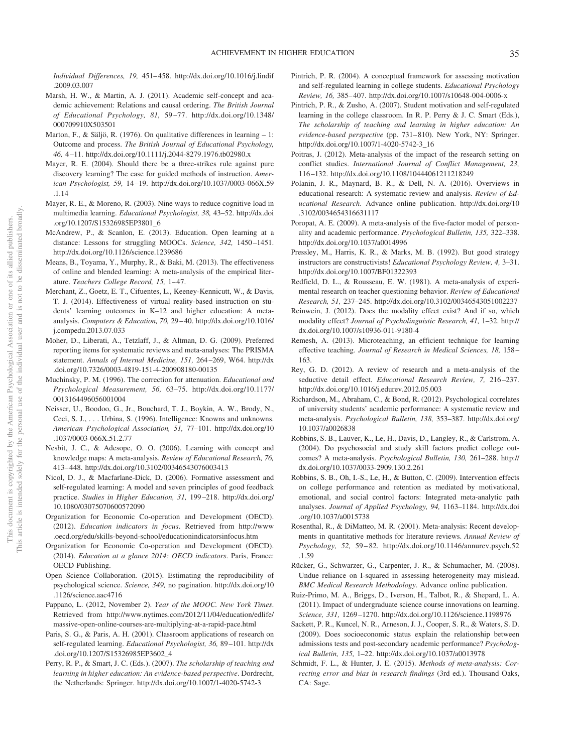*Individual Differences, 19,* 451–458. [http://dx.doi.org/10.1016/j.lindif](http://dx.doi.org/10.1016/j.lindif.2009.03.007) [.2009.03.007](http://dx.doi.org/10.1016/j.lindif.2009.03.007)

- Marsh, H. W., & Martin, A. J. (2011). Academic self-concept and academic achievement: Relations and causal ordering. *The British Journal of Educational Psychology, 81,* 59–77. [http://dx.doi.org/10.1348/](http://dx.doi.org/10.1348/000709910X503501) [000709910X503501](http://dx.doi.org/10.1348/000709910X503501)
- Marton, F., & Säljö, R. (1976). On qualitative differences in learning 1: Outcome and process. *The British Journal of Educational Psychology, 46,* 4–11.<http://dx.doi.org/10.1111/j.2044-8279.1976.tb02980.x>
- Mayer, R. E. (2004). Should there be a three-strikes rule against pure discovery learning? The case for guided methods of instruction. *American Psychologist, 59,* 14–19. [http://dx.doi.org/10.1037/0003-066X.59](http://dx.doi.org/10.1037/0003-066X.59.1.14) [.1.14](http://dx.doi.org/10.1037/0003-066X.59.1.14)
- Mayer, R. E., & Moreno, R. (2003). Nine ways to reduce cognitive load in multimedia learning. *Educational Psychologist, 38,* 43–52. [http://dx.doi](http://dx.doi.org/10.1207/S15326985EP3801_6) [.org/10.1207/S15326985EP3801\\_6](http://dx.doi.org/10.1207/S15326985EP3801_6)
- McAndrew, P., & Scanlon, E. (2013). Education. Open learning at a distance: Lessons for struggling MOOCs. *Science, 342,* 1450–1451. <http://dx.doi.org/10.1126/science.1239686>
- Means, B., Toyama, Y., Murphy, R., & Baki, M. (2013). The effectiveness of online and blended learning: A meta-analysis of the empirical literature. *Teachers College Record, 15,* 1–47.
- Merchant, Z., Goetz, E. T., Cifuentes, L., Keeney-Kennicutt, W., & Davis, T. J. (2014). Effectiveness of virtual reality-based instruction on students' learning outcomes in K–12 and higher education: A metaanalysis. *Computers & Education, 70,* 29–40. [http://dx.doi.org/10.1016/](http://dx.doi.org/10.1016/j.compedu.2013.07.033) [j.compedu.2013.07.033](http://dx.doi.org/10.1016/j.compedu.2013.07.033)
- Moher, D., Liberati, A., Tetzlaff, J., & Altman, D. G. (2009). Preferred reporting items for systematic reviews and meta-analyses: The PRISMA statement. *Annals of Internal Medicine, 151,* 264–269, W64. [http://dx](http://dx.doi.org/10.7326/0003-4819-151-4-200908180-00135) [.doi.org/10.7326/0003-4819-151-4-200908180-00135](http://dx.doi.org/10.7326/0003-4819-151-4-200908180-00135)
- Muchinsky, P. M. (1996). The correction for attenuation. *Educational and Psychological Measurement, 56,* 63–75. [http://dx.doi.org/10.1177/](http://dx.doi.org/10.1177/0013164496056001004) [0013164496056001004](http://dx.doi.org/10.1177/0013164496056001004)
- Neisser, U., Boodoo, G., Jr., Bouchard, T. J., Boykin, A. W., Brody, N., Ceci, S. J.,... Urbina, S. (1996). Intelligence: Knowns and unknowns. *American Psychological Association, 51,* 77–101. [http://dx.doi.org/10](http://dx.doi.org/10.1037/0003-066X.51.2.77) [.1037/0003-066X.51.2.77](http://dx.doi.org/10.1037/0003-066X.51.2.77)
- Nesbit, J. C., & Adesope, O. O. (2006). Learning with concept and knowledge maps: A meta-analysis. *Review of Educational Research, 76,* 413–448.<http://dx.doi.org/10.3102/00346543076003413>
- <span id="page-35-0"></span>Nicol, D. J., & Macfarlane-Dick, D. (2006). Formative assessment and self-regulated learning: A model and seven principles of good feedback practice. *Studies in Higher Education, 31,* 199–218. [http://dx.doi.org/](http://dx.doi.org/10.1080/03075070600572090) [10.1080/03075070600572090](http://dx.doi.org/10.1080/03075070600572090)
- Organization for Economic Co-operation and Development (OECD). (2012). *Education indicators in focus*. Retrieved from [http://www](http://www.oecd.org/edu/skills-beyond-school/educationindicatorsinfocus.htm) [.oecd.org/edu/skills-beyond-school/educationindicatorsinfocus.htm](http://www.oecd.org/edu/skills-beyond-school/educationindicatorsinfocus.htm)
- Organization for Economic Co-operation and Development (OECD). (2014). *Education at a glance 2014: OECD indicators*. Paris, France: OECD Publishing.
- Open Science Collaboration. (2015). Estimating the reproducibility of psychological science. *Science, 349,* no pagination. [http://dx.doi.org/10](http://dx.doi.org/10.1126/science.aac4716) [.1126/science.aac4716](http://dx.doi.org/10.1126/science.aac4716)
- Pappano, L. (2012, November 2). *Year of the MOOC. New York Times*. Retrieved from [http://www.nytimes.com/2012/11/04/education/edlife/](http://www.nytimes.com/2012/11/04/education/edlife/massive-open-online-courses-are-multiplying-at-a-rapid-pace.html) [massive-open-online-courses-are-multiplying-at-a-rapid-pace.html](http://www.nytimes.com/2012/11/04/education/edlife/massive-open-online-courses-are-multiplying-at-a-rapid-pace.html)
- Paris, S. G., & Paris, A. H. (2001). Classroom applications of research on self-regulated learning. *Educational Psychologist, 36,* 89–101. [http://dx](http://dx.doi.org/10.1207/S15326985EP3602_4) [.doi.org/10.1207/S15326985EP3602\\_4](http://dx.doi.org/10.1207/S15326985EP3602_4)
- Perry, R. P., & Smart, J. C. (Eds.). (2007). *The scholarship of teaching and learning in higher education: An evidence-based perspective*. Dordrecht, the Netherlands: Springer.<http://dx.doi.org/10.1007/1-4020-5742-3>
- Pintrich, P. R. (2004). A conceptual framework for assessing motivation and self-regulated learning in college students. *Educational Psychology Review, 16,* 385–407.<http://dx.doi.org/10.1007/s10648-004-0006-x>
- Pintrich, P. R., & Zusho, A. (2007). Student motivation and self-regulated learning in the college classroom. In R. P. Perry & J. C. Smart (Eds.), *The scholarship of teaching and learning in higher education: An evidence-based perspective* (pp. 731–810). New York, NY: Springer. [http://dx.doi.org/10.1007/1-4020-5742-3\\_16](http://dx.doi.org/10.1007/1-4020-5742-3_16)
- Poitras, J. (2012). Meta-analysis of the impact of the research setting on conflict studies. *International Journal of Conflict Management, 23,* 116–132.<http://dx.doi.org/10.1108/10444061211218249>
- Polanin, J. R., Maynard, B. R., & Dell, N. A. (2016). Overviews in educational research: A systematic review and analysis. *Review of Educational Research*. Advance online publication. [http://dx.doi.org/10](http://dx.doi.org/10.3102/0034654316631117) [.3102/0034654316631117](http://dx.doi.org/10.3102/0034654316631117)
- Poropat, A. E. (2009). A meta-analysis of the five-factor model of personality and academic performance. *Psychological Bulletin, 135,* 322–338. <http://dx.doi.org/10.1037/a0014996>
- Pressley, M., Harris, K. R., & Marks, M. B. (1992). But good strategy instructors are constructivists! *Educational Psychology Review, 4,* 3–31. <http://dx.doi.org/10.1007/BF01322393>
- Redfield, D. L., & Rousseau, E. W. (1981). A meta-analysis of experimental research on teacher questioning behavior. *Review of Educational Research, 51,* 237–245.<http://dx.doi.org/10.3102/00346543051002237>
- Reinwein, J. (2012). Does the modality effect exist? And if so, which modality effect? *Journal of Psycholinguistic Research, 41,* 1–32. [http://](http://dx.doi.org/10.1007/s10936-011-9180-4) [dx.doi.org/10.1007/s10936-011-9180-4](http://dx.doi.org/10.1007/s10936-011-9180-4)
- Remesh, A. (2013). Microteaching, an efficient technique for learning effective teaching. *Journal of Research in Medical Sciences, 18,* 158– 163.
- Rey, G. D. (2012). A review of research and a meta-analysis of the seductive detail effect. *Educational Research Review, 7,* 216–237. <http://dx.doi.org/10.1016/j.edurev.2012.05.003>
- Richardson, M., Abraham, C., & Bond, R. (2012). Psychological correlates of university students' academic performance: A systematic review and meta-analysis. *Psychological Bulletin, 138,* 353–387. [http://dx.doi.org/](http://dx.doi.org/10.1037/a0026838) [10.1037/a0026838](http://dx.doi.org/10.1037/a0026838)
- Robbins, S. B., Lauver, K., Le, H., Davis, D., Langley, R., & Carlstrom, A. (2004). Do psychosocial and study skill factors predict college outcomes? A meta-analysis. *Psychological Bulletin, 130,* 261–288. [http://](http://dx.doi.org/10.1037/0033-2909.130.2.261) [dx.doi.org/10.1037/0033-2909.130.2.261](http://dx.doi.org/10.1037/0033-2909.130.2.261)
- Robbins, S. B., Oh, I.-S., Le, H., & Button, C. (2009). Intervention effects on college performance and retention as mediated by motivational, emotional, and social control factors: Integrated meta-analytic path analyses. *Journal of Applied Psychology, 94,* 1163–1184. [http://dx.doi](http://dx.doi.org/10.1037/a0015738) [.org/10.1037/a0015738](http://dx.doi.org/10.1037/a0015738)
- Rosenthal, R., & DiMatteo, M. R. (2001). Meta-analysis: Recent developments in quantitative methods for literature reviews. *Annual Review of Psychology, 52,* 59–82. [http://dx.doi.org/10.1146/annurev.psych.52](http://dx.doi.org/10.1146/annurev.psych.52.1.59) [.1.59](http://dx.doi.org/10.1146/annurev.psych.52.1.59)
- Rücker, G., Schwarzer, G., Carpenter, J. R., & Schumacher, M. (2008). Undue reliance on I-squared in assessing heterogeneity may mislead. *BMC Medical Research Methodology*. Advance online publication.
- Ruiz-Primo, M. A., Briggs, D., Iverson, H., Talbot, R., & Shepard, L. A. (2011). Impact of undergraduate science course innovations on learning. *Science, 331,* 1269–1270.<http://dx.doi.org/10.1126/science.1198976>
- Sackett, P. R., Kuncel, N. R., Arneson, J. J., Cooper, S. R., & Waters, S. D. (2009). Does socioeconomic status explain the relationship between admissions tests and post-secondary academic performance? *Psychological Bulletin, 135,* 1–22.<http://dx.doi.org/10.1037/a0013978>
- Schmidt, F. L., & Hunter, J. E. (2015). *Methods of meta-analysis: Correcting error and bias in research findings* (3rd ed.). Thousand Oaks, CA: Sage.